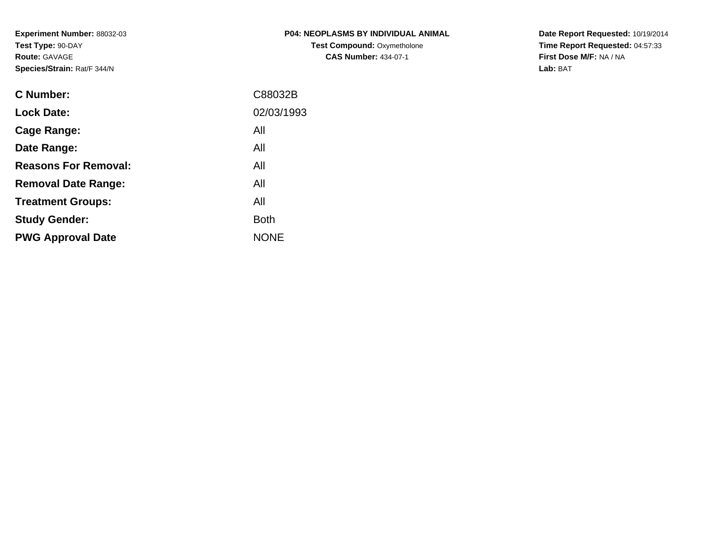**Experiment Number:** 88032-03**Test Type:** 90-DAY**Route:** GAVAGE**Species/Strain:** Rat/F 344/N

| P04: NEOPLASMS BY INDIVIDUAL ANIMAL |
|-------------------------------------|
| <b>Test Compound: Oxymetholone</b>  |
| <b>CAS Number: 434-07-1</b>         |

**Date Report Requested:** 10/19/2014 **Time Report Requested:** 04:57:33**First Dose M/F:** NA / NA**Lab:** BAT

| C88032B     |
|-------------|
| 02/03/1993  |
| All         |
| All         |
| All         |
| All         |
| All         |
| <b>Both</b> |
| <b>NONE</b> |
|             |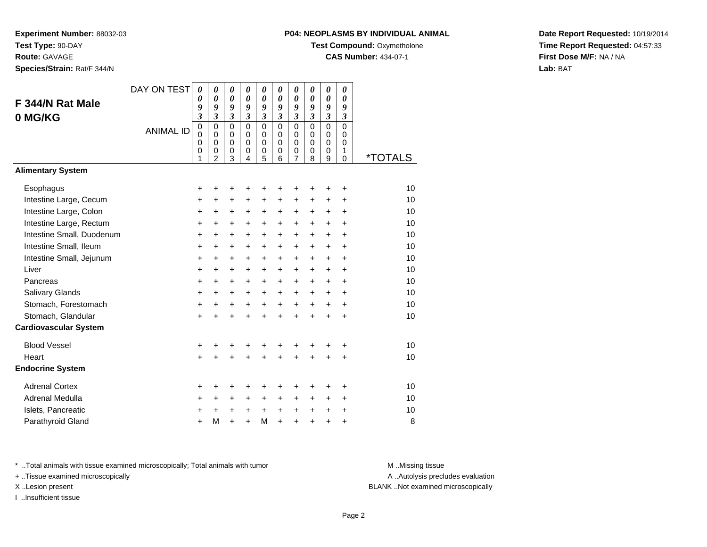**Route:** GAVAGE

**Species/Strain:** Rat/F 344/N

## **P04: NEOPLASMS BY INDIVIDUAL ANIMAL**

**Test Compound: Oxymetholone** 

**CAS Number:** 434-07-1

**Date Report Requested:** 10/19/2014**Time Report Requested:** 04:57:33**First Dose M/F:** NA / NA**Lab:** BAT

| F 344/N Rat Male<br>0 MG/KG                                                                                                                                                                                                                                                                       | DAY ON TEST<br><b>ANIMAL ID</b> | $\boldsymbol{\theta}$<br>0<br>9<br>$\overline{\mathbf{3}}$<br>$\overline{0}$<br>$\mathbf 0$<br>$\mathbf 0$<br>0<br>1 | $\boldsymbol{\theta}$<br>$\boldsymbol{\theta}$<br>9<br>$\overline{\mathbf{3}}$<br>$\mathbf 0$<br>$\mathbf 0$<br>$\mathbf 0$<br>0<br>$\overline{2}$ | 0<br>0<br>9<br>$\mathfrak{z}$<br>$\mathbf 0$<br>$\mathbf 0$<br>$\mathbf 0$<br>0<br>3                       | 0<br>0<br>9<br>$\overline{\mathbf{3}}$<br>$\mathbf 0$<br>$\mathbf 0$<br>$\mathbf 0$<br>0<br>4    | 0<br>0<br>9<br>$\overline{\mathbf{3}}$<br>$\mathbf 0$<br>$\mathbf 0$<br>$\mathbf 0$<br>0<br>5            | 0<br>$\boldsymbol{\theta}$<br>9<br>$\mathfrak{z}$<br>$\mathbf 0$<br>$\mathbf 0$<br>$\Omega$<br>0<br>6            | 0<br>$\boldsymbol{\theta}$<br>9<br>$\mathfrak{z}$<br>$\overline{0}$<br>$\pmb{0}$<br>$\pmb{0}$<br>0<br>$\overline{7}$                     | 0<br>0<br>9<br>$\boldsymbol{\mathfrak{z}}$<br>$\mathbf 0$<br>$\mathbf 0$<br>$\Omega$<br>0<br>8                     | 0<br>0<br>9<br>$\overline{\mathbf{3}}$<br>$\overline{0}$<br>0<br>$\mathbf 0$<br>0<br>9                 | 0<br>$\boldsymbol{\theta}$<br>9<br>$\mathfrak{z}$<br>$\overline{0}$<br>$\mathbf 0$<br>$\Omega$<br>1<br>$\mathbf 0$ | <i><b>*TOTALS</b></i>                                                |
|---------------------------------------------------------------------------------------------------------------------------------------------------------------------------------------------------------------------------------------------------------------------------------------------------|---------------------------------|----------------------------------------------------------------------------------------------------------------------|----------------------------------------------------------------------------------------------------------------------------------------------------|------------------------------------------------------------------------------------------------------------|--------------------------------------------------------------------------------------------------|----------------------------------------------------------------------------------------------------------|------------------------------------------------------------------------------------------------------------------|------------------------------------------------------------------------------------------------------------------------------------------|--------------------------------------------------------------------------------------------------------------------|--------------------------------------------------------------------------------------------------------|--------------------------------------------------------------------------------------------------------------------|----------------------------------------------------------------------|
| <b>Alimentary System</b>                                                                                                                                                                                                                                                                          |                                 |                                                                                                                      |                                                                                                                                                    |                                                                                                            |                                                                                                  |                                                                                                          |                                                                                                                  |                                                                                                                                          |                                                                                                                    |                                                                                                        |                                                                                                                    |                                                                      |
| Esophagus<br>Intestine Large, Cecum<br>Intestine Large, Colon<br>Intestine Large, Rectum<br>Intestine Small, Duodenum<br>Intestine Small, Ileum<br>Intestine Small, Jejunum<br>Liver<br>Pancreas<br>Salivary Glands<br>Stomach, Forestomach<br>Stomach, Glandular<br><b>Cardiovascular System</b> |                                 | +<br>$\ddot{}$<br>+<br>+<br>+<br>+<br>+<br>$\ddot{}$<br>+<br>$\ddot{}$<br>+<br>$\ddot{}$                             | +<br>$\ddot{}$<br>$\ddot{}$<br>+<br>$\ddot{}$<br>+<br>$\ddot{}$<br>$\ddot{}$<br>$\ddot{}$<br>$\ddot{}$<br>+<br>+                                   | +<br>$\ddot{}$<br>$\ddot{}$<br>+<br>$\ddot{}$<br>+<br>$\ddot{}$<br>$+$<br>$\ddot{}$<br>$\ddot{}$<br>+<br>+ | +<br>$\ddot{}$<br>+<br>+<br>+<br>+<br>+<br>$\ddot{}$<br>$\ddot{}$<br>+<br>$\ddot{}$<br>$\ddot{}$ | +<br>$\ddot{}$<br>$\ddot{}$<br>+<br>+<br>+<br>+<br>$\ddot{}$<br>$\ddot{}$<br>$\ddot{}$<br>+<br>$\ddot{}$ | +<br>$\ddot{}$<br>$\ddot{}$<br>+<br>+<br>+<br>+<br>$\ddot{}$<br>$\ddot{}$<br>$\ddot{}$<br>$\ddot{}$<br>$\ddot{}$ | +<br>$\ddot{}$<br>$\ddot{}$<br>$\ddot{}$<br>$\ddot{}$<br>+<br>$\ddot{}$<br>$\ddot{}$<br>$\ddot{}$<br>$\ddot{}$<br>$\ddot{}$<br>$\ddot{}$ | ÷<br>+<br>$\ddot{}$<br>$\ddot{}$<br>$\pm$<br>$\ddot{}$<br>$\ddot{}$<br>$+$<br>$+$<br>$+$<br>$\ddot{}$<br>$\ddot{}$ | ٠<br>$\ddot{}$<br>+<br>+<br>$\ddot{}$<br>$\ddot{}$<br>$\ddot{}$<br>$+$<br>$+$<br>$+$<br>$\ddot{}$<br>+ | ÷<br>$\ddot{}$<br>$\ddot{}$<br>+<br>+<br>+<br>+<br>$\ddot{}$<br>$\ddot{}$<br>$\ddot{}$<br>$\ddot{}$<br>+           | 10<br>10<br>10<br>10<br>10<br>10<br>10<br>10<br>10<br>10<br>10<br>10 |
|                                                                                                                                                                                                                                                                                                   |                                 |                                                                                                                      |                                                                                                                                                    |                                                                                                            |                                                                                                  |                                                                                                          |                                                                                                                  |                                                                                                                                          |                                                                                                                    |                                                                                                        |                                                                                                                    |                                                                      |
| <b>Blood Vessel</b><br>Heart<br><b>Endocrine System</b>                                                                                                                                                                                                                                           |                                 | +<br>$\ddot{}$                                                                                                       |                                                                                                                                                    | $\ddot{}$                                                                                                  | +                                                                                                | +<br>$\ddot{}$                                                                                           | ÷                                                                                                                | $\ddot{}$                                                                                                                                |                                                                                                                    | +<br>+                                                                                                 | +<br>$\ddot{}$                                                                                                     | 10<br>10                                                             |
| <b>Adrenal Cortex</b><br>Adrenal Medulla<br>Islets, Pancreatic<br>Parathyroid Gland                                                                                                                                                                                                               |                                 | +<br>$\ddot{}$<br>+<br>$\ddot{}$                                                                                     | +<br>$\ddot{}$<br>$\ddot{}$<br>M                                                                                                                   | +<br>+<br>$\ddot{}$<br>÷                                                                                   | +<br>+<br>+<br>÷                                                                                 | +<br>+<br>$\ddot{}$<br>M                                                                                 | +<br>+<br>$\ddot{}$<br>$\ddot{}$                                                                                 | +<br>+<br>$\ddot{}$<br>$\ddot{}$                                                                                                         | ٠<br>$+$<br>$+$<br>$\ddot{}$                                                                                       | ٠<br>+<br>$\ddot{}$<br>÷                                                                               | +<br>$\ddot{}$<br>+<br>+                                                                                           | 10<br>10<br>10<br>8                                                  |

\* ..Total animals with tissue examined microscopically; Total animals with tumor **M** . Missing tissue M ..Missing tissue

+ ..Tissue examined microscopically

I ..Insufficient tissue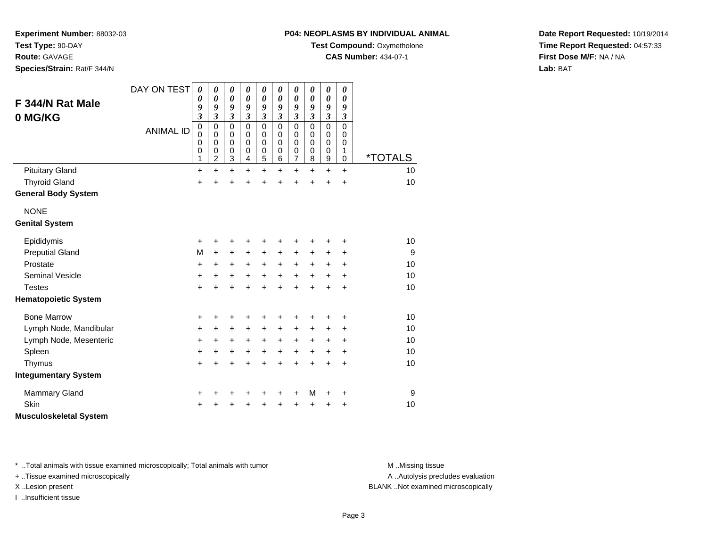**Test Type:** 90-DAY

**Route:** GAVAGE

**Species/Strain:** Rat/F 344/N

# **P04: NEOPLASMS BY INDIVIDUAL ANIMAL**

**Test Compound: Oxymetholone** 

**CAS Number:** 434-07-1

**Date Report Requested:** 10/19/2014**Time Report Requested:** 04:57:33**First Dose M/F:** NA / NA**Lab:** BAT

| F 344/N Rat Male<br>0 MG/KG                  | DAY ON TEST<br><b>ANIMAL ID</b> | $\boldsymbol{\theta}$<br>0<br>9<br>$\mathfrak{z}$<br>$\mathbf 0$<br>0<br>$\Omega$<br>$\pmb{0}$<br>1 | 0<br>$\boldsymbol{\theta}$<br>9<br>$\overline{\mathbf{3}}$<br>$\mathbf 0$<br>0<br>$\mathbf 0$<br>$\mathbf 0$<br>$\overline{c}$ | 0<br>$\boldsymbol{\theta}$<br>9<br>$\overline{\mathbf{3}}$<br>$\mathbf 0$<br>0<br>$\mathbf 0$<br>$\mathbf 0$<br>3 | 0<br>0<br>9<br>$\mathfrak{z}$<br>$\mathbf 0$<br>0<br>$\mathbf 0$<br>$\pmb{0}$<br>4 | 0<br>0<br>9<br>$\overline{\mathbf{3}}$<br>$\mathbf 0$<br>0<br>$\mathbf 0$<br>0<br>5 | 0<br>$\boldsymbol{\theta}$<br>9<br>$\mathfrak{z}$<br>$\mathbf 0$<br>0<br>$\Omega$<br>$\pmb{0}$<br>$\,6$ | 0<br>$\boldsymbol{\theta}$<br>9<br>$\mathfrak{z}$<br>$\mathbf 0$<br>0<br>$\mathbf 0$<br>0<br>7 | 0<br>0<br>9<br>$\overline{\mathbf{3}}$<br>$\mathbf 0$<br>0<br>0<br>0<br>8 | $\boldsymbol{\theta}$<br>$\boldsymbol{\theta}$<br>9<br>$\mathfrak{z}$<br>$\mathbf 0$<br>0<br>$\mathbf 0$<br>$\pmb{0}$<br>9 | 0<br>$\boldsymbol{\theta}$<br>9<br>$\overline{\mathbf{3}}$<br>$\Omega$<br>0<br>0<br>1<br>$\mathbf 0$ | <i><b>*TOTALS</b></i> |
|----------------------------------------------|---------------------------------|-----------------------------------------------------------------------------------------------------|--------------------------------------------------------------------------------------------------------------------------------|-------------------------------------------------------------------------------------------------------------------|------------------------------------------------------------------------------------|-------------------------------------------------------------------------------------|---------------------------------------------------------------------------------------------------------|------------------------------------------------------------------------------------------------|---------------------------------------------------------------------------|----------------------------------------------------------------------------------------------------------------------------|------------------------------------------------------------------------------------------------------|-----------------------|
| <b>Pituitary Gland</b>                       |                                 | $\ddot{}$                                                                                           | $\ddot{}$                                                                                                                      | $\ddot{}$                                                                                                         | $\ddot{}$                                                                          | $\ddot{}$                                                                           | $\ddot{}$                                                                                               | $\ddot{}$                                                                                      | $\ddot{}$                                                                 | $\ddot{}$                                                                                                                  | $\ddot{}$                                                                                            | 10                    |
| <b>Thyroid Gland</b>                         |                                 | +                                                                                                   | $\ddot{}$                                                                                                                      | +                                                                                                                 | $\ddot{}$                                                                          | $\ddot{}$                                                                           | $\ddot{}$                                                                                               | +                                                                                              | Ŧ.                                                                        | +                                                                                                                          | $\ddot{}$                                                                                            | 10                    |
| <b>General Body System</b>                   |                                 |                                                                                                     |                                                                                                                                |                                                                                                                   |                                                                                    |                                                                                     |                                                                                                         |                                                                                                |                                                                           |                                                                                                                            |                                                                                                      |                       |
| <b>NONE</b><br><b>Genital System</b>         |                                 |                                                                                                     |                                                                                                                                |                                                                                                                   |                                                                                    |                                                                                     |                                                                                                         |                                                                                                |                                                                           |                                                                                                                            |                                                                                                      |                       |
|                                              |                                 |                                                                                                     |                                                                                                                                |                                                                                                                   |                                                                                    |                                                                                     |                                                                                                         |                                                                                                |                                                                           |                                                                                                                            |                                                                                                      |                       |
| Epididymis                                   |                                 | +                                                                                                   | ٠                                                                                                                              | +                                                                                                                 | ٠                                                                                  | +                                                                                   | ٠                                                                                                       | +                                                                                              | +                                                                         | +                                                                                                                          | +                                                                                                    | 10                    |
| <b>Preputial Gland</b>                       |                                 | M                                                                                                   | +                                                                                                                              | +                                                                                                                 | +                                                                                  | +                                                                                   | $\ddot{}$                                                                                               | +                                                                                              | +                                                                         | +                                                                                                                          | +                                                                                                    | 9                     |
| Prostate                                     |                                 | +                                                                                                   | +                                                                                                                              | +                                                                                                                 | +                                                                                  | $\ddot{}$                                                                           | $\ddot{}$                                                                                               | $\ddot{}$                                                                                      | $\ddot{}$                                                                 | $\ddot{}$                                                                                                                  | +                                                                                                    | 10                    |
| <b>Seminal Vesicle</b>                       |                                 | +                                                                                                   | $\pm$                                                                                                                          | +                                                                                                                 | $\ddot{}$                                                                          | +                                                                                   | $+$                                                                                                     | $\ddot{}$                                                                                      | $\ddot{}$                                                                 | $\ddot{}$                                                                                                                  | $\ddot{}$                                                                                            | 10                    |
| <b>Testes</b><br><b>Hematopoietic System</b> |                                 | $\ddot{}$                                                                                           | $\ddot{}$                                                                                                                      | $\ddot{}$                                                                                                         | $\ddot{}$                                                                          | $\ddot{}$                                                                           | $\ddot{}$                                                                                               | $\ddot{}$                                                                                      | $\ddot{}$                                                                 | $\ddot{}$                                                                                                                  | $\ddot{}$                                                                                            | 10                    |
|                                              |                                 |                                                                                                     |                                                                                                                                |                                                                                                                   |                                                                                    |                                                                                     |                                                                                                         |                                                                                                |                                                                           |                                                                                                                            |                                                                                                      |                       |
| <b>Bone Marrow</b>                           |                                 | +                                                                                                   | +                                                                                                                              | +                                                                                                                 | +                                                                                  | +                                                                                   | +                                                                                                       | +                                                                                              | +                                                                         | +                                                                                                                          | +                                                                                                    | 10                    |
| Lymph Node, Mandibular                       |                                 | +                                                                                                   | $\pm$                                                                                                                          | +                                                                                                                 | $\ddot{}$                                                                          | +                                                                                   | $\ddot{}$                                                                                               | +                                                                                              | +                                                                         | +                                                                                                                          | +                                                                                                    | 10                    |
| Lymph Node, Mesenteric                       |                                 | +                                                                                                   | +                                                                                                                              | +                                                                                                                 | $\ddot{}$                                                                          | $\ddot{}$                                                                           | $\ddot{}$                                                                                               | $\ddot{}$                                                                                      | +                                                                         | +                                                                                                                          | +                                                                                                    | 10                    |
| Spleen                                       |                                 | +                                                                                                   | +                                                                                                                              | +                                                                                                                 | +                                                                                  | $\ddot{}$                                                                           | $\ddot{}$                                                                                               | $\ddot{}$                                                                                      | $\ddot{}$                                                                 | $\ddot{}$                                                                                                                  | +                                                                                                    | 10                    |
| Thymus                                       |                                 | $\ddot{}$                                                                                           | $\ddot{}$                                                                                                                      | $\ddot{}$                                                                                                         | $\ddot{}$                                                                          | $\ddot{}$                                                                           | $\ddot{}$                                                                                               | $\ddot{}$                                                                                      | $\ddot{}$                                                                 | $\ddot{}$                                                                                                                  | $\ddot{}$                                                                                            | 10                    |
| <b>Integumentary System</b>                  |                                 |                                                                                                     |                                                                                                                                |                                                                                                                   |                                                                                    |                                                                                     |                                                                                                         |                                                                                                |                                                                           |                                                                                                                            |                                                                                                      |                       |
| <b>Mammary Gland</b>                         |                                 | +                                                                                                   | +                                                                                                                              | +                                                                                                                 | ٠                                                                                  | +                                                                                   | +                                                                                                       | +                                                                                              | M                                                                         | +                                                                                                                          | +                                                                                                    | 9                     |
| Skin                                         |                                 | +                                                                                                   |                                                                                                                                | +                                                                                                                 | +                                                                                  | +                                                                                   | +                                                                                                       | +                                                                                              | +                                                                         | $\ddot{}$                                                                                                                  | +                                                                                                    | 10                    |
| <b>Musculoskeletal System</b>                |                                 |                                                                                                     |                                                                                                                                |                                                                                                                   |                                                                                    |                                                                                     |                                                                                                         |                                                                                                |                                                                           |                                                                                                                            |                                                                                                      |                       |

\* ..Total animals with tissue examined microscopically; Total animals with tumor **M** . Missing tissue M ..Missing tissue

+ ..Tissue examined microscopically

I ..Insufficient tissue

A ..Autolysis precludes evaluation

X ..Lesion present BLANK ..Not examined microscopically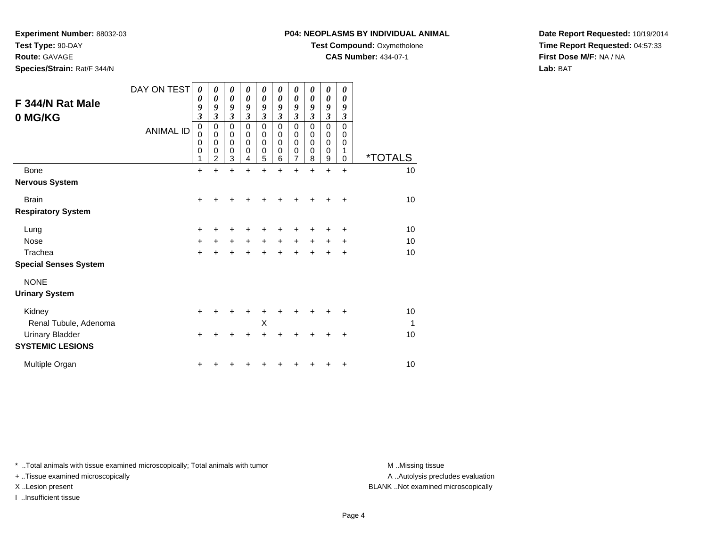**Test Type:** 90-DAY

**Route:** GAVAGE

**Species/Strain:** Rat/F 344/N

# **P04: NEOPLASMS BY INDIVIDUAL ANIMAL**

**Test Compound:** Oxymetholone

**CAS Number:** 434-07-1

**Date Report Requested:** 10/19/2014**Time Report Requested:** 04:57:33**First Dose M/F:** NA / NA**Lab:** BAT

| F 344/N Rat Male<br>0 MG/KG          | DAY ON TEST<br><b>ANIMAL ID</b> | 0<br>0<br>9<br>$\overline{\mathbf{3}}$<br>$\mathbf 0$<br>$\mathbf 0$<br>0<br>0<br>1 | 0<br>$\boldsymbol{\theta}$<br>9<br>$\mathfrak{z}$<br>$\mathbf 0$<br>$\mathbf 0$<br>$\mathbf 0$<br>$\mathbf 0$<br>$\overline{2}$ | 0<br>$\boldsymbol{\theta}$<br>9<br>$\boldsymbol{\beta}$<br>0<br>$\mathbf 0$<br>$\mathbf 0$<br>$\mathbf 0$<br>3 | 0<br>$\boldsymbol{\theta}$<br>9<br>$\mathfrak{z}$<br>$\mathbf 0$<br>0<br>$\mathbf 0$<br>$\mathbf 0$<br>4 | 0<br>$\boldsymbol{\theta}$<br>$\boldsymbol{g}$<br>$\mathfrak{z}$<br>$\pmb{0}$<br>$\mathbf 0$<br>$\mathbf 0$<br>$\mathbf 0$<br>5 | 0<br>0<br>9<br>3<br>$\mathbf 0$<br>0<br>0<br>0<br>6 | 0<br>$\boldsymbol{\theta}$<br>9<br>$\mathfrak{z}$<br>$\mathbf 0$<br>0<br>0<br>0<br>$\overline{7}$ | 0<br>$\boldsymbol{\theta}$<br>9<br>3<br>$\Omega$<br>$\Omega$<br>$\Omega$<br>$\Omega$<br>8 | 0<br>$\boldsymbol{\theta}$<br>9<br>$\mathfrak{z}$<br>0<br>0<br>0<br>0<br>9 | 0<br>0<br>9<br>3<br>$\mathbf 0$<br>$\mathbf 0$<br>0<br>1<br>$\mathbf 0$ | <i><b>*TOTALS</b></i> |
|--------------------------------------|---------------------------------|-------------------------------------------------------------------------------------|---------------------------------------------------------------------------------------------------------------------------------|----------------------------------------------------------------------------------------------------------------|----------------------------------------------------------------------------------------------------------|---------------------------------------------------------------------------------------------------------------------------------|-----------------------------------------------------|---------------------------------------------------------------------------------------------------|-------------------------------------------------------------------------------------------|----------------------------------------------------------------------------|-------------------------------------------------------------------------|-----------------------|
| <b>Bone</b>                          |                                 | $\ddot{}$                                                                           | $\ddot{}$                                                                                                                       | $\ddot{}$                                                                                                      | $\div$                                                                                                   | $\ddot{}$                                                                                                                       | $\ddot{}$                                           | $\ddot{}$                                                                                         | $\ddot{}$                                                                                 | $\ddot{}$                                                                  | $\ddot{}$                                                               | 10                    |
| <b>Nervous System</b>                |                                 |                                                                                     |                                                                                                                                 |                                                                                                                |                                                                                                          |                                                                                                                                 |                                                     |                                                                                                   |                                                                                           |                                                                            |                                                                         |                       |
| <b>Brain</b>                         |                                 | $\ddot{}$                                                                           |                                                                                                                                 |                                                                                                                |                                                                                                          |                                                                                                                                 |                                                     |                                                                                                   |                                                                                           |                                                                            | $\ddot{}$                                                               | 10                    |
| <b>Respiratory System</b>            |                                 |                                                                                     |                                                                                                                                 |                                                                                                                |                                                                                                          |                                                                                                                                 |                                                     |                                                                                                   |                                                                                           |                                                                            |                                                                         |                       |
| Lung                                 |                                 | +                                                                                   |                                                                                                                                 |                                                                                                                |                                                                                                          |                                                                                                                                 |                                                     | +                                                                                                 | ┿                                                                                         | +                                                                          | ÷                                                                       | 10                    |
| <b>Nose</b>                          |                                 | +                                                                                   | $\ddot{}$                                                                                                                       | $\ddot{}$                                                                                                      | $\ddot{}$                                                                                                | $\ddot{}$                                                                                                                       | $\ddot{}$                                           | $\ddot{}$                                                                                         | $\ddot{}$                                                                                 | $\ddot{}$                                                                  | +                                                                       | 10                    |
| Trachea                              |                                 | $\ddot{}$                                                                           | $\ddot{}$                                                                                                                       | $\ddot{}$                                                                                                      | $\ddot{}$                                                                                                | $+$                                                                                                                             | $\ddot{}$                                           | $\ddot{}$                                                                                         | $\ddot{}$                                                                                 | $\ddot{}$                                                                  | $\ddot{}$                                                               | 10                    |
| <b>Special Senses System</b>         |                                 |                                                                                     |                                                                                                                                 |                                                                                                                |                                                                                                          |                                                                                                                                 |                                                     |                                                                                                   |                                                                                           |                                                                            |                                                                         |                       |
| <b>NONE</b><br><b>Urinary System</b> |                                 |                                                                                     |                                                                                                                                 |                                                                                                                |                                                                                                          |                                                                                                                                 |                                                     |                                                                                                   |                                                                                           |                                                                            |                                                                         |                       |
| Kidney                               |                                 | +                                                                                   |                                                                                                                                 |                                                                                                                |                                                                                                          |                                                                                                                                 |                                                     |                                                                                                   |                                                                                           |                                                                            |                                                                         | 10                    |
| Renal Tubule, Adenoma                |                                 |                                                                                     |                                                                                                                                 |                                                                                                                |                                                                                                          | X                                                                                                                               |                                                     |                                                                                                   |                                                                                           |                                                                            |                                                                         | -1                    |
| <b>Urinary Bladder</b>               |                                 | $\ddot{}$                                                                           |                                                                                                                                 |                                                                                                                |                                                                                                          | $\div$                                                                                                                          |                                                     | +                                                                                                 | +                                                                                         | +                                                                          | $\ddot{}$                                                               | 10                    |
| <b>SYSTEMIC LESIONS</b>              |                                 |                                                                                     |                                                                                                                                 |                                                                                                                |                                                                                                          |                                                                                                                                 |                                                     |                                                                                                   |                                                                                           |                                                                            |                                                                         |                       |
| Multiple Organ                       |                                 | +                                                                                   |                                                                                                                                 |                                                                                                                |                                                                                                          |                                                                                                                                 |                                                     |                                                                                                   |                                                                                           |                                                                            | +                                                                       | 10                    |

\* ..Total animals with tissue examined microscopically; Total animals with tumor **M** . Missing tissue M ..Missing tissue

+ ..Tissue examined microscopically

I ..Insufficient tissue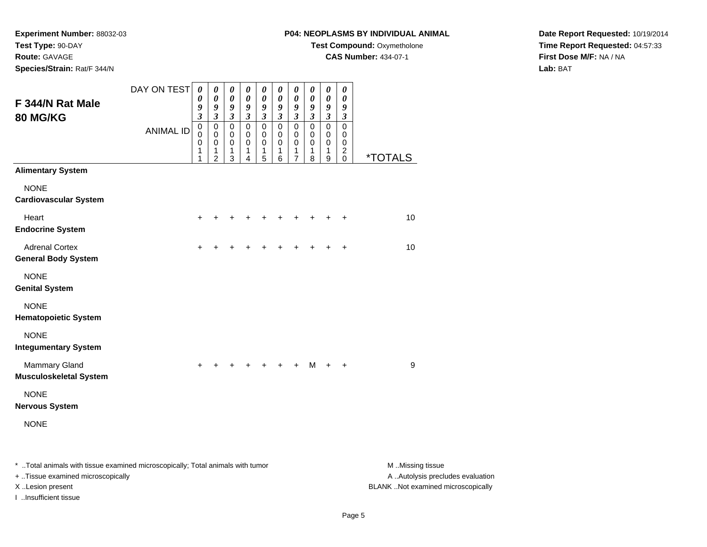**Experiment Number:** 88032-03**Test Type:** 90-DAY**Route:** GAVAGE

**Species/Strain:** Rat/F 344/N

# **P04: NEOPLASMS BY INDIVIDUAL ANIMAL**

**Test Compound: Oxymetholone** 

**CAS Number:** 434-07-1

**Date Report Requested:** 10/19/2014**Time Report Requested:** 04:57:33**First Dose M/F:** NA / NA**Lab:** BAT

| F 344/N Rat Male<br>80 MG/KG                                                   | DAY ON TEST      | 0<br>0<br>9<br>$\mathfrak{z}$ | $\boldsymbol{\theta}$<br>$\boldsymbol{\theta}$<br>9<br>$\overline{\mathbf{3}}$ | $\boldsymbol{\theta}$<br>$\boldsymbol{\theta}$<br>9<br>$\mathfrak{z}$ | $\boldsymbol{\theta}$<br>$\boldsymbol{\theta}$<br>$\boldsymbol{9}$<br>$\mathfrak{z}$ | 0<br>$\boldsymbol{\theta}$<br>9<br>$\mathfrak{z}$ | 0<br>$\boldsymbol{\theta}$<br>9<br>$\mathfrak{z}$ | 0<br>$\boldsymbol{\theta}$<br>9<br>$\boldsymbol{\mathfrak{z}}$ | 0<br>0<br>9<br>$\mathfrak{z}$                       | $\pmb{\theta}$<br>$\boldsymbol{\theta}$<br>9<br>$\mathfrak{z}$ | $\boldsymbol{\theta}$<br>$\boldsymbol{\theta}$<br>9<br>$\mathfrak{z}$        |                       |
|--------------------------------------------------------------------------------|------------------|-------------------------------|--------------------------------------------------------------------------------|-----------------------------------------------------------------------|--------------------------------------------------------------------------------------|---------------------------------------------------|---------------------------------------------------|----------------------------------------------------------------|-----------------------------------------------------|----------------------------------------------------------------|------------------------------------------------------------------------------|-----------------------|
|                                                                                | <b>ANIMAL ID</b> | $\pmb{0}$<br>0<br>0<br>1<br>1 | $\pmb{0}$<br>$\Omega$<br>0<br>1<br>$\overline{2}$                              | $\mathbf 0$<br>$\mathbf 0$<br>$\pmb{0}$<br>1<br>3                     | $\mathbf 0$<br>$\mathbf 0$<br>0<br>1<br>4                                            | $\pmb{0}$<br>$\mathbf 0$<br>$\pmb{0}$<br>1<br>5   | $\mathbf 0$<br>$\mathbf 0$<br>0<br>1<br>6         | $\mathsf 0$<br>$\mathbf 0$<br>0<br>1<br>$\overline{7}$         | $\mathsf 0$<br>$\mathbf 0$<br>0<br>$\mathbf 1$<br>8 | $\pmb{0}$<br>$\mathbf 0$<br>$\pmb{0}$<br>1<br>9                | $\mathbf 0$<br>$\mathbf 0$<br>$\mathbf 0$<br>$\boldsymbol{2}$<br>$\mathbf 0$ | <i><b>*TOTALS</b></i> |
| <b>Alimentary System</b>                                                       |                  |                               |                                                                                |                                                                       |                                                                                      |                                                   |                                                   |                                                                |                                                     |                                                                |                                                                              |                       |
| <b>NONE</b><br><b>Cardiovascular System</b>                                    |                  |                               |                                                                                |                                                                       |                                                                                      |                                                   |                                                   |                                                                |                                                     |                                                                |                                                                              |                       |
| Heart<br><b>Endocrine System</b>                                               |                  |                               |                                                                                |                                                                       |                                                                                      |                                                   |                                                   |                                                                |                                                     |                                                                |                                                                              | 10                    |
| <b>Adrenal Cortex</b><br><b>General Body System</b>                            |                  | $\ddot{}$                     |                                                                                |                                                                       |                                                                                      |                                                   |                                                   |                                                                |                                                     |                                                                | +                                                                            | 10                    |
| <b>NONE</b><br><b>Genital System</b>                                           |                  |                               |                                                                                |                                                                       |                                                                                      |                                                   |                                                   |                                                                |                                                     |                                                                |                                                                              |                       |
| <b>NONE</b><br><b>Hematopoietic System</b>                                     |                  |                               |                                                                                |                                                                       |                                                                                      |                                                   |                                                   |                                                                |                                                     |                                                                |                                                                              |                       |
| <b>NONE</b><br><b>Integumentary System</b>                                     |                  |                               |                                                                                |                                                                       |                                                                                      |                                                   |                                                   |                                                                |                                                     |                                                                |                                                                              |                       |
| <b>Mammary Gland</b><br><b>Musculoskeletal System</b>                          |                  | $\ddot{}$                     | +                                                                              |                                                                       | $\ddot{}$                                                                            | +                                                 | +                                                 | $\ddot{}$                                                      | $M +$                                               |                                                                | $\ddot{}$                                                                    | 9                     |
| <b>NONE</b><br><b>Nervous System</b>                                           |                  |                               |                                                                                |                                                                       |                                                                                      |                                                   |                                                   |                                                                |                                                     |                                                                |                                                                              |                       |
| <b>NONE</b>                                                                    |                  |                               |                                                                                |                                                                       |                                                                                      |                                                   |                                                   |                                                                |                                                     |                                                                |                                                                              |                       |
| * Total animals with tissue examined microscopically; Total animals with tumor |                  |                               |                                                                                |                                                                       |                                                                                      |                                                   |                                                   |                                                                |                                                     |                                                                |                                                                              | M Missing tissue      |

+ ..Tissue examined microscopically

I ..Insufficient tissue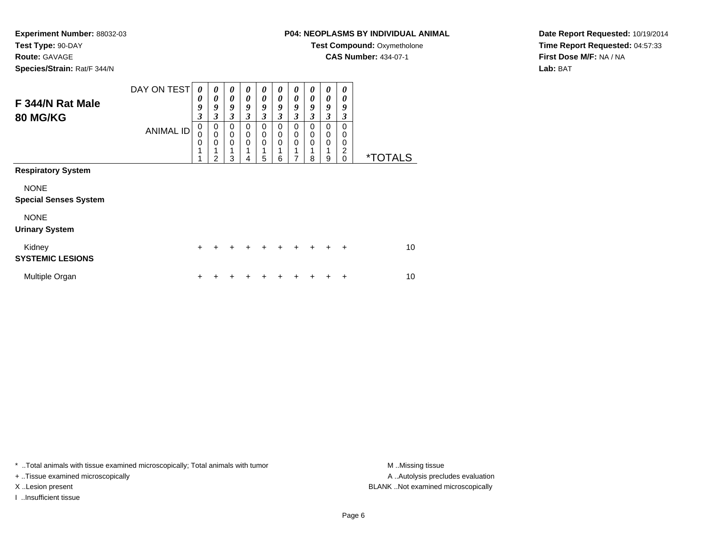#### **Route:** GAVAGE

**Species/Strain:** Rat/F 344/N

# **P04: NEOPLASMS BY INDIVIDUAL ANIMAL**

**Test Compound: Oxymetholone** 

**CAS Number:** 434-07-1

**Date Report Requested:** 10/19/2014**Time Report Requested:** 04:57:33**First Dose M/F:** NA / NA**Lab:** BAT

| F 344/N Rat Male<br><b>80 MG/KG</b>         | DAY ON TEST<br><b>ANIMAL ID</b> | 0<br>$\boldsymbol{\theta}$<br>9<br>$\boldsymbol{\beta}$<br>$\mathbf 0$<br>$\mathbf 0$<br>$\mathbf 0$<br>1<br>4 | $\boldsymbol{\theta}$<br>$\boldsymbol{\theta}$<br>9<br>3<br>$\mathbf 0$<br>$\mathbf 0$<br>0<br>2 | $\boldsymbol{\theta}$<br>$\boldsymbol{\theta}$<br>9<br>$\boldsymbol{\beta}$<br>$\mathbf 0$<br>0<br>$\mathbf 0$<br>1<br>3 | 0<br>0<br>9<br>3<br>$\Omega$<br>0<br>0<br>4 | $\boldsymbol{\theta}$<br>$\boldsymbol{\theta}$<br>9<br>3<br>0<br>0<br>0<br>5 | 0<br>$\theta$<br>9<br>3<br>$\Omega$<br>0<br>0<br>6 | 0<br>0<br>9<br>3<br>0<br>0<br>0<br>1<br>7 | 0<br>$\boldsymbol{\theta}$<br>9<br>3<br>0<br>0<br>0<br>8 | 0<br>0<br>9<br>3<br>0<br>0<br>0<br>9 | 0<br>0<br>9<br>3<br>$\Omega$<br>0<br>0<br>2<br>$\Omega$ | <i><b>*TOTALS</b></i> |
|---------------------------------------------|---------------------------------|----------------------------------------------------------------------------------------------------------------|--------------------------------------------------------------------------------------------------|--------------------------------------------------------------------------------------------------------------------------|---------------------------------------------|------------------------------------------------------------------------------|----------------------------------------------------|-------------------------------------------|----------------------------------------------------------|--------------------------------------|---------------------------------------------------------|-----------------------|
| <b>Respiratory System</b>                   |                                 |                                                                                                                |                                                                                                  |                                                                                                                          |                                             |                                                                              |                                                    |                                           |                                                          |                                      |                                                         |                       |
| <b>NONE</b><br><b>Special Senses System</b> |                                 |                                                                                                                |                                                                                                  |                                                                                                                          |                                             |                                                                              |                                                    |                                           |                                                          |                                      |                                                         |                       |
| <b>NONE</b><br><b>Urinary System</b>        |                                 |                                                                                                                |                                                                                                  |                                                                                                                          |                                             |                                                                              |                                                    |                                           |                                                          |                                      |                                                         |                       |
| Kidney<br><b>SYSTEMIC LESIONS</b>           |                                 | $\ddot{}$                                                                                                      |                                                                                                  |                                                                                                                          | +                                           | ٠                                                                            | +                                                  | ÷                                         |                                                          | ٠                                    | ÷                                                       | 10                    |
| Multiple Organ                              |                                 | +                                                                                                              |                                                                                                  |                                                                                                                          |                                             |                                                                              |                                                    |                                           |                                                          |                                      | +                                                       | 10                    |

\* ..Total animals with tissue examined microscopically; Total animals with tumor **M** . Missing tissue M ..Missing tissue

+ ..Tissue examined microscopically

I ..Insufficient tissue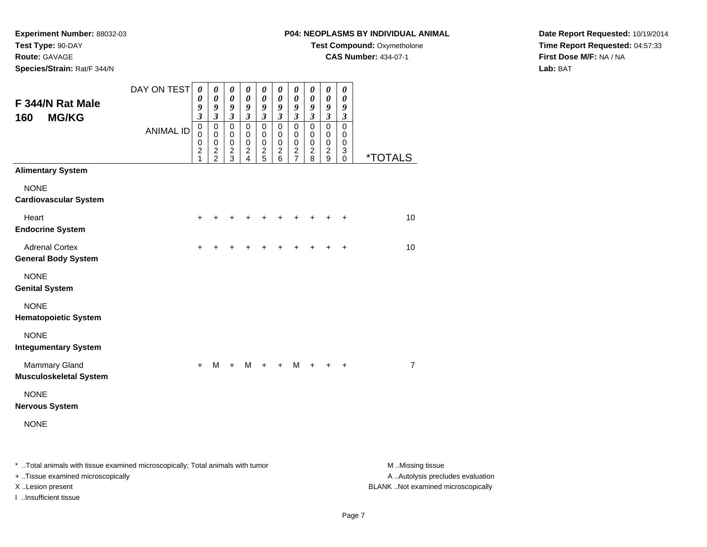# **Route:** GAVAGE

**Species/Strain:** Rat/F 344/N

## **P04: NEOPLASMS BY INDIVIDUAL ANIMAL**

**Test Compound: Oxymetholone** 

**CAS Number:** 434-07-1

**Date Report Requested:** 10/19/2014**Time Report Requested:** 04:57:33**First Dose M/F:** NA / NA**Lab:** BAT

| F 344/N Rat Male<br><b>MG/KG</b><br>160               | DAY ON TEST<br><b>ANIMAL ID</b> | 0<br>0<br>9<br>3<br>$\mathbf 0$<br>$\mathbf 0$<br>$\mathbf 0$<br>$\overline{\mathbf{c}}$<br>1 | 0<br>$\boldsymbol{\theta}$<br>9<br>$\mathfrak{z}$<br>$\pmb{0}$<br>$\pmb{0}$<br>$\pmb{0}$<br>$\frac{2}{2}$ | 0<br>$\boldsymbol{\theta}$<br>$\boldsymbol{g}$<br>$\mathfrak{z}$<br>$\mathbf 0$<br>0<br>$\pmb{0}$<br>$\frac{2}{3}$ | $\boldsymbol{\theta}$<br>$\pmb{\theta}$<br>$\pmb{9}$<br>$\mathfrak{z}$<br>$\pmb{0}$<br>$\pmb{0}$<br>$\pmb{0}$<br>$\frac{2}{4}$ | 0<br>$\boldsymbol{\theta}$<br>9<br>$\mathfrak{z}$<br>$\mathbf 0$<br>0<br>$\mathbf 0$<br>$\overline{c}$<br>5 | 0<br>$\boldsymbol{\theta}$<br>9<br>$\boldsymbol{\mathfrak{z}}$<br>$\pmb{0}$<br>0<br>$\pmb{0}$<br>$\frac{2}{6}$ | 0<br>$\boldsymbol{\theta}$<br>9<br>$\boldsymbol{\mathfrak{z}}$<br>$\mathbf 0$<br>0<br>$\mathbf 0$<br>$\frac{2}{7}$ | 0<br>$\boldsymbol{\theta}$<br>9<br>$\mathfrak{z}$<br>$\pmb{0}$<br>0<br>$\pmb{0}$<br>$\frac{2}{8}$ | 0<br>$\boldsymbol{\theta}$<br>9<br>$\mathfrak{z}$<br>$\pmb{0}$<br>0<br>$\mathbf 0$<br>$\boldsymbol{2}$<br>9 | $\boldsymbol{\theta}$<br>$\boldsymbol{\theta}$<br>9<br>$\boldsymbol{\beta}$<br>$\pmb{0}$<br>0<br>$\mathbf 0$<br>3<br>$\mathbf 0$ | <i><b>*TOTALS</b></i> |
|-------------------------------------------------------|---------------------------------|-----------------------------------------------------------------------------------------------|-----------------------------------------------------------------------------------------------------------|--------------------------------------------------------------------------------------------------------------------|--------------------------------------------------------------------------------------------------------------------------------|-------------------------------------------------------------------------------------------------------------|----------------------------------------------------------------------------------------------------------------|--------------------------------------------------------------------------------------------------------------------|---------------------------------------------------------------------------------------------------|-------------------------------------------------------------------------------------------------------------|----------------------------------------------------------------------------------------------------------------------------------|-----------------------|
| <b>Alimentary System</b>                              |                                 |                                                                                               |                                                                                                           |                                                                                                                    |                                                                                                                                |                                                                                                             |                                                                                                                |                                                                                                                    |                                                                                                   |                                                                                                             |                                                                                                                                  |                       |
| <b>NONE</b><br><b>Cardiovascular System</b>           |                                 |                                                                                               |                                                                                                           |                                                                                                                    |                                                                                                                                |                                                                                                             |                                                                                                                |                                                                                                                    |                                                                                                   |                                                                                                             |                                                                                                                                  |                       |
| Heart<br><b>Endocrine System</b>                      |                                 | $\ddot{}$                                                                                     |                                                                                                           |                                                                                                                    |                                                                                                                                |                                                                                                             |                                                                                                                |                                                                                                                    |                                                                                                   | +                                                                                                           | $\ddot{}$                                                                                                                        | 10                    |
| <b>Adrenal Cortex</b><br><b>General Body System</b>   |                                 | $\ddot{}$                                                                                     |                                                                                                           |                                                                                                                    |                                                                                                                                |                                                                                                             |                                                                                                                |                                                                                                                    |                                                                                                   |                                                                                                             | $\ddot{}$                                                                                                                        | 10                    |
| <b>NONE</b><br><b>Genital System</b>                  |                                 |                                                                                               |                                                                                                           |                                                                                                                    |                                                                                                                                |                                                                                                             |                                                                                                                |                                                                                                                    |                                                                                                   |                                                                                                             |                                                                                                                                  |                       |
| <b>NONE</b><br><b>Hematopoietic System</b>            |                                 |                                                                                               |                                                                                                           |                                                                                                                    |                                                                                                                                |                                                                                                             |                                                                                                                |                                                                                                                    |                                                                                                   |                                                                                                             |                                                                                                                                  |                       |
| <b>NONE</b><br><b>Integumentary System</b>            |                                 |                                                                                               |                                                                                                           |                                                                                                                    |                                                                                                                                |                                                                                                             |                                                                                                                |                                                                                                                    |                                                                                                   |                                                                                                             |                                                                                                                                  |                       |
| <b>Mammary Gland</b><br><b>Musculoskeletal System</b> |                                 | $+$                                                                                           | M                                                                                                         | $\ddot{}$                                                                                                          | M                                                                                                                              | $\ddot{}$                                                                                                   | $\ddot{}$                                                                                                      | M                                                                                                                  | $+$                                                                                               | $+$                                                                                                         | $\ddot{}$                                                                                                                        | $\overline{7}$        |
| <b>NONE</b><br><b>Nervous System</b>                  |                                 |                                                                                               |                                                                                                           |                                                                                                                    |                                                                                                                                |                                                                                                             |                                                                                                                |                                                                                                                    |                                                                                                   |                                                                                                             |                                                                                                                                  |                       |
| <b>NONE</b>                                           |                                 |                                                                                               |                                                                                                           |                                                                                                                    |                                                                                                                                |                                                                                                             |                                                                                                                |                                                                                                                    |                                                                                                   |                                                                                                             |                                                                                                                                  |                       |

\* ..Total animals with tissue examined microscopically; Total animals with tumor **M** . Missing tissue M ..Missing tissue

+ ..Tissue examined microscopically

I ..Insufficient tissue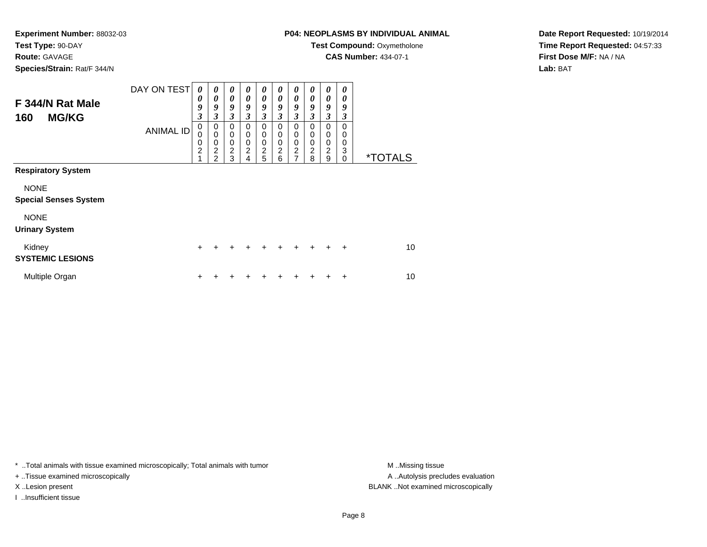**Route:** GAVAGE

**Species/Strain:** Rat/F 344/N

# **P04: NEOPLASMS BY INDIVIDUAL ANIMAL**

**Test Compound: Oxymetholone** 

**CAS Number:** 434-07-1

**Date Report Requested:** 10/19/2014**Time Report Requested:** 04:57:33**First Dose M/F:** NA / NA**Lab:** BAT

| F 344/N Rat Male<br><b>MG/KG</b><br>160     | DAY ON TEST<br><b>ANIMAL ID</b> | 0<br>0<br>9<br>$\boldsymbol{\beta}$<br>$\mathbf 0$<br>$\mathbf 0$<br>0<br>$\overline{c}$ | 0<br>0<br>9<br>3<br>$\mathbf 0$<br>$\mathbf 0$<br>$\mathbf 0$<br>$\overline{\mathbf{c}}$ | 0<br>$\boldsymbol{\theta}$<br>9<br>3<br>$\Omega$<br>$\pmb{0}$<br>$\pmb{0}$<br>$\boldsymbol{2}$ | $\boldsymbol{\theta}$<br>$\boldsymbol{\theta}$<br>9<br>3<br>0<br>$\mathbf 0$<br>0<br>$\boldsymbol{2}$ | 0<br>0<br>9<br>3<br>$\Omega$<br>0<br>0<br>$\frac{2}{5}$ | 0<br>0<br>9<br>3<br>0<br>0<br>0<br>$\overline{c}$ | 0<br>0<br>9<br>3<br>0<br>0<br>0<br>$\frac{2}{7}$ | $\boldsymbol{\theta}$<br>0<br>9<br>3<br>$\Omega$<br>0<br>0<br>2 | 0<br>$\boldsymbol{\theta}$<br>9<br>3<br>$\Omega$<br>$\mathbf 0$<br>$\mathbf 0$<br>$\overline{c}$ | 0<br>0<br>9<br>3<br>0<br>0<br>0<br>3 |                       |
|---------------------------------------------|---------------------------------|------------------------------------------------------------------------------------------|------------------------------------------------------------------------------------------|------------------------------------------------------------------------------------------------|-------------------------------------------------------------------------------------------------------|---------------------------------------------------------|---------------------------------------------------|--------------------------------------------------|-----------------------------------------------------------------|--------------------------------------------------------------------------------------------------|--------------------------------------|-----------------------|
| <b>Respiratory System</b>                   |                                 | 1                                                                                        | $\overline{2}$                                                                           | 3                                                                                              | 4                                                                                                     |                                                         | 6                                                 |                                                  | 8                                                               | 9                                                                                                | $\Omega$                             | <i><b>*TOTALS</b></i> |
| <b>NONE</b><br><b>Special Senses System</b> |                                 |                                                                                          |                                                                                          |                                                                                                |                                                                                                       |                                                         |                                                   |                                                  |                                                                 |                                                                                                  |                                      |                       |
| <b>NONE</b><br><b>Urinary System</b>        |                                 |                                                                                          |                                                                                          |                                                                                                |                                                                                                       |                                                         |                                                   |                                                  |                                                                 |                                                                                                  |                                      |                       |
| Kidney<br><b>SYSTEMIC LESIONS</b>           |                                 | $\ddot{}$                                                                                |                                                                                          | ٠                                                                                              | +                                                                                                     | +                                                       | ÷                                                 | ٠                                                | $\div$                                                          |                                                                                                  | $\ddot{}$                            | 10                    |
| Multiple Organ                              |                                 | +                                                                                        |                                                                                          |                                                                                                |                                                                                                       |                                                         |                                                   |                                                  |                                                                 |                                                                                                  | ÷                                    | 10                    |

\* ..Total animals with tissue examined microscopically; Total animals with tumor **M** . Missing tissue M ..Missing tissue

+ ..Tissue examined microscopically

I ..Insufficient tissue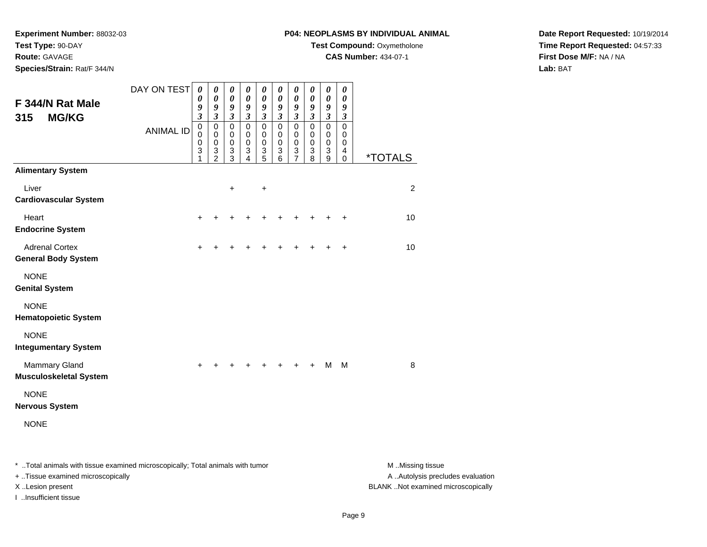**Route:** GAVAGE

**Species/Strain:** Rat/F 344/N

# **P04: NEOPLASMS BY INDIVIDUAL ANIMAL**

**Test Compound: Oxymetholone** 

**CAS Number:** 434-07-1

**Date Report Requested:** 10/19/2014**Time Report Requested:** 04:57:33**First Dose M/F:** NA / NA**Lab:** BAT

|                                                                                 | DAY ON TEST      | $\boldsymbol{\theta}$            | $\boldsymbol{\theta}$                       | 0                                    | $\boldsymbol{\theta}$               | $\boldsymbol{\theta}$               | 0                              | 0                             | 0                                   | $\boldsymbol{\theta}$                         | 0                                   |                       |
|---------------------------------------------------------------------------------|------------------|----------------------------------|---------------------------------------------|--------------------------------------|-------------------------------------|-------------------------------------|--------------------------------|-------------------------------|-------------------------------------|-----------------------------------------------|-------------------------------------|-----------------------|
| F 344/N Rat Male                                                                |                  | $\boldsymbol{\theta}$<br>9       | 0<br>9                                      | 0<br>9                               | 0<br>9                              | 0<br>9                              | 0<br>9                         | 0<br>9                        | 0<br>9                              | 0<br>$\boldsymbol{g}$                         | 0<br>9                              |                       |
| 315<br><b>MG/KG</b>                                                             |                  | $\boldsymbol{\mathfrak{z}}$<br>0 | $\mathfrak{z}$<br>$\mathbf 0$               | $\overline{\mathbf{3}}$<br>$\pmb{0}$ | $\boldsymbol{\beta}$<br>$\mathbf 0$ | $\boldsymbol{\beta}$<br>$\mathbf 0$ | $\mathfrak{z}$<br>$\mathbf 0$  | $\mathfrak{z}$<br>$\mathbf 0$ | $\boldsymbol{\beta}$<br>$\mathbf 0$ | $\mathfrak{z}$<br>$\mathbf 0$                 | $\boldsymbol{\beta}$<br>$\mathbf 0$ |                       |
|                                                                                 | <b>ANIMAL ID</b> | $\mathbf 0$<br>$\mathbf 0$       | 0<br>$\mathbf 0$                            | 0<br>$\pmb{0}$                       | 0<br>$\mathbf 0$                    | 0<br>$\pmb{0}$                      | 0<br>$\pmb{0}$                 | 0<br>0                        | 0<br>$\mathbf 0$                    | $\pmb{0}$<br>0                                | 0<br>0                              |                       |
|                                                                                 |                  | 3<br>1                           | $\ensuremath{\mathsf{3}}$<br>$\overline{2}$ | 3<br>3                               | 3<br>4                              | 3<br>$\overline{5}$                 | $\ensuremath{\mathsf{3}}$<br>6 | $\frac{3}{7}$                 | $\ensuremath{\mathsf{3}}$<br>8      | $\ensuremath{\mathsf{3}}$<br>$\boldsymbol{9}$ | 4<br>$\mathbf 0$                    | <i><b>*TOTALS</b></i> |
| <b>Alimentary System</b>                                                        |                  |                                  |                                             |                                      |                                     |                                     |                                |                               |                                     |                                               |                                     |                       |
| Liver<br><b>Cardiovascular System</b>                                           |                  |                                  |                                             | $\ddot{}$                            |                                     | $\ddot{}$                           |                                |                               |                                     |                                               |                                     | $\overline{c}$        |
|                                                                                 |                  |                                  |                                             |                                      |                                     |                                     |                                |                               |                                     |                                               |                                     |                       |
| Heart<br><b>Endocrine System</b>                                                |                  | +                                |                                             |                                      |                                     |                                     | +                              |                               |                                     |                                               | +                                   | 10                    |
| <b>Adrenal Cortex</b><br><b>General Body System</b>                             |                  |                                  |                                             |                                      |                                     |                                     |                                |                               |                                     |                                               | ÷                                   | 10                    |
| <b>NONE</b><br><b>Genital System</b>                                            |                  |                                  |                                             |                                      |                                     |                                     |                                |                               |                                     |                                               |                                     |                       |
| <b>NONE</b><br><b>Hematopoietic System</b>                                      |                  |                                  |                                             |                                      |                                     |                                     |                                |                               |                                     |                                               |                                     |                       |
| <b>NONE</b><br><b>Integumentary System</b>                                      |                  |                                  |                                             |                                      |                                     |                                     |                                |                               |                                     |                                               |                                     |                       |
| <b>Mammary Gland</b><br><b>Musculoskeletal System</b>                           |                  | $\ddot{}$                        | +                                           | ٠                                    | +                                   | +                                   | +                              | $\ddot{}$                     | $\ddot{}$                           | м                                             | M                                   | 8                     |
| <b>NONE</b><br><b>Nervous System</b>                                            |                  |                                  |                                             |                                      |                                     |                                     |                                |                               |                                     |                                               |                                     |                       |
| <b>NONE</b>                                                                     |                  |                                  |                                             |                                      |                                     |                                     |                                |                               |                                     |                                               |                                     |                       |
| *  Total animals with tissue examined microscopically; Total animals with tumor |                  |                                  |                                             |                                      |                                     |                                     |                                |                               |                                     |                                               |                                     |                       |
|                                                                                 |                  |                                  |                                             |                                      |                                     |                                     |                                |                               |                                     |                                               |                                     | M Missing tissue      |

+ ..Tissue examined microscopically

I ..Insufficient tissue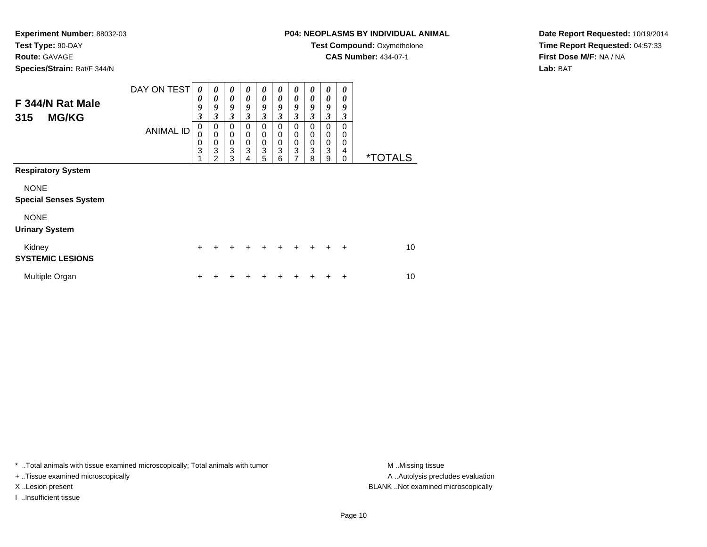#### **Route:** GAVAGE

**Species/Strain:** Rat/F 344/N

# **P04: NEOPLASMS BY INDIVIDUAL ANIMAL**

**Test Compound: Oxymetholone** 

**CAS Number:** 434-07-1

**Date Report Requested:** 10/19/2014**Time Report Requested:** 04:57:33**First Dose M/F:** NA / NA**Lab:** BAT

| F 344/N Rat Male<br><b>MG/KG</b><br>315     | DAY ON TEST<br><b>ANIMAL ID</b> | 0<br>0<br>9<br>$\boldsymbol{\beta}$<br>$\mathbf 0$<br>$\mathbf 0$<br>$\mathbf 0$<br>3 | 0<br>0<br>9<br>3<br>$\mathbf 0$<br>$\mathbf 0$<br>$\mathbf 0$<br>3<br>$\mathfrak{p}$ | 0<br>$\boldsymbol{\theta}$<br>9<br>3<br>$\Omega$<br>$\pmb{0}$<br>$\pmb{0}$<br>$\mathbf 3$<br>3 | $\boldsymbol{\theta}$<br>$\boldsymbol{\theta}$<br>9<br>3<br>0<br>0<br>0<br>3<br>4 | 0<br>0<br>9<br>3<br>$\Omega$<br>$\mathbf 0$<br>$\mathbf 0$<br>$\ensuremath{\mathsf{3}}$<br>5 | 0<br>0<br>9<br>3<br>0<br>0<br>0<br>3<br>6 | 0<br>0<br>9<br>3<br>0<br>0<br>0<br>3<br>7 | $\boldsymbol{\theta}$<br>0<br>9<br>3<br>$\Omega$<br>0<br>0<br>3<br>8 | 0<br>$\boldsymbol{\theta}$<br>9<br>3<br>$\Omega$<br>0<br>$\mathbf 0$<br>3<br>9 | 0<br>0<br>9<br>3<br>0<br>0<br>0<br>4<br>$\Omega$ | <i><b>*TOTALS</b></i> |
|---------------------------------------------|---------------------------------|---------------------------------------------------------------------------------------|--------------------------------------------------------------------------------------|------------------------------------------------------------------------------------------------|-----------------------------------------------------------------------------------|----------------------------------------------------------------------------------------------|-------------------------------------------|-------------------------------------------|----------------------------------------------------------------------|--------------------------------------------------------------------------------|--------------------------------------------------|-----------------------|
| <b>Respiratory System</b>                   |                                 |                                                                                       |                                                                                      |                                                                                                |                                                                                   |                                                                                              |                                           |                                           |                                                                      |                                                                                |                                                  |                       |
| <b>NONE</b><br><b>Special Senses System</b> |                                 |                                                                                       |                                                                                      |                                                                                                |                                                                                   |                                                                                              |                                           |                                           |                                                                      |                                                                                |                                                  |                       |
| <b>NONE</b><br><b>Urinary System</b>        |                                 |                                                                                       |                                                                                      |                                                                                                |                                                                                   |                                                                                              |                                           |                                           |                                                                      |                                                                                |                                                  |                       |
| Kidney<br><b>SYSTEMIC LESIONS</b>           |                                 | $\ddot{}$                                                                             |                                                                                      | ٠                                                                                              | +                                                                                 | +                                                                                            | ÷                                         | ÷                                         | $\div$                                                               |                                                                                | $\ddot{}$                                        | 10                    |
| Multiple Organ                              |                                 | ÷                                                                                     |                                                                                      |                                                                                                |                                                                                   |                                                                                              |                                           |                                           |                                                                      |                                                                                | ÷                                                | 10                    |

\* ..Total animals with tissue examined microscopically; Total animals with tumor **M** . Missing tissue M ..Missing tissue

+ ..Tissue examined microscopically

I ..Insufficient tissue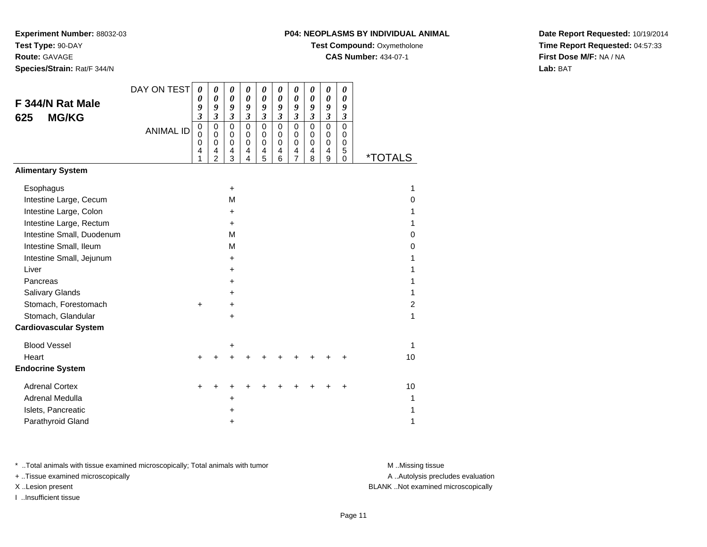**Experiment Number:** 88032-03**Test Type:** 90-DAY**Route:** GAVAGE

**Species/Strain:** Rat/F 344/N

# **P04: NEOPLASMS BY INDIVIDUAL ANIMAL**

**Test Compound: Oxymetholone** 

**CAS Number:** 434-07-1

**Date Report Requested:** 10/19/2014**Time Report Requested:** 04:57:33**First Dose M/F:** NA / NA**Lab:** BAT

| F 344/N Rat Male<br><b>MG/KG</b><br>625              | DAY ON TEST<br><b>ANIMAL ID</b> | $\boldsymbol{\theta}$<br>0<br>9<br>$\mathfrak{z}$<br>$\mathbf 0$<br>$\mathbf 0$<br>0<br>$\overline{\mathbf{4}}$<br>1 | 0<br>0<br>9<br>3<br>$\mathbf 0$<br>$\mathbf 0$<br>0<br>4<br>$\overline{2}$ | 0<br>$\boldsymbol{\theta}$<br>9<br>$\boldsymbol{\beta}$<br>$\mathbf 0$<br>0<br>$\mathbf 0$<br>4<br>3 | 0<br>0<br>9<br>$\boldsymbol{\beta}$<br>$\mathbf 0$<br>0<br>$\mathbf 0$<br>$\overline{4}$<br>4 | 0<br>0<br>9<br>$\boldsymbol{\beta}$<br>$\mathbf 0$<br>0<br>$\mathbf 0$<br>$\overline{\mathbf{4}}$<br>5 | 0<br>0<br>9<br>$\mathfrak{z}$<br>$\mathbf 0$<br>$\Omega$<br>$\pmb{0}$<br>4<br>6 | 0<br>$\boldsymbol{\theta}$<br>9<br>$\boldsymbol{\beta}$<br>$\mathbf 0$<br>$\mathbf 0$<br>0<br>4<br>$\overline{7}$ | 0<br>0<br>9<br>$\boldsymbol{\beta}$<br>$\mathbf 0$<br>0<br>0<br>4<br>8 | 0<br>$\pmb{\theta}$<br>9<br>$\boldsymbol{\beta}$<br>$\mathbf 0$<br>$\mathbf 0$<br>0<br>$\overline{\mathbf{4}}$<br>9 | 0<br>0<br>9<br>3<br>0<br>0<br>0<br>5<br>0 | <i><b>*TOTALS</b></i> |
|------------------------------------------------------|---------------------------------|----------------------------------------------------------------------------------------------------------------------|----------------------------------------------------------------------------|------------------------------------------------------------------------------------------------------|-----------------------------------------------------------------------------------------------|--------------------------------------------------------------------------------------------------------|---------------------------------------------------------------------------------|-------------------------------------------------------------------------------------------------------------------|------------------------------------------------------------------------|---------------------------------------------------------------------------------------------------------------------|-------------------------------------------|-----------------------|
| <b>Alimentary System</b>                             |                                 |                                                                                                                      |                                                                            |                                                                                                      |                                                                                               |                                                                                                        |                                                                                 |                                                                                                                   |                                                                        |                                                                                                                     |                                           |                       |
| Esophagus                                            |                                 |                                                                                                                      |                                                                            | $\ddot{}$                                                                                            |                                                                                               |                                                                                                        |                                                                                 |                                                                                                                   |                                                                        |                                                                                                                     |                                           | 1                     |
| Intestine Large, Cecum                               |                                 |                                                                                                                      |                                                                            | M                                                                                                    |                                                                                               |                                                                                                        |                                                                                 |                                                                                                                   |                                                                        |                                                                                                                     |                                           | 0                     |
| Intestine Large, Colon                               |                                 |                                                                                                                      |                                                                            | +                                                                                                    |                                                                                               |                                                                                                        |                                                                                 |                                                                                                                   |                                                                        |                                                                                                                     |                                           | 1                     |
| Intestine Large, Rectum<br>Intestine Small, Duodenum |                                 |                                                                                                                      |                                                                            | +<br>M                                                                                               |                                                                                               |                                                                                                        |                                                                                 |                                                                                                                   |                                                                        |                                                                                                                     |                                           | 1<br>0                |
| Intestine Small, Ileum                               |                                 |                                                                                                                      |                                                                            | M                                                                                                    |                                                                                               |                                                                                                        |                                                                                 |                                                                                                                   |                                                                        |                                                                                                                     |                                           | 0                     |
| Intestine Small, Jejunum                             |                                 |                                                                                                                      |                                                                            | $\ddot{}$                                                                                            |                                                                                               |                                                                                                        |                                                                                 |                                                                                                                   |                                                                        |                                                                                                                     |                                           | 1                     |
| Liver                                                |                                 |                                                                                                                      |                                                                            | +                                                                                                    |                                                                                               |                                                                                                        |                                                                                 |                                                                                                                   |                                                                        |                                                                                                                     |                                           | 1                     |
| Pancreas                                             |                                 |                                                                                                                      |                                                                            | +                                                                                                    |                                                                                               |                                                                                                        |                                                                                 |                                                                                                                   |                                                                        |                                                                                                                     |                                           | 1                     |
| Salivary Glands                                      |                                 |                                                                                                                      |                                                                            | +                                                                                                    |                                                                                               |                                                                                                        |                                                                                 |                                                                                                                   |                                                                        |                                                                                                                     |                                           | 1                     |
| Stomach, Forestomach                                 |                                 | $\ddot{}$                                                                                                            |                                                                            | $\ddot{}$                                                                                            |                                                                                               |                                                                                                        |                                                                                 |                                                                                                                   |                                                                        |                                                                                                                     |                                           | $\overline{c}$        |
| Stomach, Glandular                                   |                                 |                                                                                                                      |                                                                            | +                                                                                                    |                                                                                               |                                                                                                        |                                                                                 |                                                                                                                   |                                                                        |                                                                                                                     |                                           | 1                     |
| <b>Cardiovascular System</b>                         |                                 |                                                                                                                      |                                                                            |                                                                                                      |                                                                                               |                                                                                                        |                                                                                 |                                                                                                                   |                                                                        |                                                                                                                     |                                           |                       |
| <b>Blood Vessel</b>                                  |                                 |                                                                                                                      |                                                                            | +                                                                                                    |                                                                                               |                                                                                                        |                                                                                 |                                                                                                                   |                                                                        |                                                                                                                     |                                           | 1                     |
| Heart                                                |                                 | $\ddot{}$                                                                                                            |                                                                            | +                                                                                                    |                                                                                               |                                                                                                        |                                                                                 |                                                                                                                   |                                                                        |                                                                                                                     |                                           | 10                    |
| <b>Endocrine System</b>                              |                                 |                                                                                                                      |                                                                            |                                                                                                      |                                                                                               |                                                                                                        |                                                                                 |                                                                                                                   |                                                                        |                                                                                                                     |                                           |                       |
| <b>Adrenal Cortex</b>                                |                                 | +                                                                                                                    |                                                                            |                                                                                                      |                                                                                               |                                                                                                        |                                                                                 |                                                                                                                   |                                                                        |                                                                                                                     |                                           | 10                    |
| Adrenal Medulla                                      |                                 |                                                                                                                      |                                                                            | +                                                                                                    |                                                                                               |                                                                                                        |                                                                                 |                                                                                                                   |                                                                        |                                                                                                                     |                                           | 1                     |
| Islets, Pancreatic                                   |                                 |                                                                                                                      |                                                                            | ٠                                                                                                    |                                                                                               |                                                                                                        |                                                                                 |                                                                                                                   |                                                                        |                                                                                                                     |                                           | 1                     |
| Parathyroid Gland                                    |                                 |                                                                                                                      |                                                                            | +                                                                                                    |                                                                                               |                                                                                                        |                                                                                 |                                                                                                                   |                                                                        |                                                                                                                     |                                           | 1                     |

\* ..Total animals with tissue examined microscopically; Total animals with tumor **M** . Missing tissue M ..Missing tissue

+ ..Tissue examined microscopically

I ..Insufficient tissue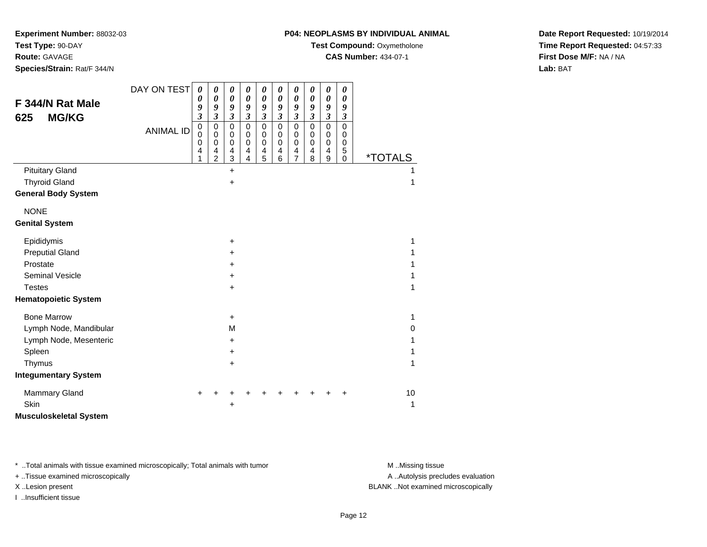**P04: NEOPLASMS BY INDIVIDUAL ANIMAL**

**Test Compound: Oxymetholone** 

**CAS Number:** 434-07-1

**Date Report Requested:** 10/19/2014**Time Report Requested:** 04:57:33**First Dose M/F:** NA / NA**Lab:** BAT

**Experiment Number:** 88032-03

| F 344/N Rat Male<br><b>MG/KG</b><br>625 | DAY ON TEST      | $\boldsymbol{\theta}$<br>0<br>9<br>$\overline{\mathbf{3}}$      | $\pmb{\theta}$<br>0<br>9<br>$\overline{\mathbf{3}}$    | $\pmb{\theta}$<br>$\boldsymbol{\theta}$<br>9<br>$\mathfrak{z}$ | $\boldsymbol{\theta}$<br>$\boldsymbol{\theta}$<br>9<br>$\mathfrak{z}$ | 0<br>0<br>9<br>$\mathfrak{z}$                         | 0<br>$\boldsymbol{\theta}$<br>9<br>$\mathfrak{z}$                | 0<br>0<br>9<br>$\overline{\mathbf{3}}$                              | $\boldsymbol{\theta}$<br>0<br>9<br>$\boldsymbol{\beta}$ | $\pmb{\theta}$<br>0<br>9<br>$\mathfrak{z}$ | $\boldsymbol{\theta}$<br>$\boldsymbol{\theta}$<br>9<br>$\boldsymbol{\beta}$ |                       |          |
|-----------------------------------------|------------------|-----------------------------------------------------------------|--------------------------------------------------------|----------------------------------------------------------------|-----------------------------------------------------------------------|-------------------------------------------------------|------------------------------------------------------------------|---------------------------------------------------------------------|---------------------------------------------------------|--------------------------------------------|-----------------------------------------------------------------------------|-----------------------|----------|
|                                         | <b>ANIMAL ID</b> | $\mbox{O}$<br>$\mathbf 0$<br>$\mathbf 0$<br>$\overline{4}$<br>1 | $\mathbf 0$<br>0<br>$\mathbf 0$<br>4<br>$\overline{2}$ | $\mathbf 0$<br>0<br>$\mathbf 0$<br>4<br>3                      | $\mathbf 0$<br>0<br>0<br>$\overline{4}$<br>$\overline{4}$             | $\mathbf 0$<br>0<br>0<br>$\overline{\mathbf{4}}$<br>5 | $\mathbf 0$<br>$\mathbf 0$<br>$\mathbf 0$<br>$\overline{4}$<br>6 | $\mathbf 0$<br>0<br>$\mathbf 0$<br>$\overline{4}$<br>$\overline{7}$ | $\mathbf 0$<br>0<br>$\mathbf 0$<br>4<br>8               | $\mathbf 0$<br>0<br>0<br>4<br>9            | $\mathbf 0$<br>0<br>0<br>5<br>$\mathbf 0$                                   | <i><b>*TOTALS</b></i> |          |
| <b>Pituitary Gland</b>                  |                  |                                                                 |                                                        | +                                                              |                                                                       |                                                       |                                                                  |                                                                     |                                                         |                                            |                                                                             |                       | 1        |
| <b>Thyroid Gland</b>                    |                  |                                                                 |                                                        | +                                                              |                                                                       |                                                       |                                                                  |                                                                     |                                                         |                                            |                                                                             |                       | 1        |
| <b>General Body System</b>              |                  |                                                                 |                                                        |                                                                |                                                                       |                                                       |                                                                  |                                                                     |                                                         |                                            |                                                                             |                       |          |
| <b>NONE</b>                             |                  |                                                                 |                                                        |                                                                |                                                                       |                                                       |                                                                  |                                                                     |                                                         |                                            |                                                                             |                       |          |
| <b>Genital System</b>                   |                  |                                                                 |                                                        |                                                                |                                                                       |                                                       |                                                                  |                                                                     |                                                         |                                            |                                                                             |                       |          |
| Epididymis                              |                  |                                                                 |                                                        | +                                                              |                                                                       |                                                       |                                                                  |                                                                     |                                                         |                                            |                                                                             |                       | 1        |
| <b>Preputial Gland</b>                  |                  |                                                                 |                                                        | $\ddot{}$                                                      |                                                                       |                                                       |                                                                  |                                                                     |                                                         |                                            |                                                                             |                       | 1        |
| Prostate                                |                  |                                                                 |                                                        | ٠                                                              |                                                                       |                                                       |                                                                  |                                                                     |                                                         |                                            |                                                                             |                       | 1        |
| <b>Seminal Vesicle</b>                  |                  |                                                                 |                                                        | +                                                              |                                                                       |                                                       |                                                                  |                                                                     |                                                         |                                            |                                                                             |                       |          |
| <b>Testes</b>                           |                  |                                                                 |                                                        | +                                                              |                                                                       |                                                       |                                                                  |                                                                     |                                                         |                                            |                                                                             |                       | 1        |
| <b>Hematopoietic System</b>             |                  |                                                                 |                                                        |                                                                |                                                                       |                                                       |                                                                  |                                                                     |                                                         |                                            |                                                                             |                       |          |
| <b>Bone Marrow</b>                      |                  |                                                                 |                                                        | $\ddot{}$                                                      |                                                                       |                                                       |                                                                  |                                                                     |                                                         |                                            |                                                                             |                       | 1        |
| Lymph Node, Mandibular                  |                  |                                                                 |                                                        | M                                                              |                                                                       |                                                       |                                                                  |                                                                     |                                                         |                                            |                                                                             |                       | $\Omega$ |
| Lymph Node, Mesenteric                  |                  |                                                                 |                                                        | +                                                              |                                                                       |                                                       |                                                                  |                                                                     |                                                         |                                            |                                                                             |                       | 1        |
| Spleen                                  |                  |                                                                 |                                                        | +                                                              |                                                                       |                                                       |                                                                  |                                                                     |                                                         |                                            |                                                                             |                       | 1        |
| Thymus                                  |                  |                                                                 |                                                        | +                                                              |                                                                       |                                                       |                                                                  |                                                                     |                                                         |                                            |                                                                             |                       | 1        |
| <b>Integumentary System</b>             |                  |                                                                 |                                                        |                                                                |                                                                       |                                                       |                                                                  |                                                                     |                                                         |                                            |                                                                             |                       |          |
| <b>Mammary Gland</b>                    |                  |                                                                 |                                                        |                                                                |                                                                       |                                                       |                                                                  |                                                                     |                                                         |                                            | ٠                                                                           |                       | 10       |
| Skin                                    |                  |                                                                 |                                                        | +                                                              |                                                                       |                                                       |                                                                  |                                                                     |                                                         |                                            |                                                                             |                       | 1        |
| <b>Musculoskeletal System</b>           |                  |                                                                 |                                                        |                                                                |                                                                       |                                                       |                                                                  |                                                                     |                                                         |                                            |                                                                             |                       |          |

\* ..Total animals with tissue examined microscopically; Total animals with tumor **M** . Missing tissue M ..Missing tissue

+ ..Tissue examined microscopically

I ..Insufficient tissue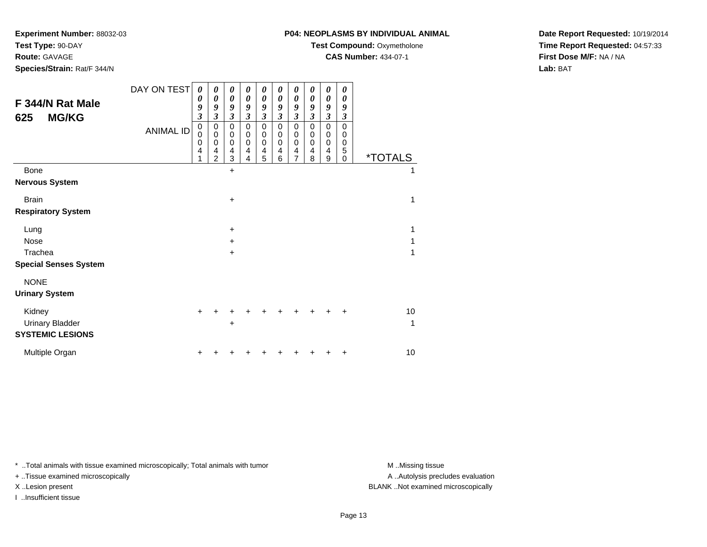**P04: NEOPLASMS BY INDIVIDUAL ANIMAL**

**Test Compound:** Oxymetholone

**CAS Number:** 434-07-1

**Date Report Requested:** 10/19/2014**Time Report Requested:** 04:57:33**First Dose M/F:** NA / NA**Lab:** BAT

DAY ON TEST**F 344/N Rat Male625 MG/KG**ANIMAL ID*0 0 9 3* 0 0 0 4 1*0 0 9 3*0<br>0<br>0<br>4<br>2 *0 0 9 3* 0 0 0 4 3 $\ddot{}$ *0 0 9 3* 0 0 0 4 4*0 0 9 3* 0 0 0 4 5*0 0 9 3* 0 0 0 4 6*0 0 9 3* 0 0 0 4 7*0 0 9 3* 0 0 0 4 8*0 0 9 3*0<br>0<br>0<br>9<br>9 *0 0 9 3* 0 0 0 5 $\check{\mathrm{o}}$ 0 \*TOTALSBone $e$  +  $\pm$  1 **Nervous System**Brainn  $+$  $\pm$  1 **Respiratory System**Lung $9 +$  $\pm$  1 Nose $e$  +  $\pm$  1 Tracheaa  $+$  $\pm$  1 **Special Senses System**NONE **Urinary System**Kidney $\mathsf y$  <sup>+</sup> <sup>+</sup> <sup>+</sup> <sup>+</sup> <sup>+</sup> <sup>+</sup> <sup>+</sup> <sup>+</sup> <sup>+</sup> <sup>10</sup> Urinary Bladder $\mathsf{r}$  +  $\pm$  1 **SYSTEMIC LESIONS**

\* ..Total animals with tissue examined microscopically; Total animals with tumor **M** ..Missing tissue M ..Missing tissue

n  $+$ 

+ ..Tissue examined microscopically

**Experiment Number:** 88032-03

**Species/Strain:** Rat/F 344/N

**Test Type:** 90-DAY**Route:** GAVAGE

I ..Insufficient tissue

Multiple Organ

A ..Autolysis precludes evaluation X ..Lesion present BLANK ..Not examined microscopically

<sup>+</sup> <sup>+</sup> <sup>+</sup> <sup>+</sup> <sup>+</sup> <sup>+</sup> <sup>+</sup> <sup>+</sup> <sup>+</sup> <sup>10</sup>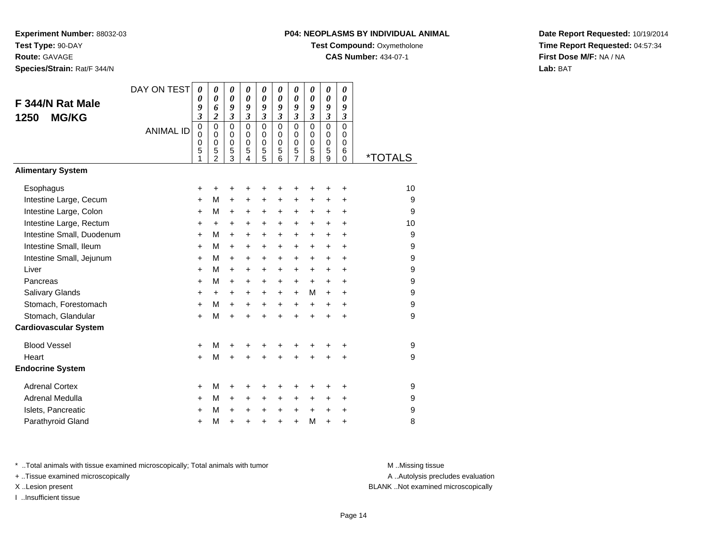**Experiment Number:** 88032-03**Test Type:** 90-DAY**Route:** GAVAGE

**Species/Strain:** Rat/F 344/N

#### **P04: NEOPLASMS BY INDIVIDUAL ANIMAL**

**Test Compound: Oxymetholone** 

**CAS Number:** 434-07-1

**Date Report Requested:** 10/19/2014**Time Report Requested:** 04:57:34**First Dose M/F:** NA / NA**Lab:** BAT

|                              | DAY ON TEST      | $\boldsymbol{\theta}$              | 0                                                                | $\pmb{\theta}$                                   | 0                                                                | 0                                         | 0                                                   | 0                                                                   | 0                                                   | 0                                                   | 0                                                          |                       |
|------------------------------|------------------|------------------------------------|------------------------------------------------------------------|--------------------------------------------------|------------------------------------------------------------------|-------------------------------------------|-----------------------------------------------------|---------------------------------------------------------------------|-----------------------------------------------------|-----------------------------------------------------|------------------------------------------------------------|-----------------------|
| F 344/N Rat Male             |                  | 0<br>9                             | 0<br>6                                                           | 0<br>9                                           | 0<br>9                                                           | $\boldsymbol{\theta}$<br>9                | $\boldsymbol{\theta}$<br>9                          | 0<br>9                                                              | 0<br>9                                              | 0<br>9                                              | $\boldsymbol{\theta}$<br>9                                 |                       |
| <b>MG/KG</b><br>1250         |                  | $\mathfrak{z}$                     | $\overline{2}$                                                   | 3                                                | $\overline{\mathbf{3}}$                                          | $\mathfrak{z}$                            | $\mathfrak{z}$                                      | $\boldsymbol{\beta}$                                                | $\mathfrak{z}$                                      | $\mathfrak{z}$                                      | $\mathfrak{z}$                                             |                       |
|                              | <b>ANIMAL ID</b> | $\overline{0}$<br>0<br>0<br>5<br>1 | $\mathbf 0$<br>$\mathbf 0$<br>$\mathbf 0$<br>5<br>$\overline{2}$ | $\mathbf 0$<br>$\mathbf 0$<br>0<br>$\frac{5}{3}$ | $\overline{0}$<br>$\Omega$<br>$\mathbf 0$<br>5<br>$\overline{4}$ | $\mathbf 0$<br>$\mathbf 0$<br>0<br>5<br>5 | $\mathbf 0$<br>$\mathbf 0$<br>$\mathbf 0$<br>5<br>6 | $\overline{0}$<br>$\mathbf 0$<br>$\mathbf 0$<br>5<br>$\overline{7}$ | $\overline{0}$<br>$\Omega$<br>$\mathbf 0$<br>5<br>8 | $\overline{0}$<br>$\Omega$<br>$\mathbf 0$<br>5<br>9 | $\mathbf 0$<br>$\mathbf 0$<br>$\mathbf 0$<br>6<br>$\Omega$ | <i><b>*TOTALS</b></i> |
| <b>Alimentary System</b>     |                  |                                    |                                                                  |                                                  |                                                                  |                                           |                                                     |                                                                     |                                                     |                                                     |                                                            |                       |
| Esophagus                    |                  | +                                  | +                                                                | +                                                | +                                                                | +                                         |                                                     |                                                                     |                                                     | +                                                   | +                                                          | 10                    |
| Intestine Large, Cecum       |                  | $\pm$                              | м                                                                | $\pm$                                            | +                                                                | $\pm$                                     | $\ddot{}$                                           | $\ddot{}$                                                           | $\ddot{}$                                           | +                                                   | +                                                          | 9                     |
| Intestine Large, Colon       |                  | $\ddot{}$                          | М                                                                | $\ddot{}$                                        | +                                                                | +                                         | $\ddot{}$                                           | $\ddot{}$                                                           | $\ddot{}$                                           | +                                                   | $\ddot{}$                                                  | 9                     |
| Intestine Large, Rectum      |                  | +                                  | $\ddot{}$                                                        | $\ddot{}$                                        | +                                                                | +                                         | $\ddot{}$                                           | $\ddot{}$                                                           | $\ddot{}$                                           | $\ddot{}$                                           | $\ddot{}$                                                  | 10                    |
| Intestine Small, Duodenum    |                  | $\ddot{}$                          | м                                                                | $\pm$                                            | $\ddot{}$                                                        | $\ddot{}$                                 | $\ddot{}$                                           | $+$                                                                 | $\ddot{}$                                           | $\ddot{}$                                           | $\ddot{}$                                                  | 9                     |
| Intestine Small, Ileum       |                  | $\ddot{}$                          | м                                                                | $\ddot{}$                                        | $\pm$                                                            | +                                         | $\ddot{}$                                           | $\ddot{}$                                                           | $\ddot{}$                                           | $\ddot{}$                                           | $\ddot{}$                                                  | 9                     |
| Intestine Small, Jejunum     |                  | +                                  | М                                                                | $\ddot{}$                                        | +                                                                | +                                         | $\ddot{}$                                           | +                                                                   | +                                                   | +                                                   | $\ddot{}$                                                  | 9                     |
| Liver                        |                  | $\pm$                              | м                                                                | $+$                                              | $\ddot{}$                                                        | $\ddot{}$                                 | $\ddot{}$                                           | $+$                                                                 | $\ddot{}$                                           | $\ddot{}$                                           | $\ddot{}$                                                  | 9                     |
| Pancreas                     |                  | $\ddot{}$                          | м                                                                | $\ddot{}$                                        | $\ddot{}$                                                        | +                                         | $\ddot{}$                                           | $+$                                                                 | $\ddot{}$                                           | $\ddot{}$                                           | $\ddot{}$                                                  | 9                     |
| Salivary Glands              |                  | +                                  | $\ddot{}$                                                        | $\ddot{}$                                        | +                                                                | +                                         | $\ddot{}$                                           | $\ddot{}$                                                           | M                                                   | $\ddot{}$                                           | $\ddot{}$                                                  | 9                     |
| Stomach, Forestomach         |                  | $\pm$                              | м                                                                | $+$                                              | $\ddot{}$                                                        | +                                         | $\ddot{}$                                           | $\ddot{}$                                                           | $\ddot{}$                                           | +                                                   | $\ddot{}$                                                  | 9                     |
| Stomach, Glandular           |                  | $\ddot{}$                          | M                                                                | $\ddot{}$                                        | $\ddot{}$                                                        | $\ddot{}$                                 |                                                     |                                                                     | $\ddot{}$                                           | $\ddot{}$                                           | $\ddot{}$                                                  | 9                     |
| <b>Cardiovascular System</b> |                  |                                    |                                                                  |                                                  |                                                                  |                                           |                                                     |                                                                     |                                                     |                                                     |                                                            |                       |
| <b>Blood Vessel</b>          |                  | +                                  | М                                                                | +                                                | +                                                                | +                                         |                                                     | +                                                                   | +                                                   | +                                                   | +                                                          | 9                     |
| Heart                        |                  | $+$                                | м                                                                | $\ddot{}$                                        |                                                                  | $\ddot{}$                                 |                                                     | $\ddot{}$                                                           | $\ddot{}$                                           | $\ddot{}$                                           | $\ddot{}$                                                  | 9                     |
| <b>Endocrine System</b>      |                  |                                    |                                                                  |                                                  |                                                                  |                                           |                                                     |                                                                     |                                                     |                                                     |                                                            |                       |
| <b>Adrenal Cortex</b>        |                  | +                                  | М                                                                | +                                                | +                                                                | +                                         | +                                                   | +                                                                   | +                                                   | +                                                   | +                                                          | 9                     |
| Adrenal Medulla              |                  | $\pm$                              | м                                                                | $\pm$                                            | $\ddot{}$                                                        | $\ddot{}$                                 | $\ddot{}$                                           | $\ddot{}$                                                           | $\ddot{}$                                           | $\pm$                                               | $\ddot{}$                                                  | 9                     |
| Islets, Pancreatic           |                  | +                                  | М                                                                | $\ddot{}$                                        | +                                                                | $\ddot{}$                                 | $\ddot{}$                                           | $\ddot{}$                                                           | +                                                   | +                                                   | +                                                          | 9                     |
| Parathyroid Gland            |                  | +                                  | M                                                                | $\ddot{}$                                        | +                                                                | $\ddot{}$                                 | $\ddot{}$                                           | $\ddot{}$                                                           | M                                                   | +                                                   | +                                                          | 8                     |

\* ..Total animals with tissue examined microscopically; Total animals with tumor **M** . Missing tissue M ..Missing tissue

+ ..Tissue examined microscopically

I ..Insufficient tissue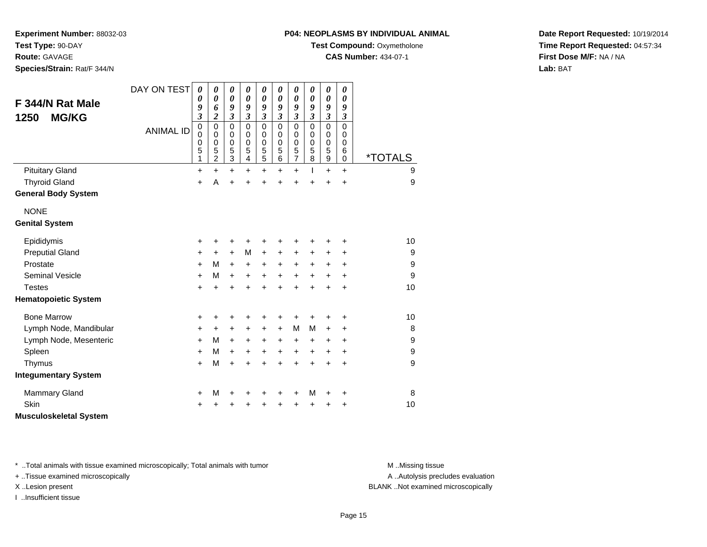**Route:** GAVAGE

**Species/Strain:** Rat/F 344/N

#### **P04: NEOPLASMS BY INDIVIDUAL ANIMAL**

**Test Compound: Oxymetholone** 

**CAS Number:** 434-07-1

**Date Report Requested:** 10/19/2014**Time Report Requested:** 04:57:34**First Dose M/F:** NA / NA**Lab:** BAT

| F 344/N Rat Male<br><b>MG/KG</b><br>1250 | DAY ON TEST      | $\boldsymbol{\theta}$<br>0<br>9<br>3<br>$\mathbf 0$ | 0<br>0<br>6<br>$\overline{\mathbf{c}}$<br>$\mathbf 0$ | 0<br>$\pmb{\theta}$<br>9<br>$\overline{\mathbf{3}}$<br>$\pmb{0}$ | 0<br>0<br>9<br>$\mathfrak{z}$<br>$\mathbf 0$ | 0<br>$\boldsymbol{\theta}$<br>9<br>$\mathfrak{z}$<br>$\mathbf 0$ | 0<br>$\boldsymbol{\theta}$<br>9<br>$\mathfrak{z}$<br>$\mathbf 0$ | 0<br>0<br>9<br>$\mathfrak{z}$<br>$\mathbf 0$ | 0<br>0<br>9<br>$\mathfrak{z}$<br>$\mathbf 0$ | $\boldsymbol{\theta}$<br>$\boldsymbol{\theta}$<br>9<br>$\mathfrak{z}$<br>$\mathbf 0$ | $\boldsymbol{\theta}$<br>$\boldsymbol{\theta}$<br>9<br>$\mathfrak{z}$<br>$\mathbf 0$ |                       |
|------------------------------------------|------------------|-----------------------------------------------------|-------------------------------------------------------|------------------------------------------------------------------|----------------------------------------------|------------------------------------------------------------------|------------------------------------------------------------------|----------------------------------------------|----------------------------------------------|--------------------------------------------------------------------------------------|--------------------------------------------------------------------------------------|-----------------------|
|                                          | <b>ANIMAL ID</b> | $\mathbf 0$<br>0<br>5<br>1                          | 0<br>0<br>5<br>2                                      | 0<br>$\mathsf 0$<br>5<br>3                                       | 0<br>$\mathbf 0$<br>5<br>4                   | 0<br>$\mathbf 0$<br>5<br>5                                       | 0<br>$\mathbf 0$<br>5<br>6                                       | 0<br>$\mathbf 0$<br>5<br>$\overline{7}$      | 0<br>$\mathbf 0$<br>5<br>8                   | 0<br>$\mathbf 0$<br>5<br>$\mathsf g$                                                 | 0<br>$\mathbf 0$<br>6<br>$\mathbf 0$                                                 | <i><b>*TOTALS</b></i> |
| <b>Pituitary Gland</b>                   |                  | +                                                   | $\ddot{}$                                             | $\ddot{}$                                                        | $\ddot{}$                                    | $\ddot{}$                                                        | $\ddot{}$                                                        | $\ddot{}$                                    | L                                            | $\ddot{}$                                                                            | $+$                                                                                  | 9                     |
| <b>Thyroid Gland</b>                     |                  | +                                                   | A                                                     | $\ddot{}$                                                        | $\ddot{}$                                    | $\ddot{}$                                                        | $\ddot{}$                                                        | +                                            |                                              | $\ddot{}$                                                                            | $\ddot{}$                                                                            | 9                     |
| <b>General Body System</b>               |                  |                                                     |                                                       |                                                                  |                                              |                                                                  |                                                                  |                                              |                                              |                                                                                      |                                                                                      |                       |
| <b>NONE</b>                              |                  |                                                     |                                                       |                                                                  |                                              |                                                                  |                                                                  |                                              |                                              |                                                                                      |                                                                                      |                       |
| <b>Genital System</b>                    |                  |                                                     |                                                       |                                                                  |                                              |                                                                  |                                                                  |                                              |                                              |                                                                                      |                                                                                      |                       |
| Epididymis                               |                  | +                                                   | +                                                     | +                                                                | +                                            | +                                                                |                                                                  | +                                            |                                              | +                                                                                    | +                                                                                    | 10                    |
| <b>Preputial Gland</b>                   |                  | +                                                   | +                                                     | $\ddot{}$                                                        | M                                            | $\ddot{}$                                                        | +                                                                | +                                            | +                                            | +                                                                                    | $\ddot{}$                                                                            | 9                     |
| Prostate                                 |                  | +                                                   | M                                                     | $\ddot{}$                                                        | +                                            | $\ddot{}$                                                        | $\ddot{}$                                                        | $\ddot{}$                                    | +                                            | $\ddot{}$                                                                            | $\ddot{}$                                                                            | 9                     |
| <b>Seminal Vesicle</b>                   |                  | +                                                   | M                                                     | $\ddot{}$                                                        | +                                            | $\ddot{}$                                                        | $\ddot{}$                                                        | $\ddot{}$                                    | $\ddot{}$                                    | $\ddot{}$                                                                            | +                                                                                    | 9                     |
| <b>Testes</b>                            |                  | +                                                   | +                                                     | +                                                                | +                                            | +                                                                | $\ddot{}$                                                        | $\ddot{}$                                    | $\ddot{}$                                    | $\ddot{}$                                                                            | $\ddot{}$                                                                            | 10                    |
| <b>Hematopoietic System</b>              |                  |                                                     |                                                       |                                                                  |                                              |                                                                  |                                                                  |                                              |                                              |                                                                                      |                                                                                      |                       |
| <b>Bone Marrow</b>                       |                  | +                                                   | +                                                     | +                                                                | +                                            | +                                                                | +                                                                | +                                            |                                              | +                                                                                    | +                                                                                    | 10                    |
| Lymph Node, Mandibular                   |                  | +                                                   | $\ddot{}$                                             | $\ddot{}$                                                        | +                                            | $\ddot{}$                                                        | $\ddot{}$                                                        | M                                            | M                                            | $\ddot{}$                                                                            | $\ddot{}$                                                                            | 8                     |
| Lymph Node, Mesenteric                   |                  | $\pm$                                               | м                                                     | $\ddot{}$                                                        | +                                            | $\ddot{}$                                                        | +                                                                | $\ddot{}$                                    | +                                            | +                                                                                    | $\ddot{}$                                                                            | $\boldsymbol{9}$      |
| Spleen                                   |                  | +                                                   | M                                                     | $\ddot{}$                                                        | +                                            | $\ddot{}$                                                        | $\ddot{}$                                                        | $\ddot{}$                                    | +                                            | +                                                                                    | +                                                                                    | $\boldsymbol{9}$      |
| Thymus                                   |                  | +                                                   | M                                                     | $\ddot{}$                                                        | +                                            | $\ddot{}$                                                        | $\ddot{}$                                                        | $\ddot{}$                                    | $\ddot{}$                                    | $\ddot{}$                                                                            | $\ddot{}$                                                                            | 9                     |
| <b>Integumentary System</b>              |                  |                                                     |                                                       |                                                                  |                                              |                                                                  |                                                                  |                                              |                                              |                                                                                      |                                                                                      |                       |
| <b>Mammary Gland</b>                     |                  | +                                                   | M                                                     | +                                                                | +                                            | +                                                                | +                                                                | +                                            | M                                            | +                                                                                    | +                                                                                    | 8                     |
| <b>Skin</b>                              |                  | +                                                   |                                                       |                                                                  |                                              | +                                                                |                                                                  | +                                            |                                              | +                                                                                    | +                                                                                    | 10                    |
| <b>Musculoskeletal System</b>            |                  |                                                     |                                                       |                                                                  |                                              |                                                                  |                                                                  |                                              |                                              |                                                                                      |                                                                                      |                       |

\* ..Total animals with tissue examined microscopically; Total animals with tumor **M** . Missing tissue M ..Missing tissue

+ ..Tissue examined microscopically

I ..Insufficient tissue

A ..Autolysis precludes evaluation

X ..Lesion present BLANK ..Not examined microscopically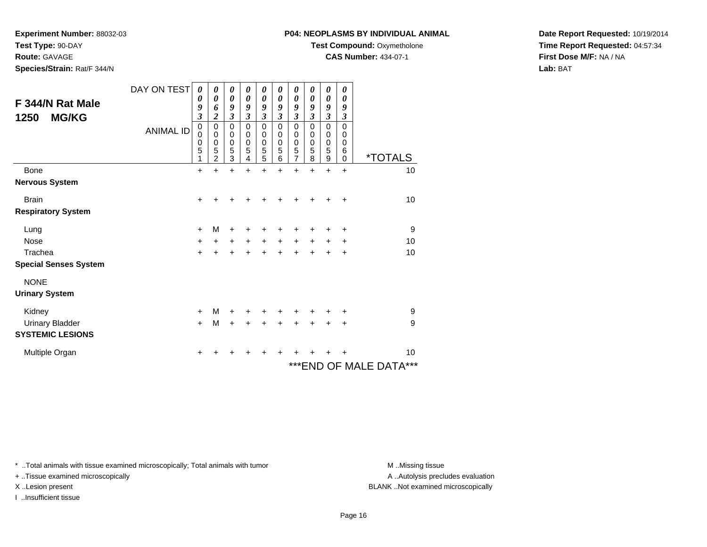**Test Type:** 90-DAY

**Route:** GAVAGE

**Species/Strain:** Rat/F 344/N

# **P04: NEOPLASMS BY INDIVIDUAL ANIMAL**

**Test Compound:** Oxymetholone

**CAS Number:** 434-07-1

**Date Report Requested:** 10/19/2014**Time Report Requested:** 04:57:34**First Dose M/F:** NA / NA**Lab:** BAT

| F 344/N Rat Male<br>1250<br><b>MG/KG</b> | DAY ON TEST<br><b>ANIMAL ID</b> | 0<br>0<br>9<br>$\overline{\mathbf{3}}$<br>0<br>0<br>0<br>5<br>1 | 0<br>$\boldsymbol{\theta}$<br>6<br>2<br>0<br>0<br>$\mathbf 0$<br>5<br>$\overline{c}$ | 0<br>$\boldsymbol{\theta}$<br>9<br>$\overline{\mathbf{3}}$<br>$\pmb{0}$<br>0<br>$\mathbf 0$<br>5<br>$\overline{3}$ | 0<br>$\boldsymbol{\theta}$<br>9<br>$\mathfrak{z}$<br>$\mathbf 0$<br>0<br>$\mathbf 0$<br>5<br>4 | 0<br>$\boldsymbol{\theta}$<br>9<br>$\mathfrak{z}$<br>$\mathbf 0$<br>0<br>$\mathbf 0$<br>5<br>5 | 0<br>0<br>9<br>$\mathfrak{z}$<br>0<br>0<br>$\mathbf 0$<br>5<br>$\,6$ | 0<br>0<br>9<br>$\mathfrak{z}$<br>$\mathbf 0$<br>0<br>$\mathbf 0$<br>5<br>$\overline{7}$ | 0<br>0<br>9<br>$\mathfrak{z}$<br>$\mathbf 0$<br>0<br>$\mathbf 0$<br>5<br>8 | 0<br>0<br>9<br>$\mathfrak{z}$<br>0<br>0<br>$\mathbf 0$<br>5<br>$\boldsymbol{9}$ | 0<br>0<br>9<br>3<br>$\Omega$<br>0<br>$\mathbf 0$<br>6<br>$\mathbf 0$ | <i><b>*TOTALS</b></i>   |
|------------------------------------------|---------------------------------|-----------------------------------------------------------------|--------------------------------------------------------------------------------------|--------------------------------------------------------------------------------------------------------------------|------------------------------------------------------------------------------------------------|------------------------------------------------------------------------------------------------|----------------------------------------------------------------------|-----------------------------------------------------------------------------------------|----------------------------------------------------------------------------|---------------------------------------------------------------------------------|----------------------------------------------------------------------|-------------------------|
| Bone                                     |                                 | $\ddot{}$                                                       |                                                                                      | +                                                                                                                  | +                                                                                              | $\ddot{}$                                                                                      | $\ddot{}$                                                            | $\ddot{}$                                                                               | +                                                                          | $\ddot{}$                                                                       | $\ddot{}$                                                            | 10                      |
| <b>Nervous System</b>                    |                                 |                                                                 |                                                                                      |                                                                                                                    |                                                                                                |                                                                                                |                                                                      |                                                                                         |                                                                            |                                                                                 |                                                                      |                         |
| <b>Brain</b>                             |                                 | $\ddot{}$                                                       |                                                                                      |                                                                                                                    |                                                                                                |                                                                                                |                                                                      |                                                                                         |                                                                            |                                                                                 | +                                                                    | 10                      |
| <b>Respiratory System</b>                |                                 |                                                                 |                                                                                      |                                                                                                                    |                                                                                                |                                                                                                |                                                                      |                                                                                         |                                                                            |                                                                                 |                                                                      |                         |
| Lung                                     |                                 | +                                                               | м                                                                                    | +                                                                                                                  | +                                                                                              | +                                                                                              |                                                                      | ٠                                                                                       |                                                                            | ٠                                                                               | ÷                                                                    | 9                       |
| <b>Nose</b>                              |                                 | $\ddot{}$                                                       | $\ddot{}$                                                                            | $\ddot{}$                                                                                                          | $\ddot{}$                                                                                      | $\ddot{}$                                                                                      | $\ddot{}$                                                            | $\ddot{}$                                                                               | $\ddot{}$                                                                  | +                                                                               | +                                                                    | 10                      |
| Trachea                                  |                                 | $\ddot{}$                                                       | +                                                                                    | +                                                                                                                  | +                                                                                              | $\ddot{}$                                                                                      | +                                                                    | +                                                                                       | $\ddot{}$                                                                  | +                                                                               | +                                                                    | 10                      |
| <b>Special Senses System</b>             |                                 |                                                                 |                                                                                      |                                                                                                                    |                                                                                                |                                                                                                |                                                                      |                                                                                         |                                                                            |                                                                                 |                                                                      |                         |
| <b>NONE</b><br><b>Urinary System</b>     |                                 |                                                                 |                                                                                      |                                                                                                                    |                                                                                                |                                                                                                |                                                                      |                                                                                         |                                                                            |                                                                                 |                                                                      |                         |
| Kidney                                   |                                 | $\ddot{}$                                                       | м                                                                                    | $\ddot{}$                                                                                                          | +                                                                                              | $\ddot{}$                                                                                      | +                                                                    | $\ddot{}$                                                                               | +                                                                          | +                                                                               | +                                                                    | 9                       |
| <b>Urinary Bladder</b>                   |                                 | $+$                                                             | M                                                                                    | $\ddot{}$                                                                                                          | $\ddot{}$                                                                                      | $\ddot{}$                                                                                      | $\ddot{}$                                                            | $+$                                                                                     | $+$                                                                        | $+$                                                                             | $\ddot{}$                                                            | 9                       |
| <b>SYSTEMIC LESIONS</b>                  |                                 |                                                                 |                                                                                      |                                                                                                                    |                                                                                                |                                                                                                |                                                                      |                                                                                         |                                                                            |                                                                                 |                                                                      |                         |
| Multiple Organ                           |                                 | $\ddot{}$                                                       |                                                                                      |                                                                                                                    |                                                                                                |                                                                                                |                                                                      |                                                                                         |                                                                            |                                                                                 |                                                                      | 10                      |
|                                          |                                 |                                                                 |                                                                                      |                                                                                                                    |                                                                                                |                                                                                                |                                                                      |                                                                                         |                                                                            |                                                                                 |                                                                      | *** END OF MALE DATA*** |

\* ..Total animals with tissue examined microscopically; Total animals with tumor **M** . Missing tissue M ..Missing tissue

+ ..Tissue examined microscopically

I ..Insufficient tissue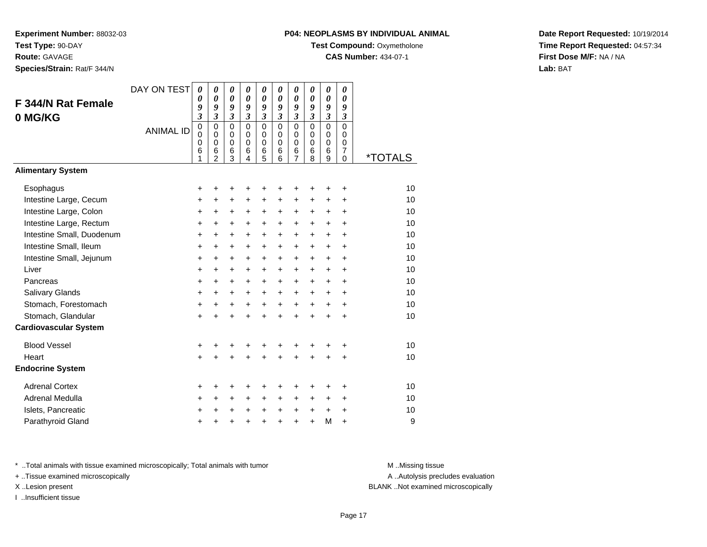**Route:** GAVAGE

**Species/Strain:** Rat/F 344/N

# **P04: NEOPLASMS BY INDIVIDUAL ANIMAL**

**Test Compound: Oxymetholone** 

**CAS Number:** 434-07-1

**Date Report Requested:** 10/19/2014**Time Report Requested:** 04:57:34**First Dose M/F:** NA / NA**Lab:** BAT

| <b>F 344/N Rat Female</b><br>0 MG/KG             | DAY ON TEST<br><b>ANIMAL ID</b> | $\boldsymbol{\theta}$<br>0<br>9<br>$\overline{\mathbf{3}}$<br>$\mathbf 0$<br>$\Omega$<br>0<br>6 | 0<br>$\theta$<br>9<br>$\overline{\mathbf{3}}$<br>$\mathbf 0$<br>$\mathbf 0$<br>$\mathbf 0$<br>6 | 0<br>0<br>9<br>$\boldsymbol{\mathfrak{z}}$<br>$\overline{0}$<br>$\mathbf 0$<br>$\mathbf 0$<br>6 | 0<br>$\boldsymbol{\theta}$<br>9<br>$\overline{\mathbf{3}}$<br>0<br>$\mathbf 0$<br>$\mathbf 0$<br>6 | 0<br>$\boldsymbol{\theta}$<br>9<br>$\overline{\mathbf{3}}$<br>$\mathbf 0$<br>$\mathbf 0$<br>$\mathbf 0$<br>6 | 0<br>$\boldsymbol{\theta}$<br>9<br>$\mathfrak{z}$<br>$\overline{0}$<br>$\mathbf 0$<br>$\Omega$<br>6 | 0<br>$\boldsymbol{\theta}$<br>9<br>$\overline{\mathbf{3}}$<br>$\overline{0}$<br>$\mathbf 0$<br>$\mathbf 0$<br>6 | 0<br>$\boldsymbol{\theta}$<br>9<br>$\mathfrak{z}$<br>$\overline{0}$<br>$\mathbf 0$<br>$\mathbf 0$<br>6 | 0<br>$\boldsymbol{\theta}$<br>9<br>$\mathfrak{z}$<br>$\overline{0}$<br>$\mathbf 0$<br>$\Omega$<br>6 | 0<br>0<br>9<br>$\boldsymbol{\beta}$<br>$\overline{0}$<br>$\mathbf 0$<br>0<br>$\overline{7}$ |                       |
|--------------------------------------------------|---------------------------------|-------------------------------------------------------------------------------------------------|-------------------------------------------------------------------------------------------------|-------------------------------------------------------------------------------------------------|----------------------------------------------------------------------------------------------------|--------------------------------------------------------------------------------------------------------------|-----------------------------------------------------------------------------------------------------|-----------------------------------------------------------------------------------------------------------------|--------------------------------------------------------------------------------------------------------|-----------------------------------------------------------------------------------------------------|---------------------------------------------------------------------------------------------|-----------------------|
| <b>Alimentary System</b>                         |                                 | 1                                                                                               | $\mathfrak{p}$                                                                                  | 3                                                                                               | $\overline{4}$                                                                                     | 5                                                                                                            | 6                                                                                                   | $\overline{7}$                                                                                                  | 8                                                                                                      | 9                                                                                                   | $\Omega$                                                                                    | <i><b>*TOTALS</b></i> |
|                                                  |                                 |                                                                                                 |                                                                                                 |                                                                                                 |                                                                                                    |                                                                                                              |                                                                                                     |                                                                                                                 |                                                                                                        |                                                                                                     |                                                                                             |                       |
| Esophagus                                        |                                 | +                                                                                               | +                                                                                               | +                                                                                               | +                                                                                                  | +                                                                                                            | ÷                                                                                                   | ٠                                                                                                               | ٠                                                                                                      | ٠                                                                                                   | $\ddot{}$                                                                                   | 10<br>10              |
| Intestine Large, Cecum<br>Intestine Large, Colon |                                 | $\ddot{}$                                                                                       | $\ddot{}$                                                                                       | $\ddot{}$                                                                                       | $\ddot{}$                                                                                          | $\ddot{}$                                                                                                    | $\ddot{}$                                                                                           | $\ddot{}$                                                                                                       | $\ddot{}$                                                                                              | $\ddot{}$                                                                                           | $\ddot{}$                                                                                   | 10                    |
| Intestine Large, Rectum                          |                                 | $\ddot{}$<br>+                                                                                  | $\ddot{}$<br>+                                                                                  | +<br>+                                                                                          | $\ddot{}$<br>+                                                                                     | $\ddot{}$<br>+                                                                                               | $\ddot{}$<br>+                                                                                      | $\ddot{}$<br>+                                                                                                  | $\ddot{}$<br>$\ddot{}$                                                                                 | +<br>+                                                                                              | $\ddot{}$<br>$\ddot{}$                                                                      | 10                    |
| Intestine Small, Duodenum                        |                                 | $\ddot{}$                                                                                       | +                                                                                               | +                                                                                               | +                                                                                                  | +                                                                                                            | $\ddot{}$                                                                                           | $\ddot{}$                                                                                                       | $\ddot{}$                                                                                              | +                                                                                                   | $\ddot{}$                                                                                   | 10                    |
| Intestine Small, Ileum                           |                                 | $\ddot{}$                                                                                       | +                                                                                               | +                                                                                               | +                                                                                                  | +                                                                                                            | $\ddot{}$                                                                                           | +                                                                                                               | $\ddot{}$                                                                                              | +                                                                                                   | $\ddot{}$                                                                                   | 10                    |
| Intestine Small, Jejunum                         |                                 | $\ddot{}$                                                                                       | $\ddot{}$                                                                                       | +                                                                                               | +                                                                                                  | +                                                                                                            | $\ddot{}$                                                                                           | $\ddot{}$                                                                                                       | $\ddot{}$                                                                                              | $\ddot{}$                                                                                           | $\ddot{}$                                                                                   | 10                    |
| Liver                                            |                                 | $\ddot{}$                                                                                       | $\ddot{}$                                                                                       | $\ddot{}$                                                                                       | $\ddot{}$                                                                                          | $\ddot{}$                                                                                                    | $+$                                                                                                 | $\ddot{}$                                                                                                       | $\ddot{}$                                                                                              | $\ddot{}$                                                                                           | $\ddot{}$                                                                                   | 10                    |
| Pancreas                                         |                                 | $\ddot{}$                                                                                       | $\ddot{}$                                                                                       | $\ddot{}$                                                                                       | $\ddot{}$                                                                                          | $\ddot{}$                                                                                                    | $+$                                                                                                 | $\ddot{}$                                                                                                       | $\ddot{}$                                                                                              | $\ddot{}$                                                                                           | $\ddot{}$                                                                                   | 10                    |
| Salivary Glands                                  |                                 | $\ddot{}$                                                                                       | $\ddot{}$                                                                                       | $\ddot{}$                                                                                       | $\ddot{}$                                                                                          | $\ddot{}$                                                                                                    | $+$                                                                                                 | +                                                                                                               | $\ddot{}$                                                                                              | $\ddot{}$                                                                                           | $\ddot{}$                                                                                   | 10                    |
| Stomach, Forestomach                             |                                 | +                                                                                               | $\ddot{}$                                                                                       | +                                                                                               | $\ddot{}$                                                                                          | $\ddot{}$                                                                                                    | $\ddot{}$                                                                                           | $\ddot{}$                                                                                                       | $\ddot{}$                                                                                              | $\ddot{}$                                                                                           | $\ddot{}$                                                                                   | 10                    |
| Stomach, Glandular                               |                                 | $\ddot{}$                                                                                       | $\ddot{}$                                                                                       | $\ddot{}$                                                                                       | $\ddot{}$                                                                                          | $\ddot{}$                                                                                                    | $\ddot{}$                                                                                           | $\ddot{}$                                                                                                       | $\ddot{}$                                                                                              | +                                                                                                   | $\ddot{}$                                                                                   | 10                    |
| <b>Cardiovascular System</b>                     |                                 |                                                                                                 |                                                                                                 |                                                                                                 |                                                                                                    |                                                                                                              |                                                                                                     |                                                                                                                 |                                                                                                        |                                                                                                     |                                                                                             |                       |
| <b>Blood Vessel</b>                              |                                 | $\ddot{}$                                                                                       | +                                                                                               | +                                                                                               |                                                                                                    | +                                                                                                            |                                                                                                     |                                                                                                                 |                                                                                                        | +                                                                                                   | $\ddot{}$                                                                                   | 10                    |
| Heart                                            |                                 | $\ddot{}$                                                                                       | $\ddot{}$                                                                                       | $\ddot{}$                                                                                       | $\ddot{}$                                                                                          | $\ddot{}$                                                                                                    |                                                                                                     | $\ddot{}$                                                                                                       | $\ddot{}$                                                                                              | $\ddot{}$                                                                                           | $\ddot{}$                                                                                   | 10                    |
| <b>Endocrine System</b>                          |                                 |                                                                                                 |                                                                                                 |                                                                                                 |                                                                                                    |                                                                                                              |                                                                                                     |                                                                                                                 |                                                                                                        |                                                                                                     |                                                                                             |                       |
| <b>Adrenal Cortex</b>                            |                                 | +                                                                                               | ٠                                                                                               | ٠                                                                                               | +                                                                                                  | +                                                                                                            | +                                                                                                   | +                                                                                                               | +                                                                                                      | ٠                                                                                                   | ÷                                                                                           | 10                    |
| <b>Adrenal Medulla</b>                           |                                 | +                                                                                               | $\ddot{}$                                                                                       | $\ddot{}$                                                                                       | $\ddot{}$                                                                                          | +                                                                                                            | $\ddot{}$                                                                                           | $\ddot{}$                                                                                                       | $\ddot{}$                                                                                              | +                                                                                                   | $\ddot{}$                                                                                   | 10                    |
| Islets, Pancreatic                               |                                 | +                                                                                               | +                                                                                               | +                                                                                               | $\ddot{}$                                                                                          | +                                                                                                            | $\ddot{}$                                                                                           | $\ddot{}$                                                                                                       | +                                                                                                      | +                                                                                                   | +                                                                                           | 10                    |
| Parathyroid Gland                                |                                 | $\ddot{}$                                                                                       | +                                                                                               | $\ddot{}$                                                                                       | ÷                                                                                                  | $\ddot{}$                                                                                                    | ÷                                                                                                   | $\ddot{}$                                                                                                       | $\ddot{}$                                                                                              | M                                                                                                   | $\ddot{}$                                                                                   | 9                     |

\* ..Total animals with tissue examined microscopically; Total animals with tumor **M** . Missing tissue M ..Missing tissue

+ ..Tissue examined microscopically

I ..Insufficient tissue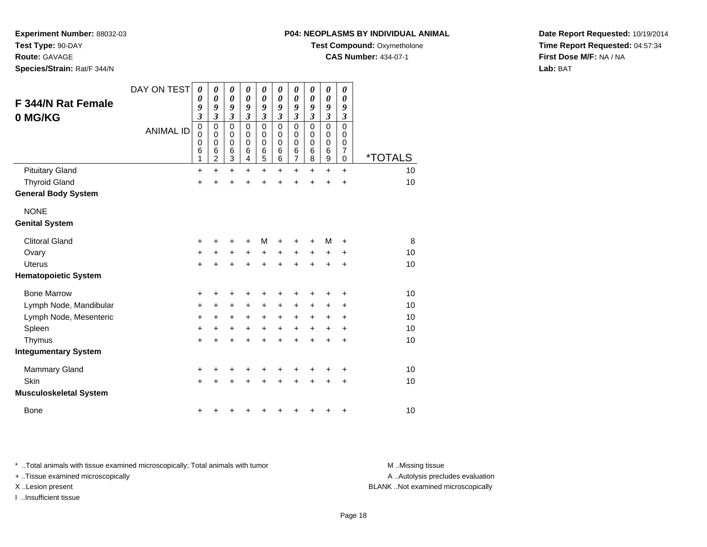**Test Type:** 90-DAY

**Route:** GAVAGE

**Species/Strain:** Rat/F 344/N

# **P04: NEOPLASMS BY INDIVIDUAL ANIMAL**

**Test Compound:** Oxymetholone

**CAS Number:** 434-07-1

**Date Report Requested:** 10/19/2014**Time Report Requested:** 04:57:34**First Dose M/F:** NA / NA**Lab:** BAT

| <b>F 344/N Rat Female</b><br>0 MG/KG | DAY ON TEST<br><b>ANIMAL ID</b> | $\boldsymbol{\theta}$<br>0<br>9<br>$\overline{\mathbf{3}}$<br>$\mathbf 0$<br>0<br>0<br>6<br>1 | $\boldsymbol{\theta}$<br>$\boldsymbol{\theta}$<br>9<br>$\mathfrak{z}$<br>$\mathbf 0$<br>0<br>$\mathbf 0$<br>6<br>2 | $\boldsymbol{\theta}$<br>$\boldsymbol{\theta}$<br>9<br>$\mathfrak{z}$<br>$\mathbf 0$<br>$\mathbf 0$<br>$\mathbf 0$<br>$\,6$<br>3 | $\boldsymbol{\theta}$<br>$\boldsymbol{\theta}$<br>9<br>$\mathfrak{z}$<br>$\mathbf 0$<br>0<br>$\mathbf 0$<br>6<br>$\overline{4}$ | $\boldsymbol{\theta}$<br>$\boldsymbol{\theta}$<br>9<br>$\boldsymbol{\mathfrak{z}}$<br>$\mathbf 0$<br>0<br>$\mathbf 0$<br>6<br>5 | 0<br>0<br>9<br>$\mathfrak{z}$<br>$\mathbf 0$<br>$\mathbf 0$<br>$\mathbf 0$<br>6<br>6 | $\boldsymbol{\theta}$<br>$\boldsymbol{\theta}$<br>9<br>$\mathfrak{z}$<br>$\mathbf 0$<br>0<br>$\mathbf 0$<br>6<br>$\overline{7}$ | 0<br>$\boldsymbol{\theta}$<br>9<br>$\mathfrak{z}$<br>$\mathbf 0$<br>0<br>$\mathbf 0$<br>6<br>8 | $\pmb{\theta}$<br>$\boldsymbol{\theta}$<br>9<br>$\boldsymbol{\mathfrak{z}}$<br>$\mathsf 0$<br>$\mathbf 0$<br>$\mathbf 0$<br>6<br>9 | 0<br>0<br>9<br>$\overline{\mathbf{3}}$<br>0<br>0<br>0<br>7<br>0 | <i><b>*TOTALS</b></i> |
|--------------------------------------|---------------------------------|-----------------------------------------------------------------------------------------------|--------------------------------------------------------------------------------------------------------------------|----------------------------------------------------------------------------------------------------------------------------------|---------------------------------------------------------------------------------------------------------------------------------|---------------------------------------------------------------------------------------------------------------------------------|--------------------------------------------------------------------------------------|---------------------------------------------------------------------------------------------------------------------------------|------------------------------------------------------------------------------------------------|------------------------------------------------------------------------------------------------------------------------------------|-----------------------------------------------------------------|-----------------------|
| <b>Pituitary Gland</b>               |                                 | $\ddot{}$                                                                                     | $\ddot{}$                                                                                                          | +                                                                                                                                | $\ddot{}$                                                                                                                       | $\ddot{}$                                                                                                                       | $\ddot{}$                                                                            | $\ddot{}$                                                                                                                       | $\ddot{}$                                                                                      | $\ddot{}$                                                                                                                          | $\ddot{}$                                                       | 10                    |
| <b>Thyroid Gland</b>                 |                                 | +                                                                                             | $\ddot{}$                                                                                                          | $\ddot{}$                                                                                                                        | $\ddot{}$                                                                                                                       | $\ddot{}$                                                                                                                       | $\ddot{}$                                                                            | $\ddot{}$                                                                                                                       | $\ddot{}$                                                                                      | $\ddot{}$                                                                                                                          | $\ddot{}$                                                       | 10                    |
| <b>General Body System</b>           |                                 |                                                                                               |                                                                                                                    |                                                                                                                                  |                                                                                                                                 |                                                                                                                                 |                                                                                      |                                                                                                                                 |                                                                                                |                                                                                                                                    |                                                                 |                       |
| <b>NONE</b>                          |                                 |                                                                                               |                                                                                                                    |                                                                                                                                  |                                                                                                                                 |                                                                                                                                 |                                                                                      |                                                                                                                                 |                                                                                                |                                                                                                                                    |                                                                 |                       |
| <b>Genital System</b>                |                                 |                                                                                               |                                                                                                                    |                                                                                                                                  |                                                                                                                                 |                                                                                                                                 |                                                                                      |                                                                                                                                 |                                                                                                |                                                                                                                                    |                                                                 |                       |
| <b>Clitoral Gland</b>                |                                 | +                                                                                             | +                                                                                                                  | +                                                                                                                                | +                                                                                                                               | M                                                                                                                               | +                                                                                    | +                                                                                                                               | ٠                                                                                              | M                                                                                                                                  | +                                                               | 8                     |
| Ovary                                |                                 | +                                                                                             | $\pm$                                                                                                              | $\ddot{}$                                                                                                                        | $+$                                                                                                                             | $\ddot{}$                                                                                                                       | $\ddot{}$                                                                            | $\ddot{}$                                                                                                                       | $\ddot{}$                                                                                      | $\pm$                                                                                                                              | +                                                               | 10                    |
| <b>Uterus</b>                        |                                 | +                                                                                             |                                                                                                                    |                                                                                                                                  |                                                                                                                                 | +                                                                                                                               | ÷                                                                                    | +                                                                                                                               | ÷                                                                                              | $\pm$                                                                                                                              | +                                                               | 10                    |
| <b>Hematopoietic System</b>          |                                 |                                                                                               |                                                                                                                    |                                                                                                                                  |                                                                                                                                 |                                                                                                                                 |                                                                                      |                                                                                                                                 |                                                                                                |                                                                                                                                    |                                                                 |                       |
| <b>Bone Marrow</b>                   |                                 | +                                                                                             | +                                                                                                                  | +                                                                                                                                | +                                                                                                                               | +                                                                                                                               | +                                                                                    | +                                                                                                                               | ٠                                                                                              | ٠                                                                                                                                  | +                                                               | 10                    |
| Lymph Node, Mandibular               |                                 | +                                                                                             | +                                                                                                                  | $\ddot{}$                                                                                                                        | +                                                                                                                               | +                                                                                                                               | +                                                                                    | +                                                                                                                               | +                                                                                              | +                                                                                                                                  | +                                                               | 10                    |
| Lymph Node, Mesenteric               |                                 | +                                                                                             | $\ddot{}$                                                                                                          | $\ddot{}$                                                                                                                        | $\ddot{}$                                                                                                                       | $\ddot{}$                                                                                                                       | $\ddot{}$                                                                            | $\ddot{}$                                                                                                                       | $\ddot{}$                                                                                      | $\ddot{}$                                                                                                                          | +                                                               | 10                    |
| Spleen                               |                                 | $\ddot{}$                                                                                     | $\ddot{}$                                                                                                          | $\ddot{}$                                                                                                                        | $\ddot{}$                                                                                                                       | $\ddot{}$                                                                                                                       | +                                                                                    | $\ddot{}$                                                                                                                       | $\ddot{}$                                                                                      | +                                                                                                                                  | $\ddot{}$                                                       | 10                    |
| Thymus                               |                                 | $\ddot{}$                                                                                     | +                                                                                                                  | $\ddot{}$                                                                                                                        | $\ddot{}$                                                                                                                       | $\ddot{}$                                                                                                                       | $\ddot{}$                                                                            | $\ddot{}$                                                                                                                       | ÷                                                                                              | $\ddot{}$                                                                                                                          | $\ddot{}$                                                       | 10                    |
| <b>Integumentary System</b>          |                                 |                                                                                               |                                                                                                                    |                                                                                                                                  |                                                                                                                                 |                                                                                                                                 |                                                                                      |                                                                                                                                 |                                                                                                |                                                                                                                                    |                                                                 |                       |
| <b>Mammary Gland</b>                 |                                 | +                                                                                             |                                                                                                                    |                                                                                                                                  |                                                                                                                                 |                                                                                                                                 |                                                                                      | ٠                                                                                                                               |                                                                                                | +                                                                                                                                  | ٠                                                               | 10                    |
| Skin                                 |                                 | $\ddot{}$                                                                                     |                                                                                                                    |                                                                                                                                  |                                                                                                                                 | +                                                                                                                               | $\ddot{}$                                                                            | $\ddot{}$                                                                                                                       | ÷                                                                                              | +                                                                                                                                  | +                                                               | 10                    |
| <b>Musculoskeletal System</b>        |                                 |                                                                                               |                                                                                                                    |                                                                                                                                  |                                                                                                                                 |                                                                                                                                 |                                                                                      |                                                                                                                                 |                                                                                                |                                                                                                                                    |                                                                 |                       |
| <b>Bone</b>                          |                                 | +                                                                                             |                                                                                                                    |                                                                                                                                  |                                                                                                                                 |                                                                                                                                 | +                                                                                    | +                                                                                                                               | ٠                                                                                              | +                                                                                                                                  | +                                                               | 10                    |

\* ..Total animals with tissue examined microscopically; Total animals with tumor **M** . Missing tissue M ..Missing tissue

+ ..Tissue examined microscopically

I ..Insufficient tissue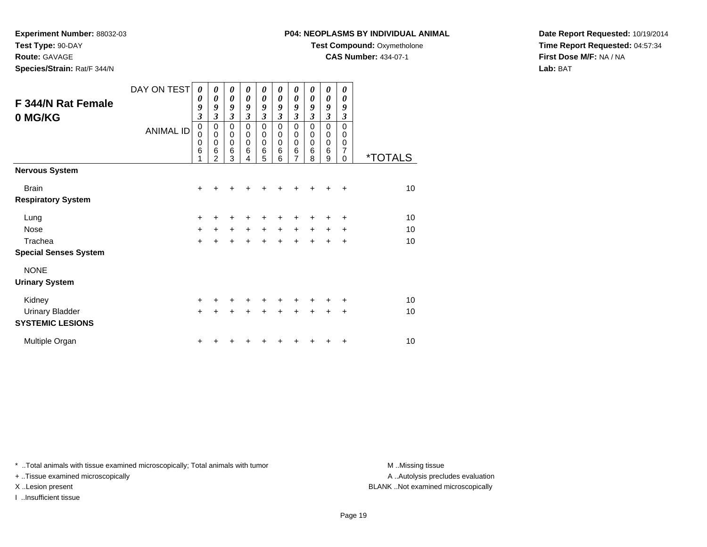**Test Type:** 90-DAY

**Route:** GAVAGE

**Species/Strain:** Rat/F 344/N

# **P04: NEOPLASMS BY INDIVIDUAL ANIMAL**

**Test Compound:** Oxymetholone

**CAS Number:** 434-07-1

**Date Report Requested:** 10/19/2014**Time Report Requested:** 04:57:34**First Dose M/F:** NA / NA**Lab:** BAT

|                              | DAY ON TEST      | 0<br>0                  | 0<br>0                     | $\boldsymbol{\theta}$<br>$\boldsymbol{\theta}$ | 0<br>$\boldsymbol{\theta}$ | $\boldsymbol{\theta}$<br>0 | 0<br>0           | 0<br>0                      | 0<br>$\boldsymbol{\theta}$ | 0<br>$\boldsymbol{\theta}$ | 0<br>0               |                       |
|------------------------------|------------------|-------------------------|----------------------------|------------------------------------------------|----------------------------|----------------------------|------------------|-----------------------------|----------------------------|----------------------------|----------------------|-----------------------|
| <b>F 344/N Rat Female</b>    |                  | 9                       | 9                          | 9                                              | 9                          | 9                          | 9                | 9                           | $\boldsymbol{g}$           | 9                          | $\boldsymbol{g}$     |                       |
| 0 MG/KG                      |                  | $\overline{\mathbf{3}}$ | $\overline{\mathbf{3}}$    | $\mathfrak{z}$                                 | $\mathfrak{z}$             | $\mathfrak{z}$             | $\mathfrak{z}$   | $\boldsymbol{\mathfrak{z}}$ | $\mathfrak{z}$             | $\mathfrak{z}$             | $\boldsymbol{\beta}$ |                       |
|                              | <b>ANIMAL ID</b> | $\mathbf 0$             | $\mathbf 0$                | $\mathbf 0$                                    | $\mathbf 0$                | $\mathbf 0$                | $\mathbf 0$      | $\pmb{0}$                   | $\mathbf 0$                | $\mathbf 0$                | $\Omega$             |                       |
|                              |                  | 0<br>0                  | $\mathbf 0$<br>$\mathbf 0$ | $\pmb{0}$<br>$\pmb{0}$                         | $\mathbf 0$<br>$\mathbf 0$ | $\mathbf 0$<br>$\mathbf 0$ | 0<br>$\mathbf 0$ | $\pmb{0}$<br>$\mathbf 0$    | 0<br>0                     | $\pmb{0}$<br>0             | 0<br>0               |                       |
|                              |                  | 6                       | 6                          | 6                                              | $\,6$                      | $\,6$                      | 6                | 6                           | 6                          | $6\phantom{1}6$            | 7                    |                       |
|                              |                  | 1                       | $\overline{2}$             | 3                                              | 4                          | 5                          | 6                | $\overline{7}$              | 8                          | 9                          | $\Omega$             | <i><b>*TOTALS</b></i> |
| <b>Nervous System</b>        |                  |                         |                            |                                                |                            |                            |                  |                             |                            |                            |                      |                       |
| <b>Brain</b>                 |                  | $\ddot{}$               | +                          | +                                              |                            |                            |                  |                             |                            | +                          | $\ddot{}$            | 10                    |
| <b>Respiratory System</b>    |                  |                         |                            |                                                |                            |                            |                  |                             |                            |                            |                      |                       |
| Lung                         |                  | +                       | +                          | +                                              | +                          | +                          | ٠                | +                           |                            | +                          | $\ddot{}$            | 10                    |
| <b>Nose</b>                  |                  | $\ddot{}$               | $+$                        | $\ddot{}$                                      | $+$                        | $\ddot{}$                  | $+$              | $\ddot{}$                   | $+$                        | $\ddot{}$                  | $\ddot{}$            | 10                    |
| Trachea                      |                  | $+$                     | $\ddot{}$                  | $\ddot{}$                                      | $+$                        | $\ddot{}$                  | $\ddot{}$        | $+$                         | $+$                        | $\ddot{}$                  | $\ddot{}$            | 10                    |
| <b>Special Senses System</b> |                  |                         |                            |                                                |                            |                            |                  |                             |                            |                            |                      |                       |
| <b>NONE</b>                  |                  |                         |                            |                                                |                            |                            |                  |                             |                            |                            |                      |                       |
| <b>Urinary System</b>        |                  |                         |                            |                                                |                            |                            |                  |                             |                            |                            |                      |                       |
| Kidney                       |                  | +                       | +                          | +                                              | +                          | +                          |                  | +                           | +                          | +                          | ÷                    | 10                    |
| <b>Urinary Bladder</b>       |                  | $\ddot{}$               | $\ddot{}$                  | $\ddot{}$                                      | $\ddot{}$                  | +                          | $\ddot{}$        | $\div$                      | $\ddot{}$                  | $\ddot{}$                  | $\ddot{}$            | 10                    |
| <b>SYSTEMIC LESIONS</b>      |                  |                         |                            |                                                |                            |                            |                  |                             |                            |                            |                      |                       |
| Multiple Organ               |                  | $\ddot{}$               |                            |                                                |                            |                            |                  |                             |                            | +                          | +                    | 10                    |

\* ..Total animals with tissue examined microscopically; Total animals with tumor **M** . Missing tissue M ..Missing tissue

+ ..Tissue examined microscopically

I ..Insufficient tissue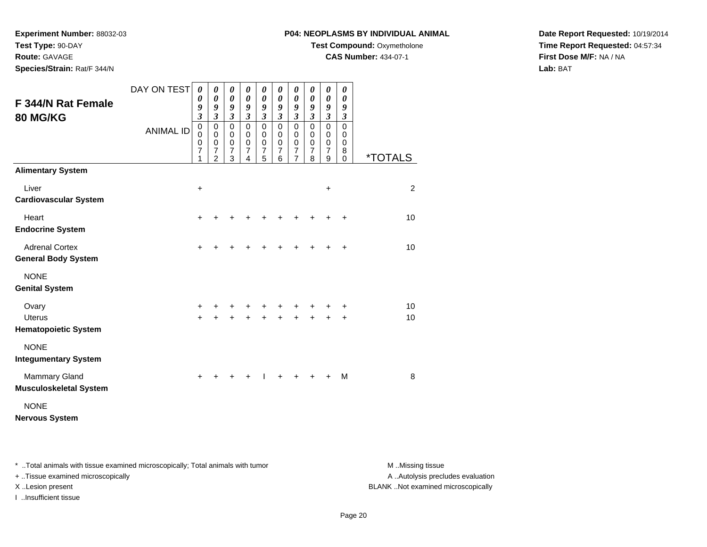**Route:** GAVAGE

**Species/Strain:** Rat/F 344/N

# **P04: NEOPLASMS BY INDIVIDUAL ANIMAL**

**Test Compound: Oxymetholone** 

**CAS Number:** 434-07-1

**Date Report Requested:** 10/19/2014**Time Report Requested:** 04:57:34**First Dose M/F:** NA / NA**Lab:** BAT

| <b>F 344/N Rat Female</b><br><b>80 MG/KG</b>          | DAY ON TEST      | $\boldsymbol{\theta}$<br>$\boldsymbol{\theta}$<br>9<br>$\mathfrak{z}$ | 0<br>$\boldsymbol{\theta}$<br>9<br>$\mathfrak{z}$                   | 0<br>$\boldsymbol{\theta}$<br>9<br>$\mathfrak{z}$                | 0<br>$\pmb{\theta}$<br>9<br>$\mathfrak{z}$                   | 0<br>0<br>9<br>$\mathfrak{z}$                                    | 0<br>0<br>9<br>$\mathfrak{z}$                | 0<br>$\boldsymbol{\theta}$<br>9<br>$\mathfrak{z}$            | 0<br>0<br>9<br>$\mathfrak{z}$                | 0<br>$\boldsymbol{\theta}$<br>9<br>$\mathfrak{z}$                | 0<br>0<br>9<br>$\boldsymbol{\mathfrak{z}}$ |                       |
|-------------------------------------------------------|------------------|-----------------------------------------------------------------------|---------------------------------------------------------------------|------------------------------------------------------------------|--------------------------------------------------------------|------------------------------------------------------------------|----------------------------------------------|--------------------------------------------------------------|----------------------------------------------|------------------------------------------------------------------|--------------------------------------------|-----------------------|
|                                                       | <b>ANIMAL ID</b> | $\mathbf 0$<br>0<br>0<br>$\overline{7}$<br>1                          | $\mathbf 0$<br>$\mathbf 0$<br>0<br>$\overline{7}$<br>$\overline{2}$ | $\mathbf 0$<br>$\mathbf 0$<br>$\mathbf 0$<br>$\overline{7}$<br>3 | $\pmb{0}$<br>$\mathbf 0$<br>$\pmb{0}$<br>$\overline{7}$<br>4 | $\mathbf 0$<br>$\mathbf 0$<br>$\mathbf 0$<br>$\overline{7}$<br>5 | $\mathbf 0$<br>0<br>0<br>$\overline{7}$<br>6 | $\pmb{0}$<br>$\mathbf 0$<br>$\pmb{0}$<br>$\overline{7}$<br>7 | $\mathbf 0$<br>0<br>0<br>$\overline{7}$<br>8 | $\mathbf 0$<br>$\mathbf 0$<br>$\mathbf 0$<br>$\overline{7}$<br>9 | $\mathsf 0$<br>0<br>0<br>8<br>$\Omega$     | <i><b>*TOTALS</b></i> |
| <b>Alimentary System</b>                              |                  |                                                                       |                                                                     |                                                                  |                                                              |                                                                  |                                              |                                                              |                                              |                                                                  |                                            |                       |
| Liver<br><b>Cardiovascular System</b>                 |                  | $\ddot{}$                                                             |                                                                     |                                                                  |                                                              |                                                                  |                                              |                                                              |                                              | +                                                                |                                            | 2                     |
| Heart<br><b>Endocrine System</b>                      |                  | $\ddot{}$                                                             |                                                                     |                                                                  |                                                              |                                                                  |                                              | +                                                            | +                                            | +                                                                | $\ddot{}$                                  | 10                    |
| <b>Adrenal Cortex</b><br><b>General Body System</b>   |                  | $\ddot{}$                                                             |                                                                     |                                                                  |                                                              | +                                                                | +                                            | +                                                            | $\ddot{}$                                    | $\div$                                                           | $\ddot{}$                                  | 10                    |
| <b>NONE</b><br><b>Genital System</b>                  |                  |                                                                       |                                                                     |                                                                  |                                                              |                                                                  |                                              |                                                              |                                              |                                                                  |                                            |                       |
| Ovary<br><b>Uterus</b><br><b>Hematopoietic System</b> |                  | $\ddot{}$<br>$\ddot{}$                                                |                                                                     |                                                                  |                                                              | +                                                                | +                                            | +<br>$\ddot{}$                                               |                                              |                                                                  | +<br>$\ddot{}$                             | 10<br>10              |
| <b>NONE</b><br><b>Integumentary System</b>            |                  |                                                                       |                                                                     |                                                                  |                                                              |                                                                  |                                              |                                                              |                                              |                                                                  |                                            |                       |
| <b>Mammary Gland</b><br><b>Musculoskeletal System</b> |                  | $\ddot{}$                                                             |                                                                     |                                                                  |                                                              |                                                                  |                                              |                                                              |                                              |                                                                  | M                                          | 8                     |
| <b>NONE</b><br><b>Nervous System</b>                  |                  |                                                                       |                                                                     |                                                                  |                                                              |                                                                  |                                              |                                                              |                                              |                                                                  |                                            |                       |

\* ..Total animals with tissue examined microscopically; Total animals with tumor **M** . Missing tissue M ..Missing tissue

+ ..Tissue examined microscopically

I ..Insufficient tissue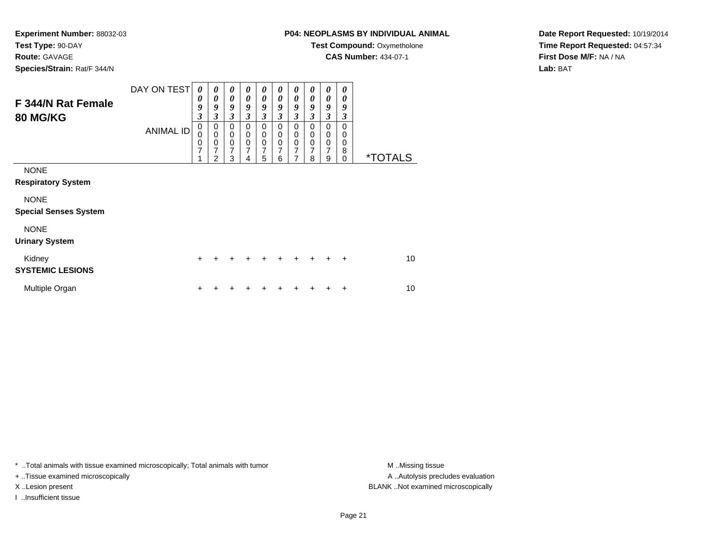#### **Route:** GAVAGE

**Species/Strain:** Rat/F 344/N

# **P04: NEOPLASMS BY INDIVIDUAL ANIMAL**

**Test Compound: Oxymetholone** 

**CAS Number:** 434-07-1

**Date Report Requested:** 10/19/2014**Time Report Requested:** 04:57:34**First Dose M/F:** NA / NA**Lab:** BAT

| F 344/N Rat Female<br><b>80 MG/KG</b>       | DAY ON TEST<br><b>ANIMAL ID</b> | 0<br>0<br>9<br>$\boldsymbol{\beta}$<br>0<br>$\Omega$ | 0<br>0<br>9<br>3<br>0<br>$\pmb{0}$ | 0<br>0<br>$\boldsymbol{g}$<br>$\overline{\mathbf{3}}$<br>$\Omega$<br>$\mathbf 0$ | 0<br>0<br>9<br>$\mathfrak{z}$<br>0<br>$\mathbf 0$ | 0<br>0<br>9<br>$\overline{\mathbf{3}}$<br>$\Omega$<br>$\mathbf 0$ | 0<br>0<br>9<br>3<br>$\mathbf 0$<br>$\mathbf 0$ | $\boldsymbol{\theta}$<br>0<br>9<br>$\overline{\mathbf{3}}$<br>$\Omega$<br>$\mathbf 0$ | 0<br>0<br>9<br>3<br>$\Omega$<br>0 | 0<br>0<br>9<br>3<br>$\Omega$<br>0 | 0<br>0<br>9<br>3<br>$\Omega$<br>0 |                       |
|---------------------------------------------|---------------------------------|------------------------------------------------------|------------------------------------|----------------------------------------------------------------------------------|---------------------------------------------------|-------------------------------------------------------------------|------------------------------------------------|---------------------------------------------------------------------------------------|-----------------------------------|-----------------------------------|-----------------------------------|-----------------------|
|                                             |                                 | 0<br>$\overline{7}$                                  | $\pmb{0}$<br>$\overline{7}$<br>2   | $\mathbf 0$<br>$\overline{7}$<br>3                                               | $\pmb{0}$<br>$\overline{7}$<br>4                  | $\mathbf 0$<br>$\overline{7}$<br>5                                | $\mathbf 0$<br>$\overline{7}$<br>6             | 0<br>$\overline{7}$<br>7                                                              | 0<br>7<br>8                       | 0<br>$\overline{7}$<br>9          | 0<br>8<br>$\Omega$                | <i><b>*TOTALS</b></i> |
| <b>NONE</b><br><b>Respiratory System</b>    |                                 |                                                      |                                    |                                                                                  |                                                   |                                                                   |                                                |                                                                                       |                                   |                                   |                                   |                       |
| <b>NONE</b><br><b>Special Senses System</b> |                                 |                                                      |                                    |                                                                                  |                                                   |                                                                   |                                                |                                                                                       |                                   |                                   |                                   |                       |
| <b>NONE</b><br><b>Urinary System</b>        |                                 |                                                      |                                    |                                                                                  |                                                   |                                                                   |                                                |                                                                                       |                                   |                                   |                                   |                       |
| Kidney<br><b>SYSTEMIC LESIONS</b>           |                                 | $\ddot{}$                                            | $\div$                             |                                                                                  |                                                   |                                                                   | ÷                                              | $\div$                                                                                | $\div$                            | $\ddot{}$                         | $\ddot{}$                         | 10                    |
| Multiple Organ                              |                                 | ÷                                                    |                                    |                                                                                  |                                                   |                                                                   |                                                |                                                                                       |                                   |                                   | +                                 | 10                    |

\* ..Total animals with tissue examined microscopically; Total animals with tumor **M** . Missing tissue M ..Missing tissue

+ ..Tissue examined microscopically

I ..Insufficient tissue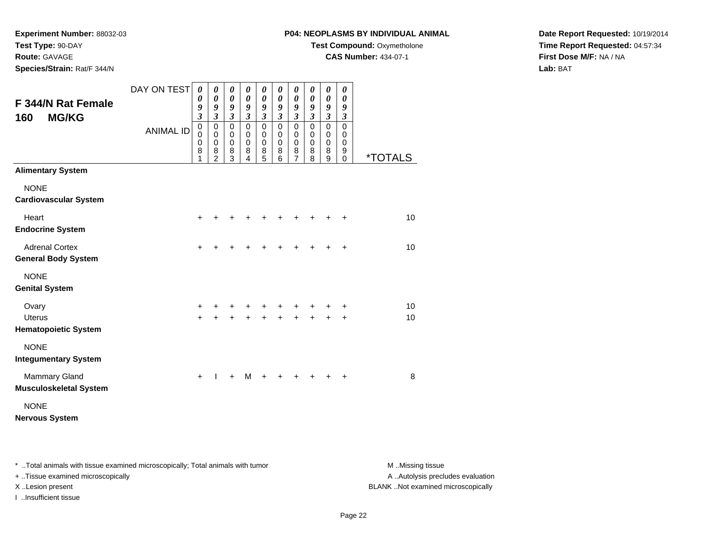**Route:** GAVAGE

**Species/Strain:** Rat/F 344/N

# **P04: NEOPLASMS BY INDIVIDUAL ANIMAL**

**Test Compound:** Oxymetholone

**CAS Number:** 434-07-1

**Date Report Requested:** 10/19/2014**Time Report Requested:** 04:57:34**First Dose M/F:** NA / NA**Lab:** BAT

| <b>F 344/N Rat Female</b><br><b>MG/KG</b><br>160      | DAY ON TEST<br><b>ANIMAL ID</b> | 0<br>0<br>9<br>$\mathfrak{z}$<br>$\mathbf 0$<br>$\mathbf 0$<br>$\mathbf 0$<br>8<br>1 | 0<br>0<br>9<br>$\mathfrak{z}$<br>$\mathbf 0$<br>$\mathbf 0$<br>$\mathbf 0$<br>8<br>$\overline{2}$ | 0<br>$\pmb{\theta}$<br>9<br>$\boldsymbol{\mathfrak{z}}$<br>$\pmb{0}$<br>0<br>$\mathbf 0$<br>8<br>$\overline{3}$ | 0<br>$\boldsymbol{\theta}$<br>9<br>$\mathfrak{z}$<br>$\mathbf 0$<br>$\mathbf 0$<br>$\mathbf 0$<br>8<br>4 | 0<br>$\boldsymbol{\theta}$<br>9<br>$\boldsymbol{\beta}$<br>$\mathbf 0$<br>0<br>$\pmb{0}$<br>8<br>$\overline{5}$ | 0<br>0<br>9<br>$\mathfrak{z}$<br>$\mathbf 0$<br>0<br>0<br>8<br>6 | 0<br>$\boldsymbol{\theta}$<br>9<br>$\mathfrak{z}$<br>$\mathbf 0$<br>$\mathbf 0$<br>$\pmb{0}$<br>8<br>$\overline{7}$ | 0<br>0<br>9<br>$\mathfrak{z}$<br>$\mathbf 0$<br>$\mathbf 0$<br>0<br>8<br>8 | 0<br>$\pmb{\theta}$<br>9<br>$\overline{\mathbf{3}}$<br>$\mathsf 0$<br>0<br>$\mathbf 0$<br>8<br>$\overline{9}$ | 0<br>0<br>9<br>$\boldsymbol{\beta}$<br>$\mathbf 0$<br>0<br>0<br>9<br>$\mathbf 0$ | <i><b>*TOTALS</b></i> |
|-------------------------------------------------------|---------------------------------|--------------------------------------------------------------------------------------|---------------------------------------------------------------------------------------------------|-----------------------------------------------------------------------------------------------------------------|----------------------------------------------------------------------------------------------------------|-----------------------------------------------------------------------------------------------------------------|------------------------------------------------------------------|---------------------------------------------------------------------------------------------------------------------|----------------------------------------------------------------------------|---------------------------------------------------------------------------------------------------------------|----------------------------------------------------------------------------------|-----------------------|
| <b>Alimentary System</b>                              |                                 |                                                                                      |                                                                                                   |                                                                                                                 |                                                                                                          |                                                                                                                 |                                                                  |                                                                                                                     |                                                                            |                                                                                                               |                                                                                  |                       |
| <b>NONE</b><br><b>Cardiovascular System</b>           |                                 |                                                                                      |                                                                                                   |                                                                                                                 |                                                                                                          |                                                                                                                 |                                                                  |                                                                                                                     |                                                                            |                                                                                                               |                                                                                  |                       |
| Heart<br><b>Endocrine System</b>                      |                                 | $\ddot{}$                                                                            |                                                                                                   |                                                                                                                 |                                                                                                          |                                                                                                                 |                                                                  |                                                                                                                     |                                                                            |                                                                                                               |                                                                                  | 10                    |
| <b>Adrenal Cortex</b><br><b>General Body System</b>   |                                 | $\ddot{}$                                                                            |                                                                                                   |                                                                                                                 |                                                                                                          | +                                                                                                               |                                                                  |                                                                                                                     |                                                                            |                                                                                                               | $\ddot{}$                                                                        | 10                    |
| <b>NONE</b><br><b>Genital System</b>                  |                                 |                                                                                      |                                                                                                   |                                                                                                                 |                                                                                                          |                                                                                                                 |                                                                  |                                                                                                                     |                                                                            |                                                                                                               |                                                                                  |                       |
| Ovary                                                 |                                 | $\ddot{}$                                                                            |                                                                                                   | ٠                                                                                                               | +                                                                                                        | +                                                                                                               | +                                                                | +                                                                                                                   |                                                                            |                                                                                                               | +                                                                                | 10                    |
| <b>Uterus</b><br><b>Hematopoietic System</b>          |                                 | $\ddot{}$                                                                            |                                                                                                   |                                                                                                                 |                                                                                                          | $\ddot{}$                                                                                                       |                                                                  |                                                                                                                     |                                                                            |                                                                                                               | $\ddot{}$                                                                        | 10                    |
| <b>NONE</b><br><b>Integumentary System</b>            |                                 |                                                                                      |                                                                                                   |                                                                                                                 |                                                                                                          |                                                                                                                 |                                                                  |                                                                                                                     |                                                                            |                                                                                                               |                                                                                  |                       |
| <b>Mammary Gland</b><br><b>Musculoskeletal System</b> |                                 | $\ddot{}$                                                                            | T                                                                                                 | $\ddot{}$                                                                                                       | M                                                                                                        | $\ddot{}$                                                                                                       | $\div$                                                           |                                                                                                                     |                                                                            |                                                                                                               | ÷                                                                                | 8                     |
| <b>NONE</b><br><b>Nervous System</b>                  |                                 |                                                                                      |                                                                                                   |                                                                                                                 |                                                                                                          |                                                                                                                 |                                                                  |                                                                                                                     |                                                                            |                                                                                                               |                                                                                  |                       |

\* ..Total animals with tissue examined microscopically; Total animals with tumor **M** . Missing tissue M ..Missing tissue

+ ..Tissue examined microscopically

I ..Insufficient tissue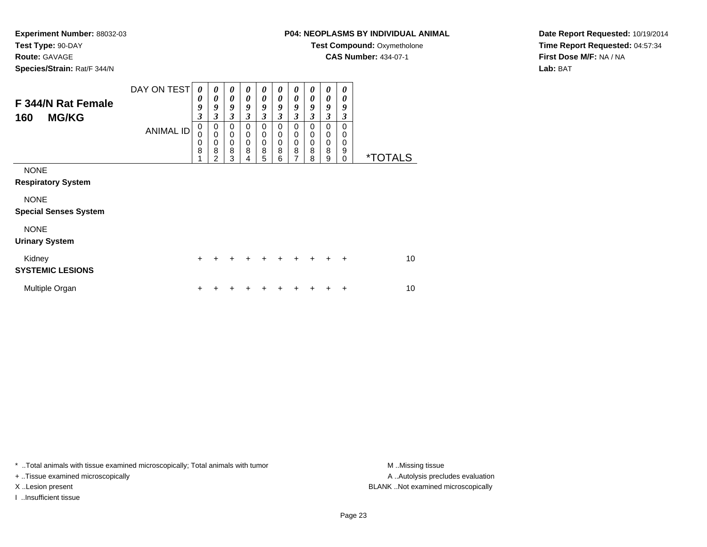**Route:** GAVAGE

**Species/Strain:** Rat/F 344/N

# **P04: NEOPLASMS BY INDIVIDUAL ANIMAL**

**Test Compound:** Oxymetholone

**CAS Number:** 434-07-1

**Date Report Requested:** 10/19/2014**Time Report Requested:** 04:57:34**First Dose M/F:** NA / NA**Lab:** BAT

| F 344/N Rat Female<br><b>MG/KG</b><br>160   | DAY ON TEST<br><b>ANIMAL ID</b> | $\boldsymbol{\theta}$<br>0<br>9<br>$\mathfrak{z}$<br>$\mathbf 0$<br>0 | $\boldsymbol{\theta}$<br>0<br>9<br>3<br>0<br>$\mathbf 0$ | 0<br>0<br>9<br>$\mathfrak{z}$<br>0<br>0 | 0<br>0<br>9<br>3<br>0<br>$\mathbf 0$ | $\boldsymbol{\theta}$<br>0<br>9<br>3<br>0<br>$\mathbf 0$ | 0<br>0<br>9<br>$\mathfrak{z}$<br>0<br>0 | $\boldsymbol{\theta}$<br>0<br>9<br>$\mathfrak{z}$<br>$\pmb{0}$<br>$\mathbf 0$ | 0<br>0<br>9<br>3<br>0<br>0 | $\boldsymbol{\theta}$<br>0<br>9<br>3<br>$\mathbf 0$<br>$\mathbf 0$ | 0<br>0<br>9<br>3<br>0<br>0 |                       |
|---------------------------------------------|---------------------------------|-----------------------------------------------------------------------|----------------------------------------------------------|-----------------------------------------|--------------------------------------|----------------------------------------------------------|-----------------------------------------|-------------------------------------------------------------------------------|----------------------------|--------------------------------------------------------------------|----------------------------|-----------------------|
|                                             |                                 | 0<br>8                                                                | 0<br>8<br>$\overline{2}$                                 | $\mathbf 0$<br>8<br>3                   | $\mathbf 0$<br>8<br>4                | 0<br>8<br>5                                              | 0<br>8<br>6                             | $\mathbf 0$<br>8<br>$\overline{7}$                                            | 0<br>8<br>8                | $\mathbf 0$<br>8<br>9                                              | 0<br>9<br>$\Omega$         | <i><b>*TOTALS</b></i> |
| <b>NONE</b><br><b>Respiratory System</b>    |                                 |                                                                       |                                                          |                                         |                                      |                                                          |                                         |                                                                               |                            |                                                                    |                            |                       |
| <b>NONE</b><br><b>Special Senses System</b> |                                 |                                                                       |                                                          |                                         |                                      |                                                          |                                         |                                                                               |                            |                                                                    |                            |                       |
| <b>NONE</b><br><b>Urinary System</b>        |                                 |                                                                       |                                                          |                                         |                                      |                                                          |                                         |                                                                               |                            |                                                                    |                            |                       |
| Kidney<br><b>SYSTEMIC LESIONS</b>           |                                 | $\ddot{}$                                                             | $\ddot{}$                                                | $\ddot{}$                               | $\div$                               | $\ddot{}$                                                | $\ddot{}$                               | $\ddot{}$                                                                     | $\ddot{}$                  | $\ddot{}$                                                          | $\ddot{}$                  | 10                    |
| Multiple Organ                              |                                 | ٠                                                                     |                                                          |                                         |                                      |                                                          |                                         | ÷                                                                             | +                          | ٠                                                                  | ٠                          | 10                    |

\* ..Total animals with tissue examined microscopically; Total animals with tumor **M** . Missing tissue M ..Missing tissue

+ ..Tissue examined microscopically

I ..Insufficient tissue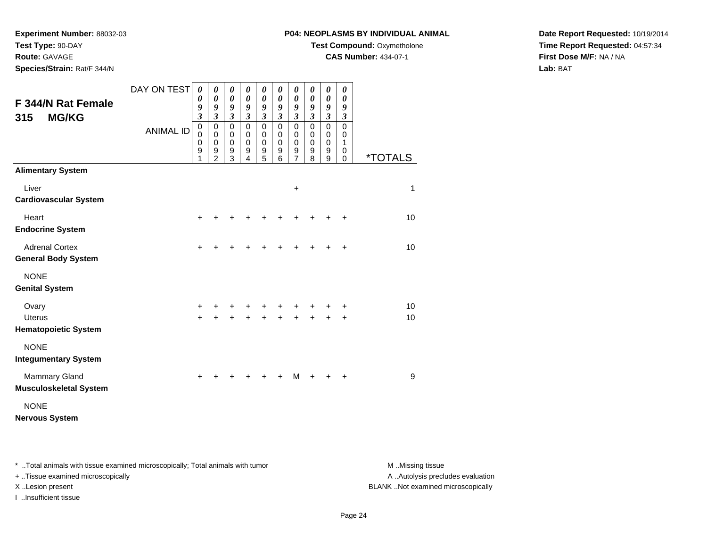**Route:** GAVAGE

**Species/Strain:** Rat/F 344/N

# **P04: NEOPLASMS BY INDIVIDUAL ANIMAL**

**Test Compound:** Oxymetholone

**CAS Number:** 434-07-1

**Date Report Requested:** 10/19/2014**Time Report Requested:** 04:57:34**First Dose M/F:** NA / NA**Lab:** BAT

| F 344/N Rat Female<br><b>MG/KG</b><br>315             | DAY ON TEST<br><b>ANIMAL ID</b> | 0<br>0<br>9<br>$\overline{\mathbf{3}}$<br>$\mathbf 0$<br>$\mathbf 0$<br>0<br>9 | 0<br>$\boldsymbol{\theta}$<br>9<br>$\mathfrak{z}$<br>$\mathbf 0$<br>$\mathbf 0$<br>$\mathbf 0$<br>9 | 0<br>$\boldsymbol{\theta}$<br>9<br>$\mathfrak{z}$<br>$\mathbf 0$<br>$\mathbf 0$<br>$\mathbf 0$<br>9 | 0<br>0<br>9<br>$\mathfrak{z}$<br>$\mathbf 0$<br>$\mathbf 0$<br>$\mathbf 0$<br>9 | 0<br>$\boldsymbol{\theta}$<br>9<br>$\mathfrak{z}$<br>$\pmb{0}$<br>$\pmb{0}$<br>0<br>9 | 0<br>0<br>9<br>$\overline{\mathbf{3}}$<br>0<br>$\mathbf 0$<br>$\mathbf 0$<br>9 | 0<br>$\boldsymbol{\theta}$<br>9<br>$\mathfrak{z}$<br>$\mathbf 0$<br>$\mathbf 0$<br>$\pmb{0}$<br>9 | 0<br>$\boldsymbol{\theta}$<br>9<br>$\mathfrak{z}$<br>$\mathbf 0$<br>$\mathbf 0$<br>$\mathbf 0$<br>9 | 0<br>$\pmb{\theta}$<br>9<br>$\mathfrak{z}$<br>$\mathbf 0$<br>$\mathbf 0$<br>$\mathbf 0$<br>9 | 0<br>0<br>9<br>$\boldsymbol{\mathfrak{z}}$<br>$\mathbf 0$<br>0<br>1<br>0 |                       |
|-------------------------------------------------------|---------------------------------|--------------------------------------------------------------------------------|-----------------------------------------------------------------------------------------------------|-----------------------------------------------------------------------------------------------------|---------------------------------------------------------------------------------|---------------------------------------------------------------------------------------|--------------------------------------------------------------------------------|---------------------------------------------------------------------------------------------------|-----------------------------------------------------------------------------------------------------|----------------------------------------------------------------------------------------------|--------------------------------------------------------------------------|-----------------------|
| <b>Alimentary System</b>                              |                                 | 1                                                                              | $\mathfrak{p}$                                                                                      | $\overline{3}$                                                                                      | 4                                                                               | $\overline{5}$                                                                        | 6                                                                              | $\overline{7}$                                                                                    | 8                                                                                                   | $\overline{9}$                                                                               | $\Omega$                                                                 | <i><b>*TOTALS</b></i> |
| Liver<br><b>Cardiovascular System</b>                 |                                 |                                                                                |                                                                                                     |                                                                                                     |                                                                                 |                                                                                       |                                                                                | $\ddot{}$                                                                                         |                                                                                                     |                                                                                              |                                                                          | $\mathbf{1}$          |
| Heart<br><b>Endocrine System</b>                      |                                 | $\ddot{}$                                                                      |                                                                                                     |                                                                                                     |                                                                                 |                                                                                       |                                                                                |                                                                                                   |                                                                                                     |                                                                                              | ÷                                                                        | 10                    |
| <b>Adrenal Cortex</b><br><b>General Body System</b>   |                                 | $\ddot{}$                                                                      | +                                                                                                   |                                                                                                     |                                                                                 | +                                                                                     | +                                                                              | +                                                                                                 | $\div$                                                                                              | $\div$                                                                                       | $\ddot{}$                                                                | 10                    |
| <b>NONE</b><br><b>Genital System</b>                  |                                 |                                                                                |                                                                                                     |                                                                                                     |                                                                                 |                                                                                       |                                                                                |                                                                                                   |                                                                                                     |                                                                                              |                                                                          |                       |
| Ovary<br><b>Uterus</b><br><b>Hematopoietic System</b> |                                 | $\ddot{}$<br>$\ddot{}$                                                         | +                                                                                                   | +                                                                                                   | +                                                                               | +<br>$\ddot{}$                                                                        | +<br>$\ddot{}$                                                                 | +<br>$\ddot{}$                                                                                    | +                                                                                                   |                                                                                              | +<br>$\ddot{}$                                                           | 10<br>10              |
| <b>NONE</b><br><b>Integumentary System</b>            |                                 |                                                                                |                                                                                                     |                                                                                                     |                                                                                 |                                                                                       |                                                                                |                                                                                                   |                                                                                                     |                                                                                              |                                                                          |                       |
| <b>Mammary Gland</b><br><b>Musculoskeletal System</b> |                                 | $\ddot{}$                                                                      |                                                                                                     |                                                                                                     |                                                                                 |                                                                                       | +                                                                              | М                                                                                                 |                                                                                                     |                                                                                              | $\ddot{}$                                                                | 9                     |
| <b>NONE</b><br><b>Nervous System</b>                  |                                 |                                                                                |                                                                                                     |                                                                                                     |                                                                                 |                                                                                       |                                                                                |                                                                                                   |                                                                                                     |                                                                                              |                                                                          |                       |

\* ..Total animals with tissue examined microscopically; Total animals with tumor **M** . Missing tissue M ..Missing tissue

+ ..Tissue examined microscopically

I ..Insufficient tissue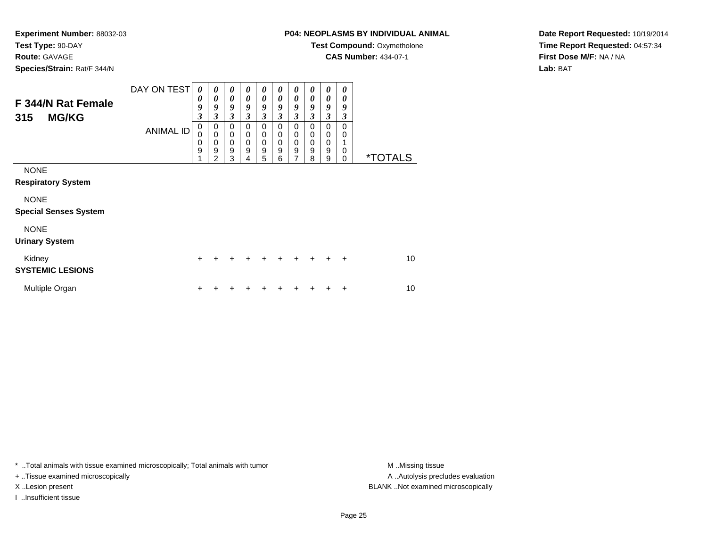**Route:** GAVAGE

**Species/Strain:** Rat/F 344/N

# **P04: NEOPLASMS BY INDIVIDUAL ANIMAL**

**Test Compound: Oxymetholone** 

**CAS Number:** 434-07-1

**Date Report Requested:** 10/19/2014**Time Report Requested:** 04:57:34**First Dose M/F:** NA / NA**Lab:** BAT

| F 344/N Rat Female<br><b>MG/KG</b><br>315   | DAY ON TEST      | $\boldsymbol{\theta}$<br>0<br>9<br>3 | $\boldsymbol{\theta}$<br>0<br>9<br>3 | $\boldsymbol{\theta}$<br>$\boldsymbol{\theta}$<br>9<br>3 | 0<br>0<br>9<br>3                               | 0<br>$\boldsymbol{\theta}$<br>9<br>$\mathfrak{z}$ | 0<br>0<br>9<br>3                                       | $\boldsymbol{\theta}$<br>$\boldsymbol{\theta}$<br>9<br>$\mathfrak{z}$ | 0<br>0<br>9<br>$\mathfrak{z}$   | 0<br>0<br>9<br>$\mathfrak{z}$                        | 0<br>0<br>9<br>3 |                       |
|---------------------------------------------|------------------|--------------------------------------|--------------------------------------|----------------------------------------------------------|------------------------------------------------|---------------------------------------------------|--------------------------------------------------------|-----------------------------------------------------------------------|---------------------------------|------------------------------------------------------|------------------|-----------------------|
|                                             | <b>ANIMAL ID</b> | 0<br>0<br>0<br>9                     | 0<br>0<br>0<br>9<br>2                | $\mathbf 0$<br>0<br>$\mathbf 0$<br>9<br>3                | 0<br>0<br>$\mathbf 0$<br>$\boldsymbol{9}$<br>4 | 0<br>0<br>$\mathbf 0$<br>$\boldsymbol{9}$<br>5    | 0<br>$\mathbf 0$<br>$\pmb{0}$<br>$\boldsymbol{9}$<br>6 | 0<br>0<br>$\boldsymbol{0}$<br>$\boldsymbol{9}$<br>7                   | 0<br>$\mathbf 0$<br>0<br>9<br>8 | 0<br>$\mathbf 0$<br>$\,0\,$<br>$\boldsymbol{9}$<br>9 | 0<br>0<br>0<br>0 | <i><b>*TOTALS</b></i> |
| <b>NONE</b><br><b>Respiratory System</b>    |                  |                                      |                                      |                                                          |                                                |                                                   |                                                        |                                                                       |                                 |                                                      |                  |                       |
| <b>NONE</b><br><b>Special Senses System</b> |                  |                                      |                                      |                                                          |                                                |                                                   |                                                        |                                                                       |                                 |                                                      |                  |                       |
| <b>NONE</b><br><b>Urinary System</b>        |                  |                                      |                                      |                                                          |                                                |                                                   |                                                        |                                                                       |                                 |                                                      |                  |                       |
| Kidney<br><b>SYSTEMIC LESIONS</b>           |                  | $\ddot{}$                            | +                                    | $\div$                                                   | $\div$                                         | $\ddot{}$                                         | ÷                                                      | $\ddot{}$                                                             | $\ddot{}$                       | $\ddot{}$                                            | $\ddot{}$        | 10                    |
| Multiple Organ                              |                  | ٠                                    |                                      |                                                          |                                                | ٠                                                 |                                                        | ٠                                                                     | ٠                               | ÷                                                    | +                | 10                    |

\* ..Total animals with tissue examined microscopically; Total animals with tumor **M** . Missing tissue M ..Missing tissue

+ ..Tissue examined microscopically

I ..Insufficient tissue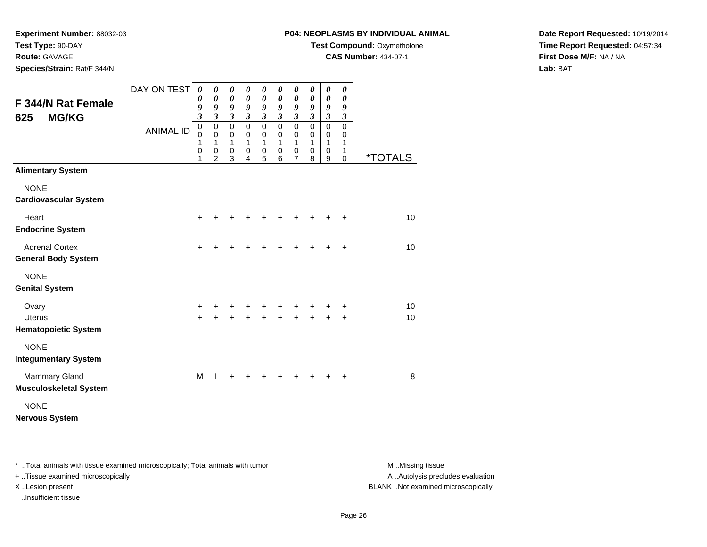# **Route:** GAVAGE

**Species/Strain:** Rat/F 344/N

# **P04: NEOPLASMS BY INDIVIDUAL ANIMAL**

**Test Compound:** Oxymetholone

**CAS Number:** 434-07-1

**Date Report Requested:** 10/19/2014**Time Report Requested:** 04:57:34**First Dose M/F:** NA / NA**Lab:** BAT

| F 344/N Rat Female<br><b>MG/KG</b><br>625             | DAY ON TEST      | $\boldsymbol{\theta}$<br>0<br>9<br>$\overline{\mathbf{3}}$ | 0<br>0<br>9<br>3                           | 0<br>$\boldsymbol{\theta}$<br>9<br>$\mathfrak{z}$ | 0<br>$\boldsymbol{\theta}$<br>9<br>$\boldsymbol{\beta}$ | 0<br>$\boldsymbol{\theta}$<br>9<br>$\mathfrak{z}$ | 0<br>$\boldsymbol{\theta}$<br>9<br>$\mathfrak{z}$ | 0<br>0<br>9<br>$\boldsymbol{\mathfrak{z}}$   | 0<br>0<br>9<br>$\mathfrak{z}$          | 0<br>0<br>9<br>$\boldsymbol{\beta}$ | 0<br>0<br>9<br>$\boldsymbol{\beta}$       |                       |
|-------------------------------------------------------|------------------|------------------------------------------------------------|--------------------------------------------|---------------------------------------------------|---------------------------------------------------------|---------------------------------------------------|---------------------------------------------------|----------------------------------------------|----------------------------------------|-------------------------------------|-------------------------------------------|-----------------------|
|                                                       | <b>ANIMAL ID</b> | $\mathbf 0$<br>0<br>1<br>0<br>1                            | $\pmb{0}$<br>0<br>1<br>0<br>$\overline{2}$ | $\mathbf 0$<br>0<br>1<br>$\pmb{0}$<br>3           | $\mathbf 0$<br>0<br>1<br>$\pmb{0}$<br>4                 | $\pmb{0}$<br>0<br>1<br>$\,0\,$<br>5               | $\mathbf 0$<br>0<br>1<br>$\mathbf 0$<br>6         | $\mathsf 0$<br>0<br>1<br>0<br>$\overline{7}$ | $\mathbf 0$<br>$\Omega$<br>1<br>0<br>8 | $\mathsf 0$<br>0<br>1<br>0<br>9     | $\mathbf 0$<br>0<br>1<br>1<br>$\mathbf 0$ | <i><b>*TOTALS</b></i> |
| <b>Alimentary System</b>                              |                  |                                                            |                                            |                                                   |                                                         |                                                   |                                                   |                                              |                                        |                                     |                                           |                       |
| <b>NONE</b><br><b>Cardiovascular System</b>           |                  |                                                            |                                            |                                                   |                                                         |                                                   |                                                   |                                              |                                        |                                     |                                           |                       |
| Heart<br><b>Endocrine System</b>                      |                  | +                                                          |                                            |                                                   |                                                         |                                                   |                                                   |                                              |                                        |                                     | +                                         | 10                    |
| <b>Adrenal Cortex</b><br><b>General Body System</b>   |                  | $\ddot{}$                                                  | +                                          | +                                                 |                                                         |                                                   |                                                   | +                                            | ٠                                      | ٠                                   | $\ddot{}$                                 | 10                    |
| <b>NONE</b><br><b>Genital System</b>                  |                  |                                                            |                                            |                                                   |                                                         |                                                   |                                                   |                                              |                                        |                                     |                                           |                       |
| Ovary<br><b>Uterus</b><br><b>Hematopoietic System</b> |                  | $\ddot{}$<br>$\ddot{}$                                     | +                                          | +                                                 | +                                                       | +                                                 | +                                                 | +                                            | +                                      | +<br>$\ddot{}$                      | +<br>$\ddot{}$                            | 10<br>10              |
| <b>NONE</b><br><b>Integumentary System</b>            |                  |                                                            |                                            |                                                   |                                                         |                                                   |                                                   |                                              |                                        |                                     |                                           |                       |
| <b>Mammary Gland</b><br><b>Musculoskeletal System</b> |                  | M                                                          | T                                          | ٠                                                 |                                                         |                                                   |                                                   |                                              |                                        |                                     | ٠                                         | 8                     |
| <b>NONE</b><br><b>Nervous System</b>                  |                  |                                                            |                                            |                                                   |                                                         |                                                   |                                                   |                                              |                                        |                                     |                                           |                       |

\* ..Total animals with tissue examined microscopically; Total animals with tumor **M** . Missing tissue M ..Missing tissue

+ ..Tissue examined microscopically

I ..Insufficient tissue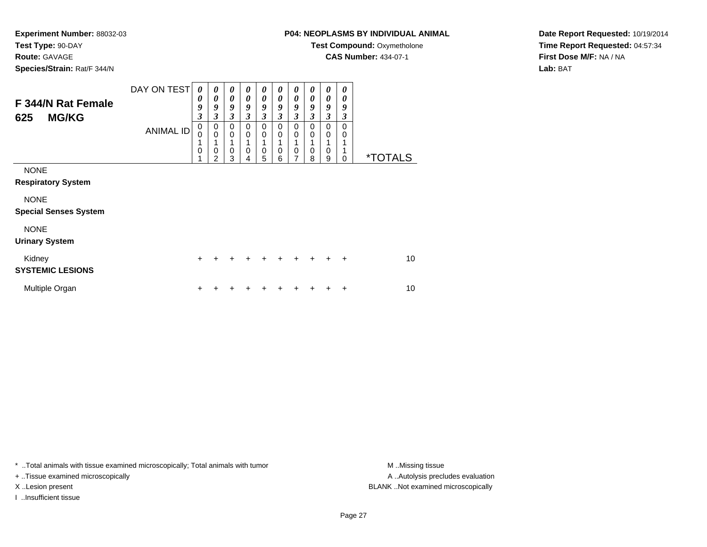#### **Route:** GAVAGE

**Species/Strain:** Rat/F 344/N

# **P04: NEOPLASMS BY INDIVIDUAL ANIMAL**

**Test Compound: Oxymetholone** 

**CAS Number:** 434-07-1

**Date Report Requested:** 10/19/2014**Time Report Requested:** 04:57:34**First Dose M/F:** NA / NA**Lab:** BAT

| F 344/N Rat Female<br><b>MG/KG</b><br>625   | DAY ON TEST<br><b>ANIMAL ID</b> | 0<br>0<br>9<br>$\boldsymbol{\beta}$<br>$\mathbf 0$ | 0<br>0<br>9<br>3<br>0           | 0<br>$\boldsymbol{\theta}$<br>9<br>3<br>$\mathbf 0$ | 0<br>$\boldsymbol{\theta}$<br>9<br>3<br>$\mathbf 0$ | 0<br>0<br>9<br>3<br>$\mathbf 0$ | 0<br>$\boldsymbol{\theta}$<br>9<br>$\mathfrak{z}$<br>0 | 0<br>0<br>9<br>$\mathfrak{z}$<br>$\mathbf 0$ | 0<br>0<br>9<br>3<br>$\pmb{0}$ | 0<br>0<br>9<br>3<br>$\mathbf 0$ | 0<br>0<br>9<br>3<br>$\mathbf 0$ |                       |
|---------------------------------------------|---------------------------------|----------------------------------------------------|---------------------------------|-----------------------------------------------------|-----------------------------------------------------|---------------------------------|--------------------------------------------------------|----------------------------------------------|-------------------------------|---------------------------------|---------------------------------|-----------------------|
|                                             |                                 | 0<br>0                                             | $\mathbf 0$<br>$\mathbf 0$<br>2 | $\Omega$<br>0<br>3                                  | $\mathbf 0$<br>0<br>4                               | 0<br>$\mathbf 0$<br>5           | $\mathbf 0$<br>1<br>0<br>6                             | 0<br>0<br>7                                  | $\mathbf 0$<br>0<br>8         | 0<br>0<br>9                     | 0<br>0                          | <i><b>*TOTALS</b></i> |
| <b>NONE</b><br><b>Respiratory System</b>    |                                 |                                                    |                                 |                                                     |                                                     |                                 |                                                        |                                              |                               |                                 |                                 |                       |
| <b>NONE</b><br><b>Special Senses System</b> |                                 |                                                    |                                 |                                                     |                                                     |                                 |                                                        |                                              |                               |                                 |                                 |                       |
| <b>NONE</b><br><b>Urinary System</b>        |                                 |                                                    |                                 |                                                     |                                                     |                                 |                                                        |                                              |                               |                                 |                                 |                       |
| Kidney<br><b>SYSTEMIC LESIONS</b>           |                                 | $\ddot{}$                                          |                                 |                                                     |                                                     |                                 |                                                        |                                              |                               | $\div$                          | $\ddot{}$                       | 10                    |
| Multiple Organ                              |                                 |                                                    |                                 |                                                     |                                                     |                                 |                                                        |                                              |                               |                                 | ÷                               | 10                    |

\* ..Total animals with tissue examined microscopically; Total animals with tumor **M** . Missing tissue M ..Missing tissue

+ ..Tissue examined microscopically

I ..Insufficient tissue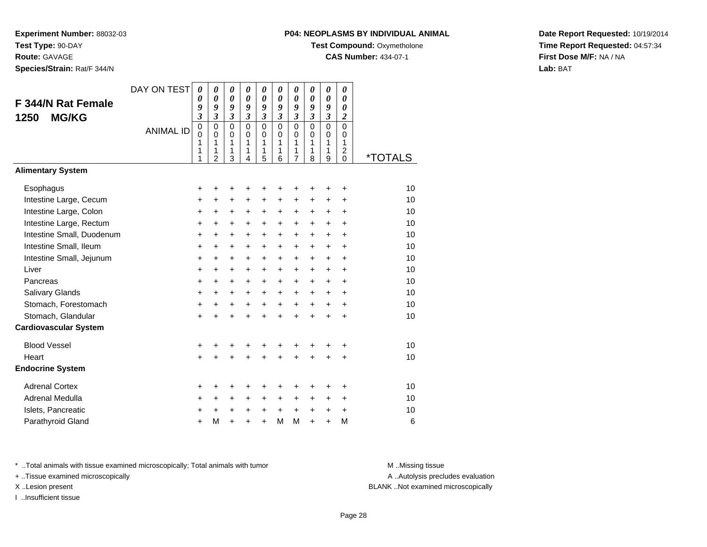**Experiment Number:** 88032-03**Test Type:** 90-DAY**Route:** GAVAGE

**Species/Strain:** Rat/F 344/N

#### **P04: NEOPLASMS BY INDIVIDUAL ANIMAL**

**Test Compound: Oxymetholone** 

**CAS Number:** 434-07-1

**Date Report Requested:** 10/19/2014**Time Report Requested:** 04:57:34**First Dose M/F:** NA / NA**Lab:** BAT

| <b>F 344/N Rat Female</b><br><b>MG/KG</b><br>1250 | DAY ON TEST<br><b>ANIMAL ID</b> | $\boldsymbol{\theta}$<br>0<br>9<br>3<br>$\mathbf 0$<br>0<br>1<br>1<br>1 | $\boldsymbol{\theta}$<br>$\boldsymbol{\theta}$<br>9<br>$\mathfrak{z}$<br>$\pmb{0}$<br>$\Omega$<br>1<br>1<br>$\overline{2}$ | 0<br>$\boldsymbol{\theta}$<br>9<br>$\boldsymbol{\beta}$<br>$\pmb{0}$<br>$\mathbf 0$<br>1<br>1<br>3 | 0<br>$\boldsymbol{\theta}$<br>9<br>$\mathfrak{z}$<br>$\mathbf 0$<br>$\Omega$<br>1<br>1<br>$\overline{4}$ | 0<br>0<br>9<br>$\mathfrak{z}$<br>$\pmb{0}$<br>$\mathbf 0$<br>1<br>1<br>5 | 0<br>$\boldsymbol{\theta}$<br>9<br>$\mathbf{3}$<br>$\mathbf 0$<br>$\Omega$<br>1<br>1<br>6 | 0<br>$\boldsymbol{\theta}$<br>9<br>$\mathfrak{z}$<br>$\pmb{0}$<br>$\mathbf 0$<br>1<br>1<br>$\overline{7}$ | 0<br>0<br>9<br>$\overline{\mathbf{3}}$<br>$\mathbf 0$<br>$\Omega$<br>1<br>1<br>8 | 0<br>0<br>9<br>$\overline{\mathbf{3}}$<br>$\overline{0}$<br>$\mathbf 0$<br>1<br>1<br>9 | 0<br>$\boldsymbol{\theta}$<br>0<br>$\overline{2}$<br>$\mathbf 0$<br>$\Omega$<br>1<br>$\overline{\mathbf{c}}$<br>0 | <i><b>*TOTALS</b></i> |
|---------------------------------------------------|---------------------------------|-------------------------------------------------------------------------|----------------------------------------------------------------------------------------------------------------------------|----------------------------------------------------------------------------------------------------|----------------------------------------------------------------------------------------------------------|--------------------------------------------------------------------------|-------------------------------------------------------------------------------------------|-----------------------------------------------------------------------------------------------------------|----------------------------------------------------------------------------------|----------------------------------------------------------------------------------------|-------------------------------------------------------------------------------------------------------------------|-----------------------|
| <b>Alimentary System</b>                          |                                 |                                                                         |                                                                                                                            |                                                                                                    |                                                                                                          |                                                                          |                                                                                           |                                                                                                           |                                                                                  |                                                                                        |                                                                                                                   |                       |
| Esophagus                                         |                                 | +                                                                       | +                                                                                                                          | +                                                                                                  | +                                                                                                        | +                                                                        | +                                                                                         | +                                                                                                         | ٠                                                                                | ٠                                                                                      | +                                                                                                                 | 10                    |
| Intestine Large, Cecum                            |                                 | $\ddot{}$                                                               | +                                                                                                                          | +                                                                                                  | +                                                                                                        | +                                                                        | +                                                                                         | +                                                                                                         | +                                                                                | +                                                                                      | $\ddot{}$                                                                                                         | 10                    |
| Intestine Large, Colon                            |                                 | +                                                                       | $\ddot{}$                                                                                                                  | $\ddot{}$                                                                                          | +                                                                                                        | +                                                                        | +                                                                                         | +                                                                                                         | +                                                                                | +                                                                                      | +                                                                                                                 | 10                    |
| Intestine Large, Rectum                           |                                 | $\ddot{}$                                                               | $\ddot{}$                                                                                                                  | $\ddot{}$                                                                                          | $\ddot{}$                                                                                                | $\ddot{}$                                                                | $\ddot{}$                                                                                 | $\ddot{}$                                                                                                 | $+$                                                                              | $\ddot{}$                                                                              | ÷                                                                                                                 | 10                    |
| Intestine Small, Duodenum                         |                                 | $\ddot{}$                                                               | $\ddot{}$                                                                                                                  | $\ddot{}$                                                                                          | $\ddot{}$                                                                                                | $\ddot{}$                                                                | $\ddot{}$                                                                                 | $\ddot{}$                                                                                                 | $\ddot{}$                                                                        | $\ddot{}$                                                                              | $\ddot{}$                                                                                                         | 10                    |
| Intestine Small, Ileum                            |                                 | +                                                                       | +                                                                                                                          | $\ddot{}$                                                                                          | +                                                                                                        | $\ddot{}$                                                                | $\ddot{}$                                                                                 | $\ddot{}$                                                                                                 | $\ddot{}$                                                                        | $\ddot{}$                                                                              | $\ddot{}$                                                                                                         | 10                    |
| Intestine Small, Jejunum                          |                                 | +                                                                       | $\ddot{}$                                                                                                                  | $\ddot{}$                                                                                          | $\ddot{}$                                                                                                | $\ddot{}$                                                                | $\ddot{}$                                                                                 | $\ddot{}$                                                                                                 | $\ddot{}$                                                                        | $\ddot{}$                                                                              | $\ddot{}$                                                                                                         | 10                    |
| Liver                                             |                                 | $\ddot{}$                                                               | $\ddot{}$                                                                                                                  | $\ddot{}$                                                                                          | $\ddot{}$                                                                                                | $\ddot{}$                                                                | $\ddot{}$                                                                                 | $\ddot{}$                                                                                                 | $+$                                                                              | $\ddot{}$                                                                              | $\ddot{}$                                                                                                         | 10                    |
| Pancreas                                          |                                 | +                                                                       | $\ddot{}$                                                                                                                  | $\ddot{}$                                                                                          | $\ddot{}$                                                                                                | $\ddot{}$                                                                | $\ddot{}$                                                                                 | $\ddot{}$                                                                                                 | $\ddot{}$                                                                        | $\ddot{}$                                                                              | +                                                                                                                 | 10                    |
| Salivary Glands                                   |                                 | +                                                                       | +                                                                                                                          | +                                                                                                  | +                                                                                                        | +                                                                        | +                                                                                         | $\ddot{}$                                                                                                 | $\ddot{}$                                                                        | $\pm$                                                                                  | $\ddot{}$                                                                                                         | 10                    |
| Stomach, Forestomach                              |                                 | +                                                                       | +                                                                                                                          | $\ddot{}$                                                                                          | $\ddot{}$                                                                                                | $\ddot{}$                                                                | $\ddot{}$                                                                                 | $\ddot{}$                                                                                                 | $+$                                                                              | $\ddot{}$                                                                              | $\ddot{}$                                                                                                         | 10                    |
| Stomach, Glandular                                |                                 | $\ddot{}$                                                               | $\ddot{}$                                                                                                                  |                                                                                                    | ÷                                                                                                        | $\ddot{}$                                                                | ÷                                                                                         | ÷                                                                                                         | ÷                                                                                | $\ddot{}$                                                                              | ÷                                                                                                                 | 10                    |
| <b>Cardiovascular System</b>                      |                                 |                                                                         |                                                                                                                            |                                                                                                    |                                                                                                          |                                                                          |                                                                                           |                                                                                                           |                                                                                  |                                                                                        |                                                                                                                   |                       |
| <b>Blood Vessel</b>                               |                                 | +                                                                       | +                                                                                                                          | +                                                                                                  | +                                                                                                        | +                                                                        | +                                                                                         | +                                                                                                         |                                                                                  | +                                                                                      | +                                                                                                                 | 10                    |
| Heart                                             |                                 | $\ddot{}$                                                               | $\ddot{}$                                                                                                                  |                                                                                                    | $\ddot{}$                                                                                                | $\ddot{}$                                                                | $\ddot{}$                                                                                 | $\ddot{}$                                                                                                 | $\ddot{}$                                                                        | $\ddot{}$                                                                              | $\ddot{}$                                                                                                         | 10                    |
| <b>Endocrine System</b>                           |                                 |                                                                         |                                                                                                                            |                                                                                                    |                                                                                                          |                                                                          |                                                                                           |                                                                                                           |                                                                                  |                                                                                        |                                                                                                                   |                       |
| <b>Adrenal Cortex</b>                             |                                 | +                                                                       | +                                                                                                                          |                                                                                                    |                                                                                                          | +                                                                        | +                                                                                         | +                                                                                                         |                                                                                  | +                                                                                      | +                                                                                                                 | 10                    |
| Adrenal Medulla                                   |                                 | +                                                                       | +                                                                                                                          | $\ddot{}$                                                                                          | $\ddot{}$                                                                                                | $\ddot{}$                                                                | +                                                                                         | +                                                                                                         | $\ddot{}$                                                                        | +                                                                                      | +                                                                                                                 | 10                    |
| Islets, Pancreatic                                |                                 | +                                                                       | $\ddot{}$                                                                                                                  | $\ddot{}$                                                                                          | $\ddot{}$                                                                                                | $\ddot{}$                                                                | $\ddot{}$                                                                                 | $\ddot{}$                                                                                                 | $\ddot{}$                                                                        | $\ddot{}$                                                                              | +                                                                                                                 | 10                    |
| Parathyroid Gland                                 |                                 | $\ddot{}$                                                               | M                                                                                                                          | $\ddot{}$                                                                                          | +                                                                                                        | $\ddot{}$                                                                | M                                                                                         | M                                                                                                         | +                                                                                | $\ddot{}$                                                                              | M                                                                                                                 | 6                     |

\* ..Total animals with tissue examined microscopically; Total animals with tumor **M** . Missing tissue M ..Missing tissue

+ ..Tissue examined microscopically

I ..Insufficient tissue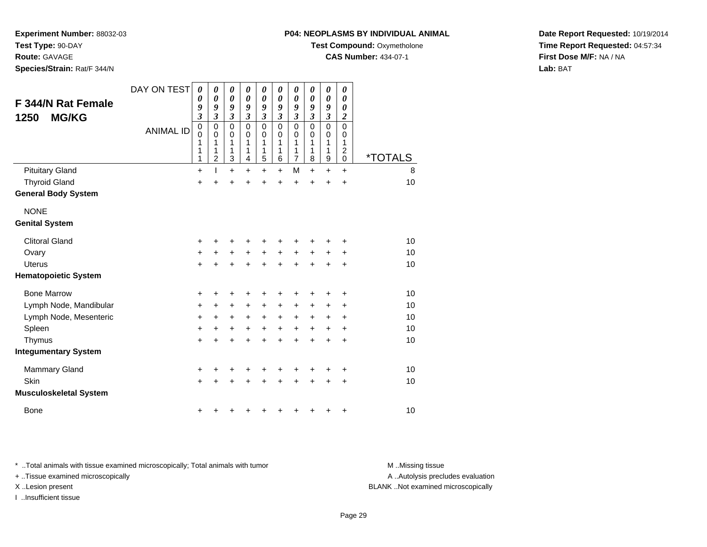**Route:** GAVAGE

**Species/Strain:** Rat/F 344/N

## **P04: NEOPLASMS BY INDIVIDUAL ANIMAL**

**Test Compound: Oxymetholone** 

**CAS Number:** 434-07-1

**Date Report Requested:** 10/19/2014**Time Report Requested:** 04:57:34**First Dose M/F:** NA / NA**Lab:** BAT

| F 344/N Rat Female<br><b>MG/KG</b><br>1250 | DAY ON TEST<br><b>ANIMAL ID</b> | $\boldsymbol{\theta}$<br>0<br>9<br>$\overline{\mathbf{3}}$<br>$\mathbf 0$<br>$\mathbf 0$<br>1<br>1<br>1 | $\boldsymbol{\theta}$<br>$\boldsymbol{\theta}$<br>9<br>$\mathfrak{z}$<br>$\mathbf 0$<br>0<br>1<br>1<br>$\overline{2}$ | 0<br>$\boldsymbol{\theta}$<br>9<br>$\boldsymbol{\beta}$<br>$\mathbf 0$<br>0<br>1<br>1<br>$\mathbf{3}$ | 0<br>0<br>9<br>$\mathfrak{z}$<br>$\mathbf 0$<br>0<br>1<br>1<br>4 | $\pmb{\theta}$<br>$\boldsymbol{\theta}$<br>9<br>$\mathfrak{z}$<br>$\pmb{0}$<br>0<br>1<br>1<br>$\overline{5}$ | 0<br>0<br>9<br>$\mathfrak{z}$<br>0<br>0<br>1<br>1<br>6 | 0<br>0<br>9<br>$\boldsymbol{\beta}$<br>$\mathbf 0$<br>0<br>1<br>1<br>$\overline{7}$ | 0<br>0<br>9<br>3<br>$\mathbf 0$<br>$\Omega$<br>1<br>1<br>8 | $\boldsymbol{\theta}$<br>$\boldsymbol{\theta}$<br>9<br>$\boldsymbol{\beta}$<br>$\mathbf 0$<br>0<br>1<br>1<br>$\mathsf g$ | 0<br>0<br>0<br>$\boldsymbol{2}$<br>$\mathbf 0$<br>0<br>1<br>$\boldsymbol{2}$<br>$\mathbf 0$ | <i><b>*TOTALS</b></i> |
|--------------------------------------------|---------------------------------|---------------------------------------------------------------------------------------------------------|-----------------------------------------------------------------------------------------------------------------------|-------------------------------------------------------------------------------------------------------|------------------------------------------------------------------|--------------------------------------------------------------------------------------------------------------|--------------------------------------------------------|-------------------------------------------------------------------------------------|------------------------------------------------------------|--------------------------------------------------------------------------------------------------------------------------|---------------------------------------------------------------------------------------------|-----------------------|
| <b>Pituitary Gland</b>                     |                                 | $\ddot{}$                                                                                               |                                                                                                                       | $\ddot{}$                                                                                             | $\ddot{}$                                                        | $+$                                                                                                          | $\ddot{}$                                              | M                                                                                   | $\ddot{}$                                                  | $\ddot{}$                                                                                                                | $+$                                                                                         | 8                     |
| <b>Thyroid Gland</b>                       |                                 | $\ddot{}$                                                                                               |                                                                                                                       | +                                                                                                     |                                                                  | $\ddot{}$                                                                                                    | $\ddot{}$                                              | $\ddot{}$                                                                           | $\ddot{}$                                                  | $\ddot{}$                                                                                                                | $\ddot{}$                                                                                   | 10                    |
| <b>General Body System</b>                 |                                 |                                                                                                         |                                                                                                                       |                                                                                                       |                                                                  |                                                                                                              |                                                        |                                                                                     |                                                            |                                                                                                                          |                                                                                             |                       |
| <b>NONE</b>                                |                                 |                                                                                                         |                                                                                                                       |                                                                                                       |                                                                  |                                                                                                              |                                                        |                                                                                     |                                                            |                                                                                                                          |                                                                                             |                       |
| <b>Genital System</b>                      |                                 |                                                                                                         |                                                                                                                       |                                                                                                       |                                                                  |                                                                                                              |                                                        |                                                                                     |                                                            |                                                                                                                          |                                                                                             |                       |
| <b>Clitoral Gland</b>                      |                                 | +                                                                                                       | +                                                                                                                     | +                                                                                                     | +                                                                | +                                                                                                            | +                                                      | +                                                                                   | +                                                          | +                                                                                                                        | +                                                                                           | 10                    |
| Ovary                                      |                                 | +                                                                                                       | $\ddot{}$                                                                                                             | $\ddot{}$                                                                                             | $\ddot{}$                                                        | $\ddot{}$                                                                                                    | $\ddot{}$                                              | $\ddot{}$                                                                           | $\ddot{}$                                                  | $\ddot{}$                                                                                                                | +                                                                                           | 10                    |
| <b>Uterus</b>                              |                                 | $\ddot{}$                                                                                               | $\ddot{}$                                                                                                             | $\ddot{}$                                                                                             | $\ddot{}$                                                        | $+$                                                                                                          | $\ddot{}$                                              | $\ddot{}$                                                                           | $\ddot{}$                                                  | $\ddot{}$                                                                                                                | $\ddot{}$                                                                                   | 10                    |
| <b>Hematopoietic System</b>                |                                 |                                                                                                         |                                                                                                                       |                                                                                                       |                                                                  |                                                                                                              |                                                        |                                                                                     |                                                            |                                                                                                                          |                                                                                             |                       |
| <b>Bone Marrow</b>                         |                                 | +                                                                                                       | +                                                                                                                     | +                                                                                                     |                                                                  | +                                                                                                            | +                                                      | +                                                                                   | +                                                          | +                                                                                                                        | +                                                                                           | 10                    |
| Lymph Node, Mandibular                     |                                 | +                                                                                                       | +                                                                                                                     | +                                                                                                     | +                                                                | +                                                                                                            | +                                                      | +                                                                                   | +                                                          | +                                                                                                                        | $\ddot{}$                                                                                   | 10                    |
| Lymph Node, Mesenteric                     |                                 | +                                                                                                       | $\ddot{}$                                                                                                             | $\ddot{}$                                                                                             | $\ddot{}$                                                        | $\ddot{}$                                                                                                    | $\ddot{}$                                              | $\ddot{}$                                                                           | +                                                          | +                                                                                                                        | $\ddot{}$                                                                                   | 10                    |
| Spleen                                     |                                 | $\ddot{}$                                                                                               | $\ddot{}$                                                                                                             | $\ddot{}$                                                                                             | $\ddot{}$                                                        | $\ddot{}$                                                                                                    | $\ddot{}$                                              | $\ddot{}$                                                                           | $\ddot{}$                                                  | $\ddot{}$                                                                                                                | $\ddot{}$                                                                                   | 10                    |
| Thymus                                     |                                 | $\ddot{}$                                                                                               | $\ddot{}$                                                                                                             | $\ddot{}$                                                                                             | $\ddot{}$                                                        | $\ddot{}$                                                                                                    | $\ddot{}$                                              | $\ddot{}$                                                                           | $\ddot{}$                                                  | $\ddot{}$                                                                                                                | $\ddot{}$                                                                                   | 10                    |
| <b>Integumentary System</b>                |                                 |                                                                                                         |                                                                                                                       |                                                                                                       |                                                                  |                                                                                                              |                                                        |                                                                                     |                                                            |                                                                                                                          |                                                                                             |                       |
| <b>Mammary Gland</b>                       |                                 | +                                                                                                       | +                                                                                                                     | +                                                                                                     |                                                                  |                                                                                                              |                                                        | +                                                                                   | +                                                          | +                                                                                                                        | +                                                                                           | 10                    |
| Skin                                       |                                 | $\ddot{}$                                                                                               |                                                                                                                       | $\ddot{}$                                                                                             |                                                                  | +                                                                                                            | $\ddot{}$                                              | $\ddot{}$                                                                           | $\ddot{}$                                                  | $\ddot{}$                                                                                                                | $\ddot{}$                                                                                   | 10                    |
| <b>Musculoskeletal System</b>              |                                 |                                                                                                         |                                                                                                                       |                                                                                                       |                                                                  |                                                                                                              |                                                        |                                                                                     |                                                            |                                                                                                                          |                                                                                             |                       |
| <b>Bone</b>                                |                                 | +                                                                                                       |                                                                                                                       |                                                                                                       |                                                                  |                                                                                                              | ٠                                                      | +                                                                                   | +                                                          | +                                                                                                                        | $\ddot{}$                                                                                   | 10                    |

\* ..Total animals with tissue examined microscopically; Total animals with tumor **M** . Missing tissue M ..Missing tissue

+ ..Tissue examined microscopically

I ..Insufficient tissue